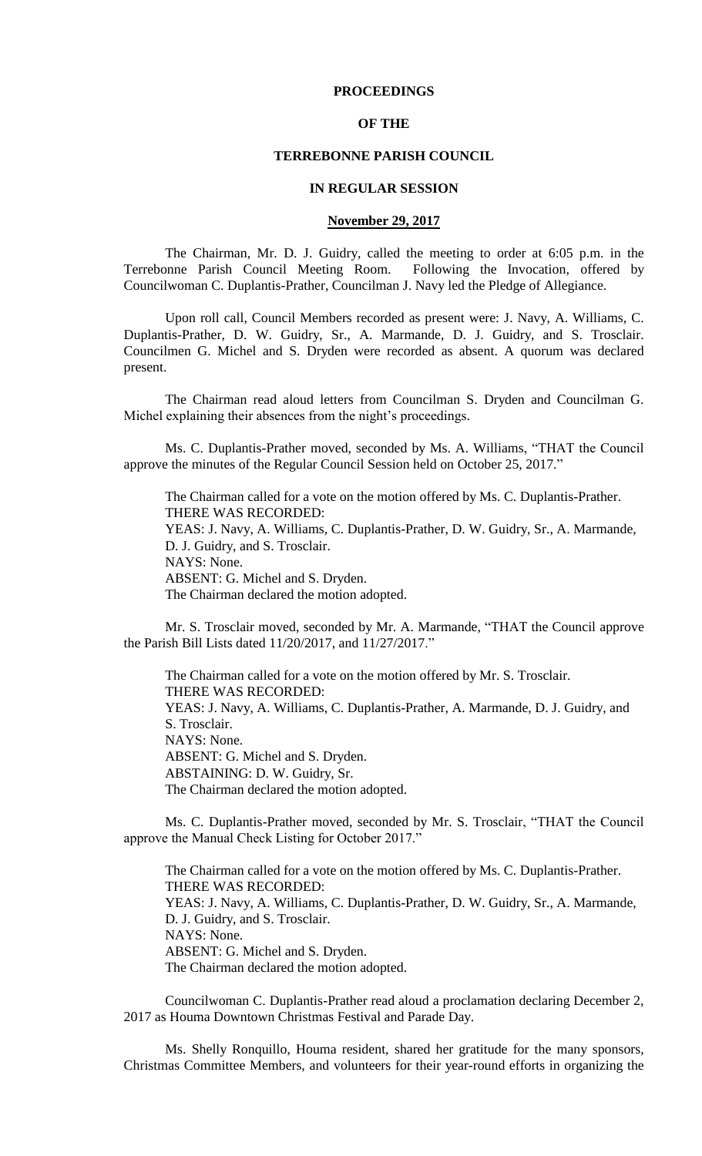## **PROCEEDINGS**

## **OF THE**

## **TERREBONNE PARISH COUNCIL**

## **IN REGULAR SESSION**

## **November 29, 2017**

The Chairman, Mr. D. J. Guidry, called the meeting to order at 6:05 p.m. in the Terrebonne Parish Council Meeting Room. Following the Invocation, offered by Councilwoman C. Duplantis-Prather, Councilman J. Navy led the Pledge of Allegiance.

Upon roll call, Council Members recorded as present were: J. Navy, A. Williams, C. Duplantis-Prather, D. W. Guidry, Sr., A. Marmande, D. J. Guidry, and S. Trosclair. Councilmen G. Michel and S. Dryden were recorded as absent. A quorum was declared present.

The Chairman read aloud letters from Councilman S. Dryden and Councilman G. Michel explaining their absences from the night's proceedings.

Ms. C. Duplantis-Prather moved, seconded by Ms. A. Williams, "THAT the Council approve the minutes of the Regular Council Session held on October 25, 2017."

The Chairman called for a vote on the motion offered by Ms. C. Duplantis-Prather. THERE WAS RECORDED: YEAS: J. Navy, A. Williams, C. Duplantis-Prather, D. W. Guidry, Sr., A. Marmande, D. J. Guidry, and S. Trosclair. NAYS: None. ABSENT: G. Michel and S. Dryden. The Chairman declared the motion adopted.

Mr. S. Trosclair moved, seconded by Mr. A. Marmande, "THAT the Council approve the Parish Bill Lists dated 11/20/2017, and 11/27/2017."

The Chairman called for a vote on the motion offered by Mr. S. Trosclair. THERE WAS RECORDED: YEAS: J. Navy, A. Williams, C. Duplantis-Prather, A. Marmande, D. J. Guidry, and S. Trosclair. NAYS: None. ABSENT: G. Michel and S. Dryden. ABSTAINING: D. W. Guidry, Sr. The Chairman declared the motion adopted.

Ms. C. Duplantis-Prather moved, seconded by Mr. S. Trosclair, "THAT the Council approve the Manual Check Listing for October 2017."

The Chairman called for a vote on the motion offered by Ms. C. Duplantis-Prather. THERE WAS RECORDED: YEAS: J. Navy, A. Williams, C. Duplantis-Prather, D. W. Guidry, Sr., A. Marmande, D. J. Guidry, and S. Trosclair. NAYS: None. ABSENT: G. Michel and S. Dryden. The Chairman declared the motion adopted.

Councilwoman C. Duplantis-Prather read aloud a proclamation declaring December 2, 2017 as Houma Downtown Christmas Festival and Parade Day.

Ms. Shelly Ronquillo, Houma resident, shared her gratitude for the many sponsors, Christmas Committee Members, and volunteers for their year-round efforts in organizing the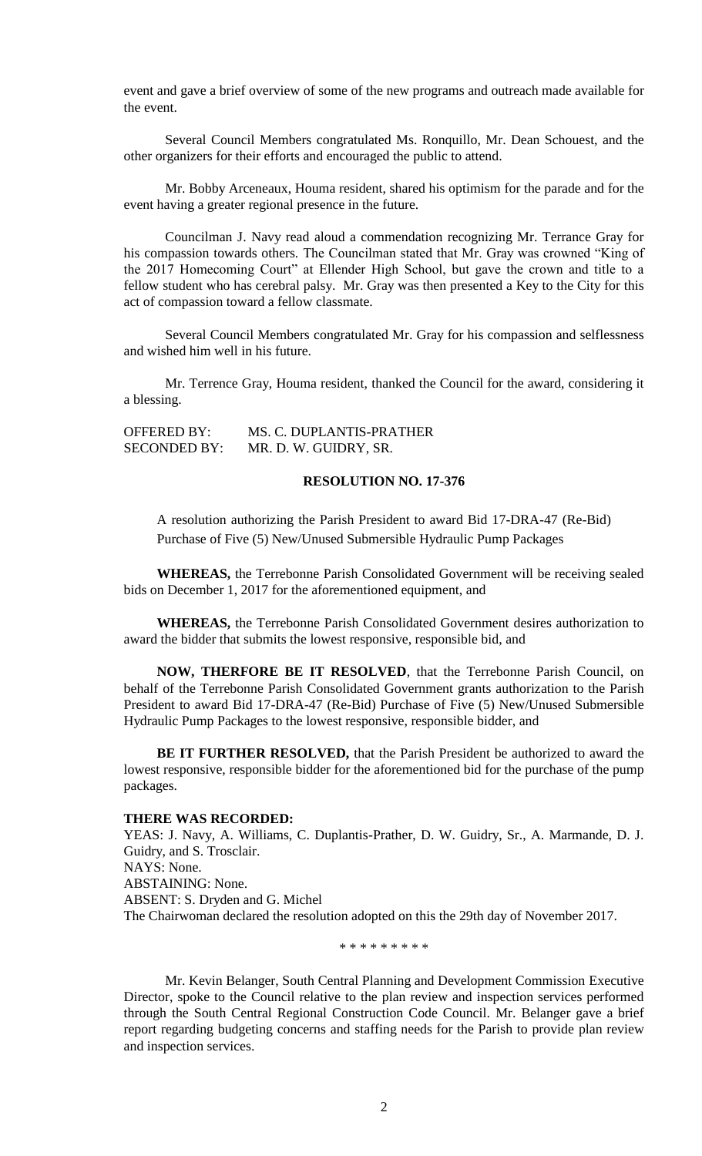event and gave a brief overview of some of the new programs and outreach made available for the event.

Several Council Members congratulated Ms. Ronquillo, Mr. Dean Schouest, and the other organizers for their efforts and encouraged the public to attend.

Mr. Bobby Arceneaux, Houma resident, shared his optimism for the parade and for the event having a greater regional presence in the future.

Councilman J. Navy read aloud a commendation recognizing Mr. Terrance Gray for his compassion towards others. The Councilman stated that Mr. Gray was crowned "King of the 2017 Homecoming Court" at Ellender High School, but gave the crown and title to a fellow student who has cerebral palsy. Mr. Gray was then presented a Key to the City for this act of compassion toward a fellow classmate.

Several Council Members congratulated Mr. Gray for his compassion and selflessness and wished him well in his future.

Mr. Terrence Gray, Houma resident, thanked the Council for the award, considering it a blessing.

| <b>OFFERED BY:</b>  | MS. C. DUPLANTIS-PRATHER |
|---------------------|--------------------------|
| <b>SECONDED BY:</b> | MR. D. W. GUIDRY, SR.    |

## **RESOLUTION NO. 17-376**

A resolution authorizing the Parish President to award Bid 17-DRA-47 (Re-Bid) Purchase of Five (5) New/Unused Submersible Hydraulic Pump Packages

**WHEREAS,** the Terrebonne Parish Consolidated Government will be receiving sealed bids on December 1, 2017 for the aforementioned equipment, and

**WHEREAS,** the Terrebonne Parish Consolidated Government desires authorization to award the bidder that submits the lowest responsive, responsible bid, and

**NOW, THERFORE BE IT RESOLVED**, that the Terrebonne Parish Council, on behalf of the Terrebonne Parish Consolidated Government grants authorization to the Parish President to award Bid 17-DRA-47 (Re-Bid) Purchase of Five (5) New/Unused Submersible Hydraulic Pump Packages to the lowest responsive, responsible bidder, and

**BE IT FURTHER RESOLVED,** that the Parish President be authorized to award the lowest responsive, responsible bidder for the aforementioned bid for the purchase of the pump packages.

### **THERE WAS RECORDED:**

YEAS: J. Navy, A. Williams, C. Duplantis-Prather, D. W. Guidry, Sr., A. Marmande, D. J. Guidry, and S. Trosclair. NAYS: None. ABSTAINING: None. ABSENT: S. Dryden and G. Michel The Chairwoman declared the resolution adopted on this the 29th day of November 2017.

\* \* \* \* \* \* \* \* \*

Mr. Kevin Belanger, South Central Planning and Development Commission Executive Director, spoke to the Council relative to the plan review and inspection services performed through the South Central Regional Construction Code Council. Mr. Belanger gave a brief report regarding budgeting concerns and staffing needs for the Parish to provide plan review and inspection services.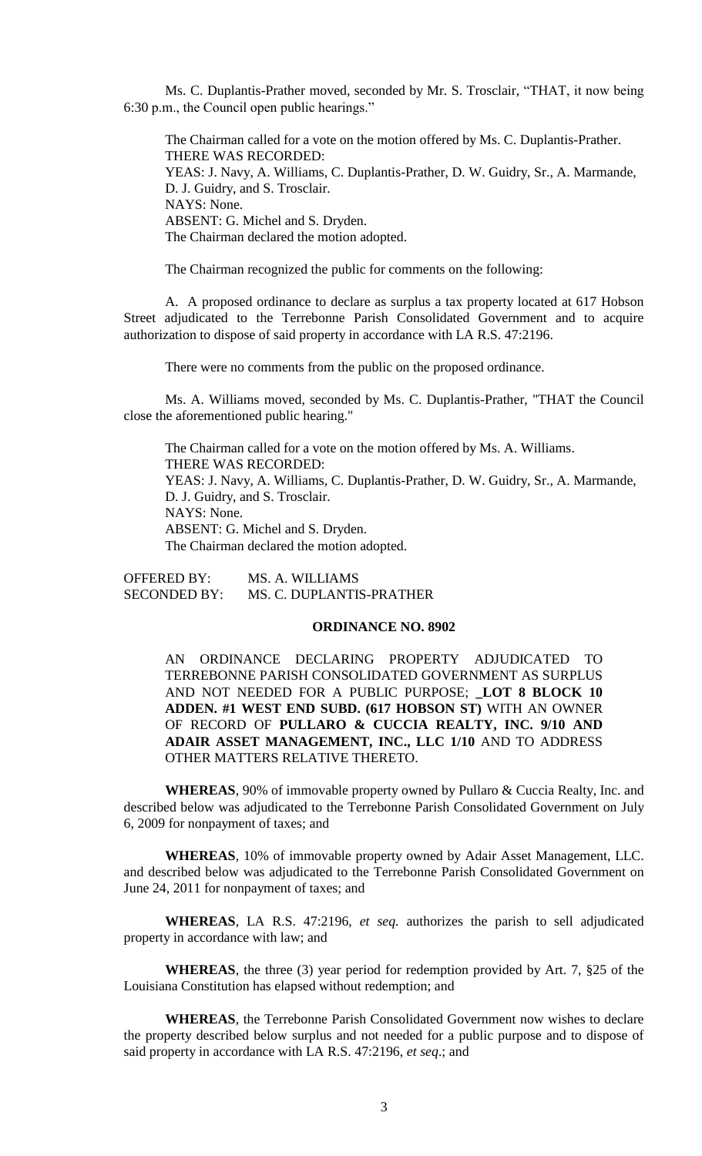Ms. C. Duplantis-Prather moved, seconded by Mr. S. Trosclair, "THAT, it now being 6:30 p.m., the Council open public hearings."

The Chairman called for a vote on the motion offered by Ms. C. Duplantis-Prather. THERE WAS RECORDED: YEAS: J. Navy, A. Williams, C. Duplantis-Prather, D. W. Guidry, Sr., A. Marmande, D. J. Guidry, and S. Trosclair. NAYS: None. ABSENT: G. Michel and S. Dryden. The Chairman declared the motion adopted.

The Chairman recognized the public for comments on the following:

A. A proposed ordinance to declare as surplus a tax property located at 617 Hobson Street adjudicated to the Terrebonne Parish Consolidated Government and to acquire authorization to dispose of said property in accordance with LA R.S. 47:2196.

There were no comments from the public on the proposed ordinance.

Ms. A. Williams moved, seconded by Ms. C. Duplantis-Prather, "THAT the Council close the aforementioned public hearing."

The Chairman called for a vote on the motion offered by Ms. A. Williams. THERE WAS RECORDED: YEAS: J. Navy, A. Williams, C. Duplantis-Prather, D. W. Guidry, Sr., A. Marmande, D. J. Guidry, and S. Trosclair. NAYS: None. ABSENT: G. Michel and S. Dryden. The Chairman declared the motion adopted.

OFFERED BY: MS. A. WILLIAMS SECONDED BY: MS. C. DUPLANTIS-PRATHER

## **ORDINANCE NO. 8902**

AN ORDINANCE DECLARING PROPERTY ADJUDICATED TO TERREBONNE PARISH CONSOLIDATED GOVERNMENT AS SURPLUS AND NOT NEEDED FOR A PUBLIC PURPOSE; **\_LOT 8 BLOCK 10 ADDEN. #1 WEST END SUBD. (617 HOBSON ST)** WITH AN OWNER OF RECORD OF **PULLARO & CUCCIA REALTY, INC. 9/10 AND ADAIR ASSET MANAGEMENT, INC., LLC 1/10** AND TO ADDRESS OTHER MATTERS RELATIVE THERETO.

**WHEREAS**, 90% of immovable property owned by Pullaro & Cuccia Realty, Inc. and described below was adjudicated to the Terrebonne Parish Consolidated Government on July 6, 2009 for nonpayment of taxes; and

**WHEREAS**, 10% of immovable property owned by Adair Asset Management, LLC. and described below was adjudicated to the Terrebonne Parish Consolidated Government on June 24, 2011 for nonpayment of taxes; and

**WHEREAS**, LA R.S. 47:2196, *et seq.* authorizes the parish to sell adjudicated property in accordance with law; and

**WHEREAS**, the three (3) year period for redemption provided by Art. 7, §25 of the Louisiana Constitution has elapsed without redemption; and

**WHEREAS**, the Terrebonne Parish Consolidated Government now wishes to declare the property described below surplus and not needed for a public purpose and to dispose of said property in accordance with LA R.S. 47:2196, *et seq*.; and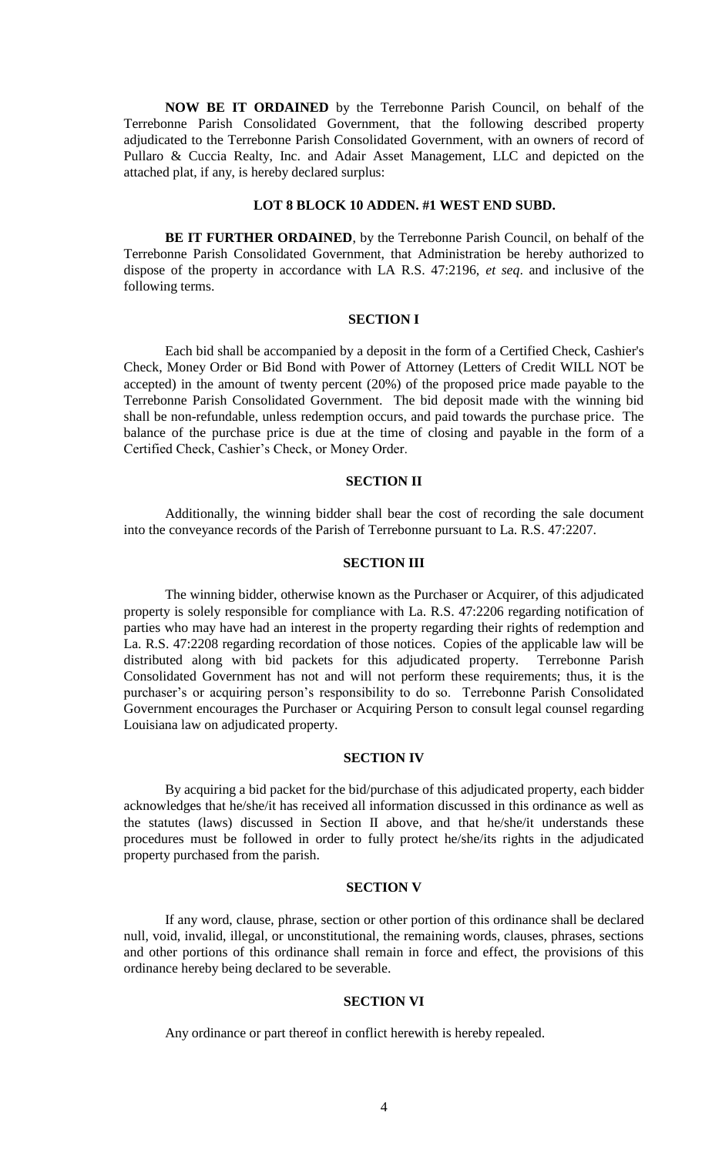**NOW BE IT ORDAINED** by the Terrebonne Parish Council, on behalf of the Terrebonne Parish Consolidated Government, that the following described property adjudicated to the Terrebonne Parish Consolidated Government, with an owners of record of Pullaro & Cuccia Realty, Inc. and Adair Asset Management, LLC and depicted on the attached plat, if any, is hereby declared surplus:

## **LOT 8 BLOCK 10 ADDEN. #1 WEST END SUBD.**

**BE IT FURTHER ORDAINED**, by the Terrebonne Parish Council, on behalf of the Terrebonne Parish Consolidated Government, that Administration be hereby authorized to dispose of the property in accordance with LA R.S. 47:2196, *et seq*. and inclusive of the following terms.

#### **SECTION I**

Each bid shall be accompanied by a deposit in the form of a Certified Check, Cashier's Check, Money Order or Bid Bond with Power of Attorney (Letters of Credit WILL NOT be accepted) in the amount of twenty percent (20%) of the proposed price made payable to the Terrebonne Parish Consolidated Government. The bid deposit made with the winning bid shall be non-refundable, unless redemption occurs, and paid towards the purchase price. The balance of the purchase price is due at the time of closing and payable in the form of a Certified Check, Cashier's Check, or Money Order.

## **SECTION II**

Additionally, the winning bidder shall bear the cost of recording the sale document into the conveyance records of the Parish of Terrebonne pursuant to La. R.S. 47:2207.

## **SECTION III**

The winning bidder, otherwise known as the Purchaser or Acquirer, of this adjudicated property is solely responsible for compliance with La. R.S. 47:2206 regarding notification of parties who may have had an interest in the property regarding their rights of redemption and La. R.S. 47:2208 regarding recordation of those notices. Copies of the applicable law will be distributed along with bid packets for this adjudicated property. Terrebonne Parish Consolidated Government has not and will not perform these requirements; thus, it is the purchaser's or acquiring person's responsibility to do so. Terrebonne Parish Consolidated Government encourages the Purchaser or Acquiring Person to consult legal counsel regarding Louisiana law on adjudicated property.

## **SECTION IV**

By acquiring a bid packet for the bid/purchase of this adjudicated property, each bidder acknowledges that he/she/it has received all information discussed in this ordinance as well as the statutes (laws) discussed in Section II above, and that he/she/it understands these procedures must be followed in order to fully protect he/she/its rights in the adjudicated property purchased from the parish.

## **SECTION V**

If any word, clause, phrase, section or other portion of this ordinance shall be declared null, void, invalid, illegal, or unconstitutional, the remaining words, clauses, phrases, sections and other portions of this ordinance shall remain in force and effect, the provisions of this ordinance hereby being declared to be severable.

## **SECTION VI**

Any ordinance or part thereof in conflict herewith is hereby repealed.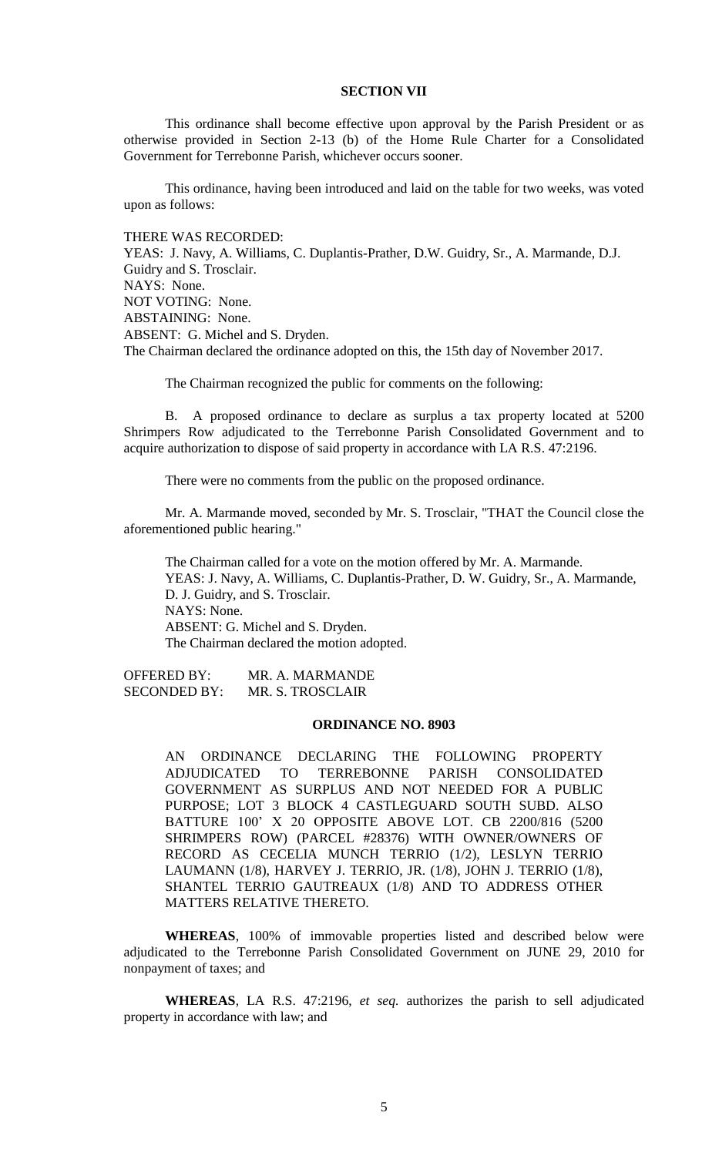# **SECTION VII**

This ordinance shall become effective upon approval by the Parish President or as otherwise provided in Section 2-13 (b) of the Home Rule Charter for a Consolidated Government for Terrebonne Parish, whichever occurs sooner.

This ordinance, having been introduced and laid on the table for two weeks, was voted upon as follows:

THERE WAS RECORDED: YEAS: J. Navy, A. Williams, C. Duplantis-Prather, D.W. Guidry, Sr., A. Marmande, D.J. Guidry and S. Trosclair. NAYS: None. NOT VOTING: None. ABSTAINING: None. ABSENT: G. Michel and S. Dryden. The Chairman declared the ordinance adopted on this, the 15th day of November 2017.

The Chairman recognized the public for comments on the following:

B. A proposed ordinance to declare as surplus a tax property located at 5200 Shrimpers Row adjudicated to the Terrebonne Parish Consolidated Government and to acquire authorization to dispose of said property in accordance with LA R.S. 47:2196.

There were no comments from the public on the proposed ordinance.

Mr. A. Marmande moved, seconded by Mr. S. Trosclair, "THAT the Council close the aforementioned public hearing."

The Chairman called for a vote on the motion offered by Mr. A. Marmande. YEAS: J. Navy, A. Williams, C. Duplantis-Prather, D. W. Guidry, Sr., A. Marmande, D. J. Guidry, and S. Trosclair. NAYS: None. ABSENT: G. Michel and S. Dryden. The Chairman declared the motion adopted.

OFFERED BY: MR. A. MARMANDE SECONDED BY: MR. S. TROSCLAIR

### **ORDINANCE NO. 8903**

AN ORDINANCE DECLARING THE FOLLOWING PROPERTY ADJUDICATED TO TERREBONNE PARISH CONSOLIDATED GOVERNMENT AS SURPLUS AND NOT NEEDED FOR A PUBLIC PURPOSE; LOT 3 BLOCK 4 CASTLEGUARD SOUTH SUBD. ALSO BATTURE 100' X 20 OPPOSITE ABOVE LOT. CB 2200/816 (5200 SHRIMPERS ROW) (PARCEL #28376) WITH OWNER/OWNERS OF RECORD AS CECELIA MUNCH TERRIO (1/2), LESLYN TERRIO LAUMANN (1/8), HARVEY J. TERRIO, JR. (1/8), JOHN J. TERRIO (1/8), SHANTEL TERRIO GAUTREAUX (1/8) AND TO ADDRESS OTHER MATTERS RELATIVE THERETO.

**WHEREAS**, 100% of immovable properties listed and described below were adjudicated to the Terrebonne Parish Consolidated Government on JUNE 29, 2010 for nonpayment of taxes; and

**WHEREAS**, LA R.S. 47:2196, *et seq.* authorizes the parish to sell adjudicated property in accordance with law; and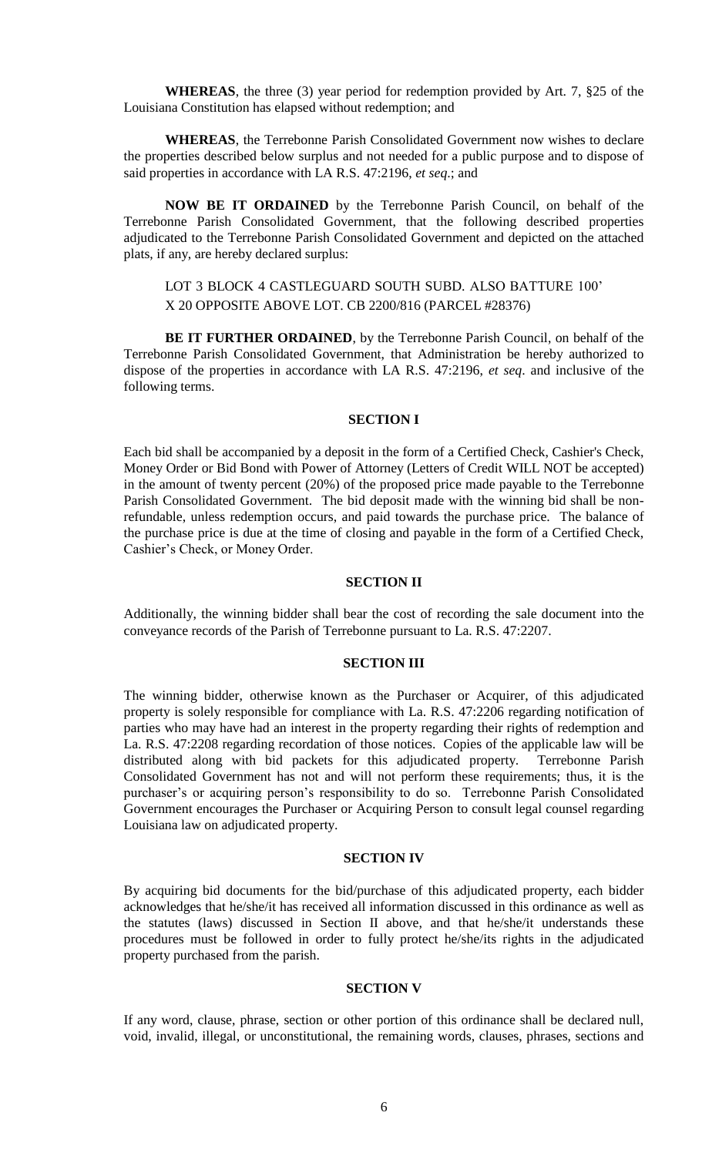**WHEREAS**, the three (3) year period for redemption provided by Art. 7, §25 of the Louisiana Constitution has elapsed without redemption; and

**WHEREAS**, the Terrebonne Parish Consolidated Government now wishes to declare the properties described below surplus and not needed for a public purpose and to dispose of said properties in accordance with LA R.S. 47:2196, *et seq*.; and

**NOW BE IT ORDAINED** by the Terrebonne Parish Council, on behalf of the Terrebonne Parish Consolidated Government, that the following described properties adjudicated to the Terrebonne Parish Consolidated Government and depicted on the attached plats, if any, are hereby declared surplus:

# LOT 3 BLOCK 4 CASTLEGUARD SOUTH SUBD. ALSO BATTURE 100' X 20 OPPOSITE ABOVE LOT. CB 2200/816 (PARCEL #28376)

**BE IT FURTHER ORDAINED**, by the Terrebonne Parish Council, on behalf of the Terrebonne Parish Consolidated Government, that Administration be hereby authorized to dispose of the properties in accordance with LA R.S. 47:2196, *et seq*. and inclusive of the following terms.

### **SECTION I**

Each bid shall be accompanied by a deposit in the form of a Certified Check, Cashier's Check, Money Order or Bid Bond with Power of Attorney (Letters of Credit WILL NOT be accepted) in the amount of twenty percent (20%) of the proposed price made payable to the Terrebonne Parish Consolidated Government. The bid deposit made with the winning bid shall be nonrefundable, unless redemption occurs, and paid towards the purchase price. The balance of the purchase price is due at the time of closing and payable in the form of a Certified Check, Cashier's Check, or Money Order.

## **SECTION II**

Additionally, the winning bidder shall bear the cost of recording the sale document into the conveyance records of the Parish of Terrebonne pursuant to La. R.S. 47:2207.

## **SECTION III**

The winning bidder, otherwise known as the Purchaser or Acquirer, of this adjudicated property is solely responsible for compliance with La. R.S. 47:2206 regarding notification of parties who may have had an interest in the property regarding their rights of redemption and La. R.S. 47:2208 regarding recordation of those notices. Copies of the applicable law will be distributed along with bid packets for this adjudicated property. Terrebonne Parish Consolidated Government has not and will not perform these requirements; thus, it is the purchaser's or acquiring person's responsibility to do so. Terrebonne Parish Consolidated Government encourages the Purchaser or Acquiring Person to consult legal counsel regarding Louisiana law on adjudicated property.

## **SECTION IV**

By acquiring bid documents for the bid/purchase of this adjudicated property, each bidder acknowledges that he/she/it has received all information discussed in this ordinance as well as the statutes (laws) discussed in Section II above, and that he/she/it understands these procedures must be followed in order to fully protect he/she/its rights in the adjudicated property purchased from the parish.

### **SECTION V**

If any word, clause, phrase, section or other portion of this ordinance shall be declared null, void, invalid, illegal, or unconstitutional, the remaining words, clauses, phrases, sections and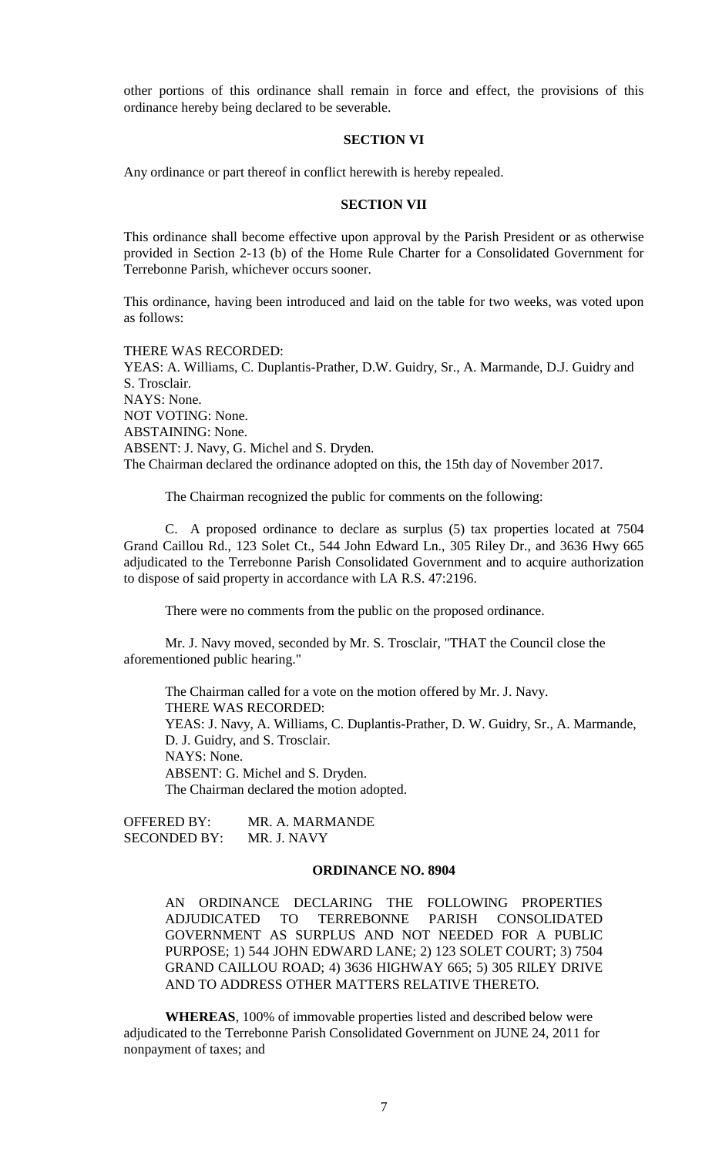other portions of this ordinance shall remain in force and effect, the provisions of this ordinance hereby being declared to be severable.

## **SECTION VI**

Any ordinance or part thereof in conflict herewith is hereby repealed.

### **SECTION VII**

This ordinance shall become effective upon approval by the Parish President or as otherwise provided in Section 2-13 (b) of the Home Rule Charter for a Consolidated Government for Terrebonne Parish, whichever occurs sooner.

This ordinance, having been introduced and laid on the table for two weeks, was voted upon as follows:

THERE WAS RECORDED: YEAS: A. Williams, C. Duplantis-Prather, D.W. Guidry, Sr., A. Marmande, D.J. Guidry and S. Trosclair. NAYS: None. NOT VOTING: None. ABSTAINING: None. ABSENT: J. Navy, G. Michel and S. Dryden. The Chairman declared the ordinance adopted on this, the 15th day of November 2017.

The Chairman recognized the public for comments on the following:

C. A proposed ordinance to declare as surplus (5) tax properties located at 7504 Grand Caillou Rd., 123 Solet Ct., 544 John Edward Ln., 305 Riley Dr., and 3636 Hwy 665 adjudicated to the Terrebonne Parish Consolidated Government and to acquire authorization to dispose of said property in accordance with LA R.S. 47:2196.

There were no comments from the public on the proposed ordinance.

Mr. J. Navy moved, seconded by Mr. S. Trosclair, "THAT the Council close the aforementioned public hearing."

The Chairman called for a vote on the motion offered by Mr. J. Navy. THERE WAS RECORDED: YEAS: J. Navy, A. Williams, C. Duplantis-Prather, D. W. Guidry, Sr., A. Marmande, D. J. Guidry, and S. Trosclair. NAYS: None. ABSENT: G. Michel and S. Dryden. The Chairman declared the motion adopted.

OFFERED BY: MR. A. MARMANDE SECONDED BY: MR. J. NAVY

## **ORDINANCE NO. 8904**

AN ORDINANCE DECLARING THE FOLLOWING PROPERTIES ADJUDICATED TO TERREBONNE PARISH CONSOLIDATED GOVERNMENT AS SURPLUS AND NOT NEEDED FOR A PUBLIC PURPOSE; 1) 544 JOHN EDWARD LANE; 2) 123 SOLET COURT; 3) 7504 GRAND CAILLOU ROAD; 4) 3636 HIGHWAY 665; 5) 305 RILEY DRIVE AND TO ADDRESS OTHER MATTERS RELATIVE THERETO.

**WHEREAS**, 100% of immovable properties listed and described below were adjudicated to the Terrebonne Parish Consolidated Government on JUNE 24, 2011 for nonpayment of taxes; and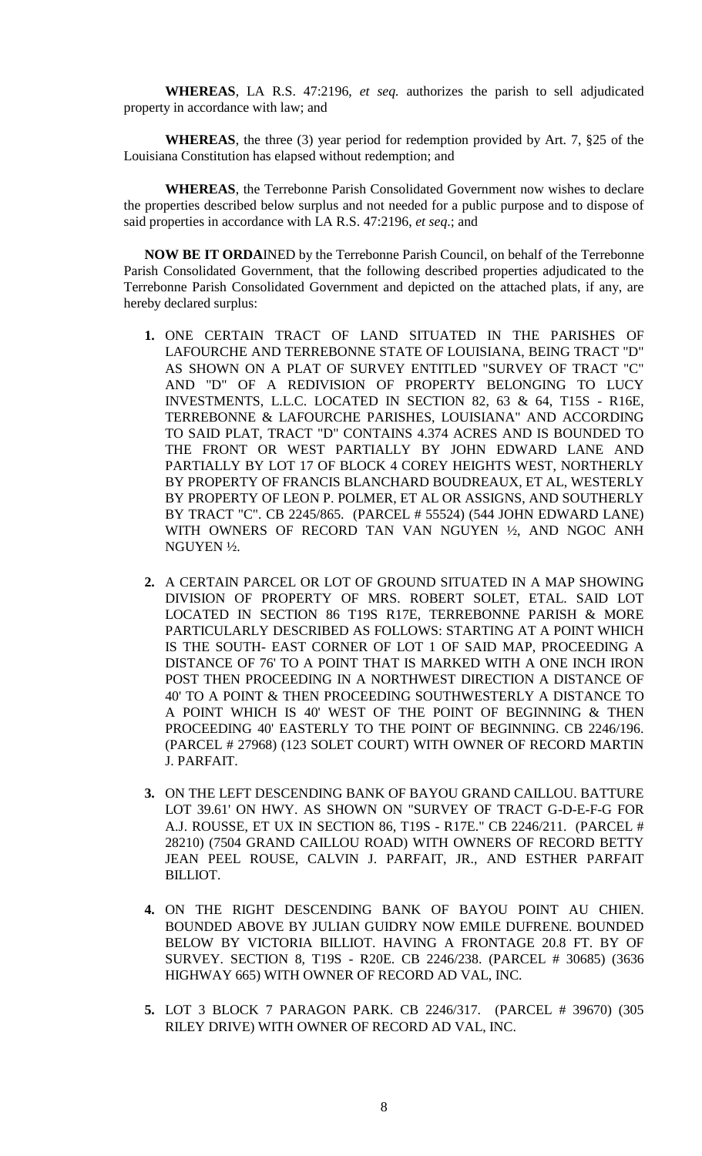**WHEREAS**, LA R.S. 47:2196, *et seq.* authorizes the parish to sell adjudicated property in accordance with law; and

**WHEREAS**, the three (3) year period for redemption provided by Art. 7, §25 of the Louisiana Constitution has elapsed without redemption; and

**WHEREAS**, the Terrebonne Parish Consolidated Government now wishes to declare the properties described below surplus and not needed for a public purpose and to dispose of said properties in accordance with LA R.S. 47:2196, *et seq*.; and

**NOW BE IT ORDA**INED by the Terrebonne Parish Council, on behalf of the Terrebonne Parish Consolidated Government, that the following described properties adjudicated to the Terrebonne Parish Consolidated Government and depicted on the attached plats, if any, are hereby declared surplus:

- **1.** ONE CERTAIN TRACT OF LAND SITUATED IN THE PARISHES OF LAFOURCHE AND TERREBONNE STATE OF LOUISIANA, BEING TRACT "D" AS SHOWN ON A PLAT OF SURVEY ENTITLED "SURVEY OF TRACT "C" AND "D" OF A REDIVISION OF PROPERTY BELONGING TO LUCY INVESTMENTS, L.L.C. LOCATED IN SECTION 82, 63 & 64, T15S - R16E, TERREBONNE & LAFOURCHE PARISHES, LOUISIANA" AND ACCORDING TO SAID PLAT, TRACT "D" CONTAINS 4.374 ACRES AND IS BOUNDED TO THE FRONT OR WEST PARTIALLY BY JOHN EDWARD LANE AND PARTIALLY BY LOT 17 OF BLOCK 4 COREY HEIGHTS WEST, NORTHERLY BY PROPERTY OF FRANCIS BLANCHARD BOUDREAUX, ET AL, WESTERLY BY PROPERTY OF LEON P. POLMER, ET AL OR ASSIGNS, AND SOUTHERLY BY TRACT "C". CB 2245/865. (PARCEL # 55524) (544 JOHN EDWARD LANE) WITH OWNERS OF RECORD TAN VAN NGUYEN ½, AND NGOC ANH NGUYEN ½.
- **2.** A CERTAIN PARCEL OR LOT OF GROUND SITUATED IN A MAP SHOWING DIVISION OF PROPERTY OF MRS. ROBERT SOLET, ETAL. SAID LOT LOCATED IN SECTION 86 T19S R17E, TERREBONNE PARISH & MORE PARTICULARLY DESCRIBED AS FOLLOWS: STARTING AT A POINT WHICH IS THE SOUTH- EAST CORNER OF LOT 1 OF SAID MAP, PROCEEDING A DISTANCE OF 76' TO A POINT THAT IS MARKED WITH A ONE INCH IRON POST THEN PROCEEDING IN A NORTHWEST DIRECTION A DISTANCE OF 40' TO A POINT & THEN PROCEEDING SOUTHWESTERLY A DISTANCE TO A POINT WHICH IS 40' WEST OF THE POINT OF BEGINNING & THEN PROCEEDING 40' EASTERLY TO THE POINT OF BEGINNING. CB 2246/196. (PARCEL # 27968) (123 SOLET COURT) WITH OWNER OF RECORD MARTIN J. PARFAIT.
- **3.** ON THE LEFT DESCENDING BANK OF BAYOU GRAND CAILLOU. BATTURE LOT 39.61' ON HWY. AS SHOWN ON "SURVEY OF TRACT G-D-E-F-G FOR A.J. ROUSSE, ET UX IN SECTION 86, T19S - R17E." CB 2246/211. (PARCEL # 28210) (7504 GRAND CAILLOU ROAD) WITH OWNERS OF RECORD BETTY JEAN PEEL ROUSE, CALVIN J. PARFAIT, JR., AND ESTHER PARFAIT BILLIOT.
- **4.** ON THE RIGHT DESCENDING BANK OF BAYOU POINT AU CHIEN. BOUNDED ABOVE BY JULIAN GUIDRY NOW EMILE DUFRENE. BOUNDED BELOW BY VICTORIA BILLIOT. HAVING A FRONTAGE 20.8 FT. BY OF SURVEY. SECTION 8, T19S - R20E. CB 2246/238. (PARCEL # 30685) (3636 HIGHWAY 665) WITH OWNER OF RECORD AD VAL, INC.
- **5.** LOT 3 BLOCK 7 PARAGON PARK. CB 2246/317. (PARCEL # 39670) (305 RILEY DRIVE) WITH OWNER OF RECORD AD VAL, INC.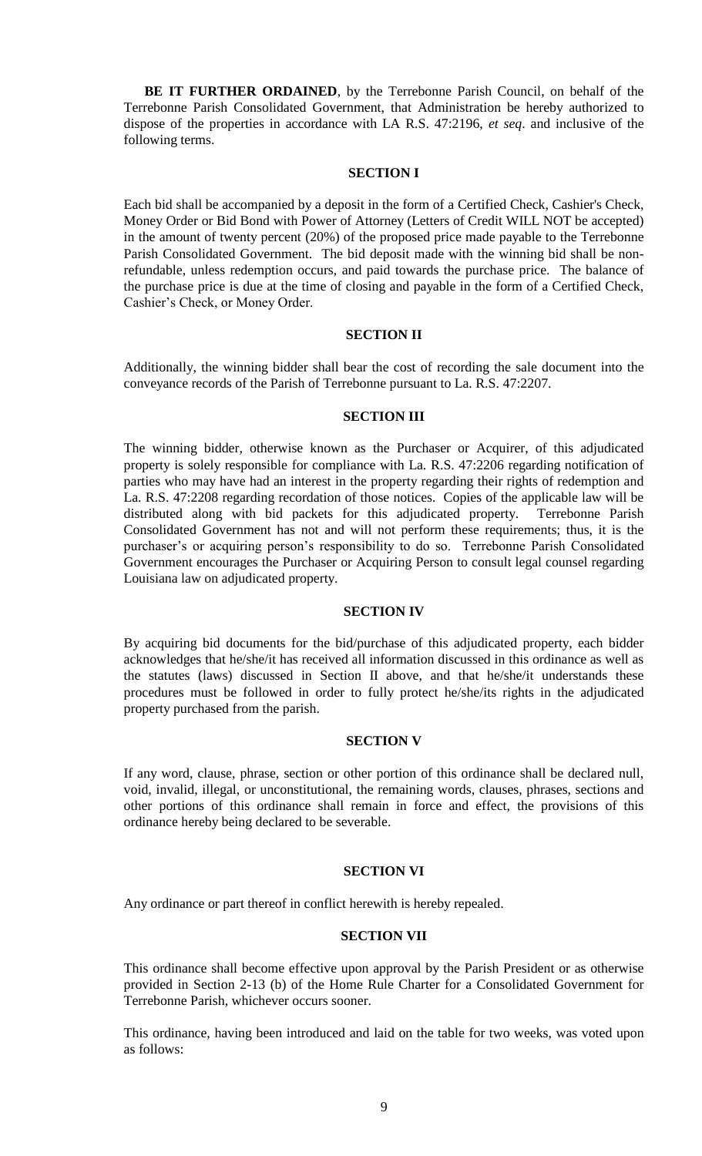**BE IT FURTHER ORDAINED**, by the Terrebonne Parish Council, on behalf of the Terrebonne Parish Consolidated Government, that Administration be hereby authorized to dispose of the properties in accordance with LA R.S. 47:2196, *et seq*. and inclusive of the following terms.

## **SECTION I**

Each bid shall be accompanied by a deposit in the form of a Certified Check, Cashier's Check, Money Order or Bid Bond with Power of Attorney (Letters of Credit WILL NOT be accepted) in the amount of twenty percent (20%) of the proposed price made payable to the Terrebonne Parish Consolidated Government. The bid deposit made with the winning bid shall be nonrefundable, unless redemption occurs, and paid towards the purchase price. The balance of the purchase price is due at the time of closing and payable in the form of a Certified Check, Cashier's Check, or Money Order.

## **SECTION II**

Additionally, the winning bidder shall bear the cost of recording the sale document into the conveyance records of the Parish of Terrebonne pursuant to La. R.S. 47:2207.

### **SECTION III**

The winning bidder, otherwise known as the Purchaser or Acquirer, of this adjudicated property is solely responsible for compliance with La. R.S. 47:2206 regarding notification of parties who may have had an interest in the property regarding their rights of redemption and La. R.S. 47:2208 regarding recordation of those notices. Copies of the applicable law will be distributed along with bid packets for this adjudicated property. Terrebonne Parish Consolidated Government has not and will not perform these requirements; thus, it is the purchaser's or acquiring person's responsibility to do so. Terrebonne Parish Consolidated Government encourages the Purchaser or Acquiring Person to consult legal counsel regarding Louisiana law on adjudicated property.

#### **SECTION IV**

By acquiring bid documents for the bid/purchase of this adjudicated property, each bidder acknowledges that he/she/it has received all information discussed in this ordinance as well as the statutes (laws) discussed in Section II above, and that he/she/it understands these procedures must be followed in order to fully protect he/she/its rights in the adjudicated property purchased from the parish.

## **SECTION V**

If any word, clause, phrase, section or other portion of this ordinance shall be declared null, void, invalid, illegal, or unconstitutional, the remaining words, clauses, phrases, sections and other portions of this ordinance shall remain in force and effect, the provisions of this ordinance hereby being declared to be severable.

## **SECTION VI**

Any ordinance or part thereof in conflict herewith is hereby repealed.

## **SECTION VII**

This ordinance shall become effective upon approval by the Parish President or as otherwise provided in Section 2-13 (b) of the Home Rule Charter for a Consolidated Government for Terrebonne Parish, whichever occurs sooner.

This ordinance, having been introduced and laid on the table for two weeks, was voted upon as follows: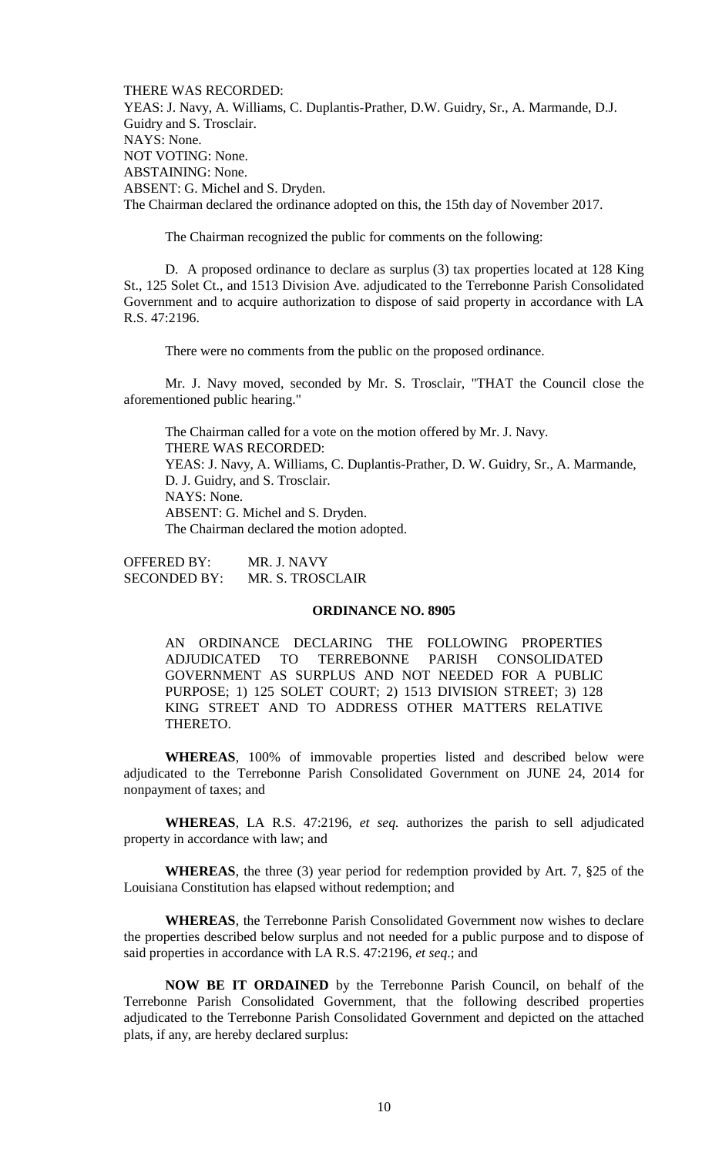THERE WAS RECORDED: YEAS: J. Navy, A. Williams, C. Duplantis-Prather, D.W. Guidry, Sr., A. Marmande, D.J. Guidry and S. Trosclair. NAYS: None. NOT VOTING: None. ABSTAINING: None. ABSENT: G. Michel and S. Dryden. The Chairman declared the ordinance adopted on this, the 15th day of November 2017.

The Chairman recognized the public for comments on the following:

D. A proposed ordinance to declare as surplus (3) tax properties located at 128 King St., 125 Solet Ct., and 1513 Division Ave. adjudicated to the Terrebonne Parish Consolidated Government and to acquire authorization to dispose of said property in accordance with LA R.S. 47:2196.

There were no comments from the public on the proposed ordinance.

Mr. J. Navy moved, seconded by Mr. S. Trosclair, "THAT the Council close the aforementioned public hearing."

The Chairman called for a vote on the motion offered by Mr. J. Navy. THERE WAS RECORDED: YEAS: J. Navy, A. Williams, C. Duplantis-Prather, D. W. Guidry, Sr., A. Marmande, D. J. Guidry, and S. Trosclair. NAYS: None. ABSENT: G. Michel and S. Dryden. The Chairman declared the motion adopted.

OFFERED BY: MR. J. NAVY SECONDED BY: MR. S. TROSCLAIR

## **ORDINANCE NO. 8905**

AN ORDINANCE DECLARING THE FOLLOWING PROPERTIES ADJUDICATED TO TERREBONNE PARISH CONSOLIDATED GOVERNMENT AS SURPLUS AND NOT NEEDED FOR A PUBLIC PURPOSE; 1) 125 SOLET COURT; 2) 1513 DIVISION STREET; 3) 128 KING STREET AND TO ADDRESS OTHER MATTERS RELATIVE THERETO.

**WHEREAS**, 100% of immovable properties listed and described below were adjudicated to the Terrebonne Parish Consolidated Government on JUNE 24, 2014 for nonpayment of taxes; and

**WHEREAS**, LA R.S. 47:2196, *et seq.* authorizes the parish to sell adjudicated property in accordance with law; and

**WHEREAS**, the three (3) year period for redemption provided by Art. 7, §25 of the Louisiana Constitution has elapsed without redemption; and

**WHEREAS**, the Terrebonne Parish Consolidated Government now wishes to declare the properties described below surplus and not needed for a public purpose and to dispose of said properties in accordance with LA R.S. 47:2196, *et seq*.; and

**NOW BE IT ORDAINED** by the Terrebonne Parish Council, on behalf of the Terrebonne Parish Consolidated Government, that the following described properties adjudicated to the Terrebonne Parish Consolidated Government and depicted on the attached plats, if any, are hereby declared surplus: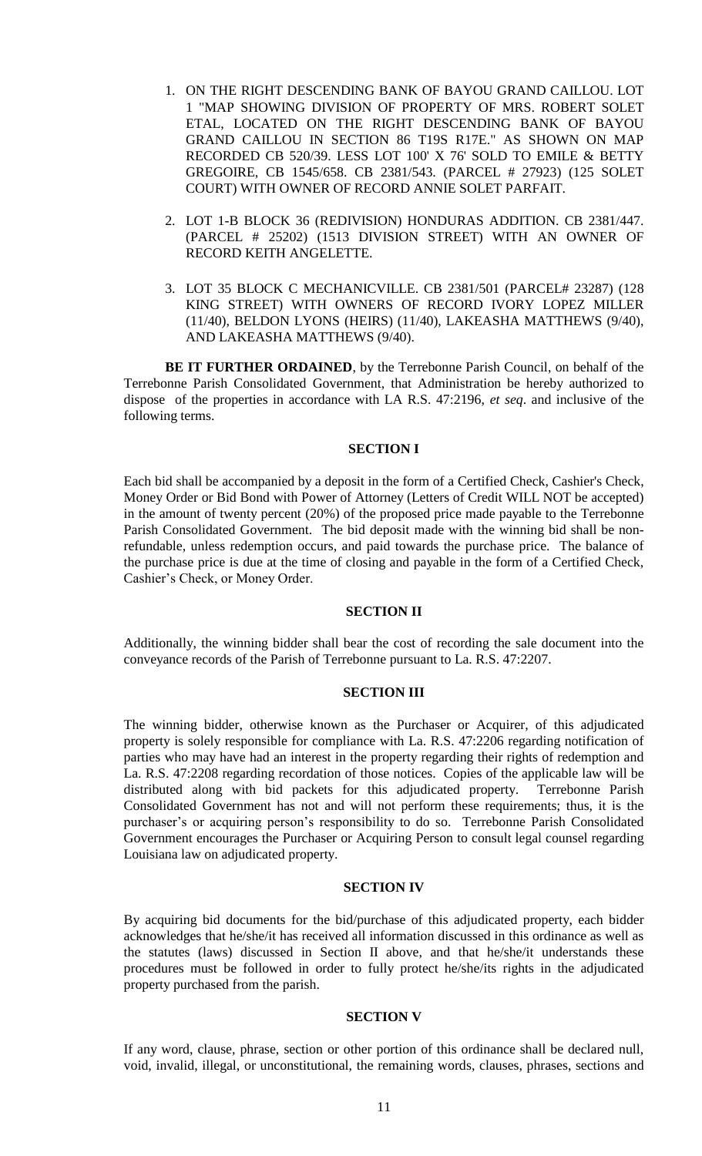- 1. ON THE RIGHT DESCENDING BANK OF BAYOU GRAND CAILLOU. LOT 1 "MAP SHOWING DIVISION OF PROPERTY OF MRS. ROBERT SOLET ETAL, LOCATED ON THE RIGHT DESCENDING BANK OF BAYOU GRAND CAILLOU IN SECTION 86 T19S R17E." AS SHOWN ON MAP RECORDED CB 520/39. LESS LOT 100' X 76' SOLD TO EMILE & BETTY GREGOIRE, CB 1545/658. CB 2381/543. (PARCEL # 27923) (125 SOLET COURT) WITH OWNER OF RECORD ANNIE SOLET PARFAIT.
- 2. LOT 1-B BLOCK 36 (REDIVISION) HONDURAS ADDITION. CB 2381/447. (PARCEL # 25202) (1513 DIVISION STREET) WITH AN OWNER OF RECORD KEITH ANGELETTE.
- 3. LOT 35 BLOCK C MECHANICVILLE. CB 2381/501 (PARCEL# 23287) (128 KING STREET) WITH OWNERS OF RECORD IVORY LOPEZ MILLER (11/40), BELDON LYONS (HEIRS) (11/40), LAKEASHA MATTHEWS (9/40), AND LAKEASHA MATTHEWS (9/40).

**BE IT FURTHER ORDAINED**, by the Terrebonne Parish Council, on behalf of the Terrebonne Parish Consolidated Government, that Administration be hereby authorized to dispose of the properties in accordance with LA R.S. 47:2196, *et seq*. and inclusive of the following terms.

### **SECTION I**

Each bid shall be accompanied by a deposit in the form of a Certified Check, Cashier's Check, Money Order or Bid Bond with Power of Attorney (Letters of Credit WILL NOT be accepted) in the amount of twenty percent (20%) of the proposed price made payable to the Terrebonne Parish Consolidated Government. The bid deposit made with the winning bid shall be nonrefundable, unless redemption occurs, and paid towards the purchase price. The balance of the purchase price is due at the time of closing and payable in the form of a Certified Check, Cashier's Check, or Money Order.

### **SECTION II**

Additionally, the winning bidder shall bear the cost of recording the sale document into the conveyance records of the Parish of Terrebonne pursuant to La. R.S. 47:2207.

## **SECTION III**

The winning bidder, otherwise known as the Purchaser or Acquirer, of this adjudicated property is solely responsible for compliance with La. R.S. 47:2206 regarding notification of parties who may have had an interest in the property regarding their rights of redemption and La. R.S. 47:2208 regarding recordation of those notices. Copies of the applicable law will be distributed along with bid packets for this adjudicated property. Terrebonne Parish Consolidated Government has not and will not perform these requirements; thus, it is the purchaser's or acquiring person's responsibility to do so. Terrebonne Parish Consolidated Government encourages the Purchaser or Acquiring Person to consult legal counsel regarding Louisiana law on adjudicated property.

## **SECTION IV**

By acquiring bid documents for the bid/purchase of this adjudicated property, each bidder acknowledges that he/she/it has received all information discussed in this ordinance as well as the statutes (laws) discussed in Section II above, and that he/she/it understands these procedures must be followed in order to fully protect he/she/its rights in the adjudicated property purchased from the parish.

#### **SECTION V**

If any word, clause, phrase, section or other portion of this ordinance shall be declared null, void, invalid, illegal, or unconstitutional, the remaining words, clauses, phrases, sections and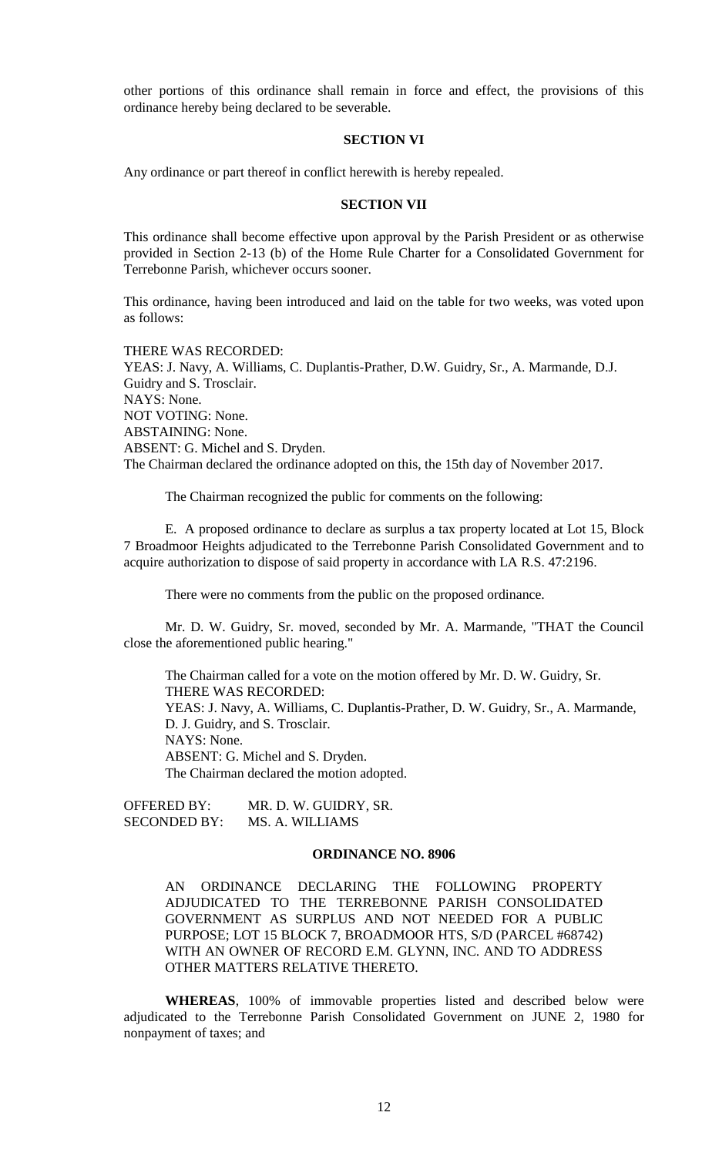other portions of this ordinance shall remain in force and effect, the provisions of this ordinance hereby being declared to be severable.

## **SECTION VI**

Any ordinance or part thereof in conflict herewith is hereby repealed.

### **SECTION VII**

This ordinance shall become effective upon approval by the Parish President or as otherwise provided in Section 2-13 (b) of the Home Rule Charter for a Consolidated Government for Terrebonne Parish, whichever occurs sooner.

This ordinance, having been introduced and laid on the table for two weeks, was voted upon as follows:

THERE WAS RECORDED: YEAS: J. Navy, A. Williams, C. Duplantis-Prather, D.W. Guidry, Sr., A. Marmande, D.J. Guidry and S. Trosclair. NAYS: None. NOT VOTING: None. ABSTAINING: None. ABSENT: G. Michel and S. Dryden. The Chairman declared the ordinance adopted on this, the 15th day of November 2017.

The Chairman recognized the public for comments on the following:

E. A proposed ordinance to declare as surplus a tax property located at Lot 15, Block 7 Broadmoor Heights adjudicated to the Terrebonne Parish Consolidated Government and to acquire authorization to dispose of said property in accordance with LA R.S. 47:2196.

There were no comments from the public on the proposed ordinance.

Mr. D. W. Guidry, Sr. moved, seconded by Mr. A. Marmande, "THAT the Council close the aforementioned public hearing."

The Chairman called for a vote on the motion offered by Mr. D. W. Guidry, Sr. THERE WAS RECORDED: YEAS: J. Navy, A. Williams, C. Duplantis-Prather, D. W. Guidry, Sr., A. Marmande, D. J. Guidry, and S. Trosclair. NAYS: None. ABSENT: G. Michel and S. Dryden. The Chairman declared the motion adopted.

OFFERED BY: MR. D. W. GUIDRY, SR. SECONDED BY: MS. A. WILLIAMS

### **ORDINANCE NO. 8906**

AN ORDINANCE DECLARING THE FOLLOWING PROPERTY ADJUDICATED TO THE TERREBONNE PARISH CONSOLIDATED GOVERNMENT AS SURPLUS AND NOT NEEDED FOR A PUBLIC PURPOSE; LOT 15 BLOCK 7, BROADMOOR HTS, S/D (PARCEL #68742) WITH AN OWNER OF RECORD E.M. GLYNN, INC. AND TO ADDRESS OTHER MATTERS RELATIVE THERETO.

**WHEREAS**, 100% of immovable properties listed and described below were adjudicated to the Terrebonne Parish Consolidated Government on JUNE 2, 1980 for nonpayment of taxes; and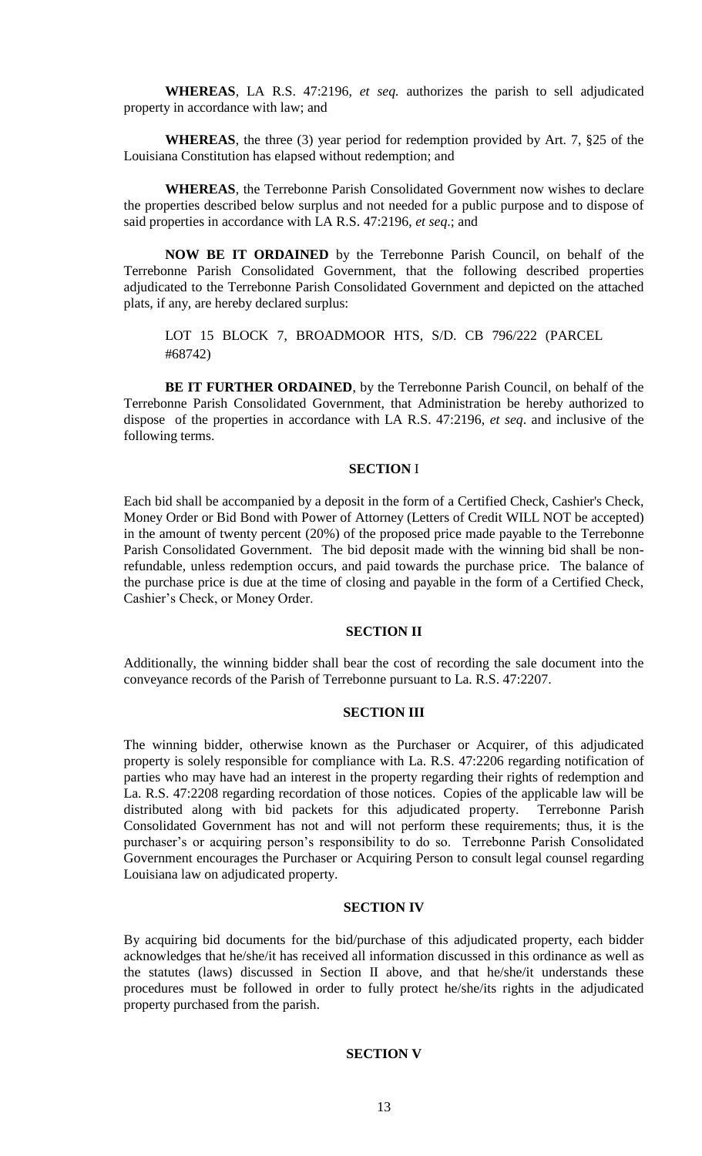**WHEREAS**, LA R.S. 47:2196, *et seq.* authorizes the parish to sell adjudicated property in accordance with law; and

**WHEREAS**, the three (3) year period for redemption provided by Art. 7, §25 of the Louisiana Constitution has elapsed without redemption; and

**WHEREAS**, the Terrebonne Parish Consolidated Government now wishes to declare the properties described below surplus and not needed for a public purpose and to dispose of said properties in accordance with LA R.S. 47:2196, *et seq*.; and

**NOW BE IT ORDAINED** by the Terrebonne Parish Council, on behalf of the Terrebonne Parish Consolidated Government, that the following described properties adjudicated to the Terrebonne Parish Consolidated Government and depicted on the attached plats, if any, are hereby declared surplus:

LOT 15 BLOCK 7, BROADMOOR HTS, S/D. CB 796/222 (PARCEL #68742)

**BE IT FURTHER ORDAINED**, by the Terrebonne Parish Council, on behalf of the Terrebonne Parish Consolidated Government, that Administration be hereby authorized to dispose of the properties in accordance with LA R.S. 47:2196, *et seq*. and inclusive of the following terms.

### **SECTION** I

Each bid shall be accompanied by a deposit in the form of a Certified Check, Cashier's Check, Money Order or Bid Bond with Power of Attorney (Letters of Credit WILL NOT be accepted) in the amount of twenty percent (20%) of the proposed price made payable to the Terrebonne Parish Consolidated Government. The bid deposit made with the winning bid shall be nonrefundable, unless redemption occurs, and paid towards the purchase price. The balance of the purchase price is due at the time of closing and payable in the form of a Certified Check, Cashier's Check, or Money Order.

## **SECTION II**

Additionally, the winning bidder shall bear the cost of recording the sale document into the conveyance records of the Parish of Terrebonne pursuant to La. R.S. 47:2207.

### **SECTION III**

The winning bidder, otherwise known as the Purchaser or Acquirer, of this adjudicated property is solely responsible for compliance with La. R.S. 47:2206 regarding notification of parties who may have had an interest in the property regarding their rights of redemption and La. R.S. 47:2208 regarding recordation of those notices. Copies of the applicable law will be distributed along with bid packets for this adjudicated property. Terrebonne Parish Consolidated Government has not and will not perform these requirements; thus, it is the purchaser's or acquiring person's responsibility to do so. Terrebonne Parish Consolidated Government encourages the Purchaser or Acquiring Person to consult legal counsel regarding Louisiana law on adjudicated property.

## **SECTION IV**

By acquiring bid documents for the bid/purchase of this adjudicated property, each bidder acknowledges that he/she/it has received all information discussed in this ordinance as well as the statutes (laws) discussed in Section II above, and that he/she/it understands these procedures must be followed in order to fully protect he/she/its rights in the adjudicated property purchased from the parish.

### **SECTION V**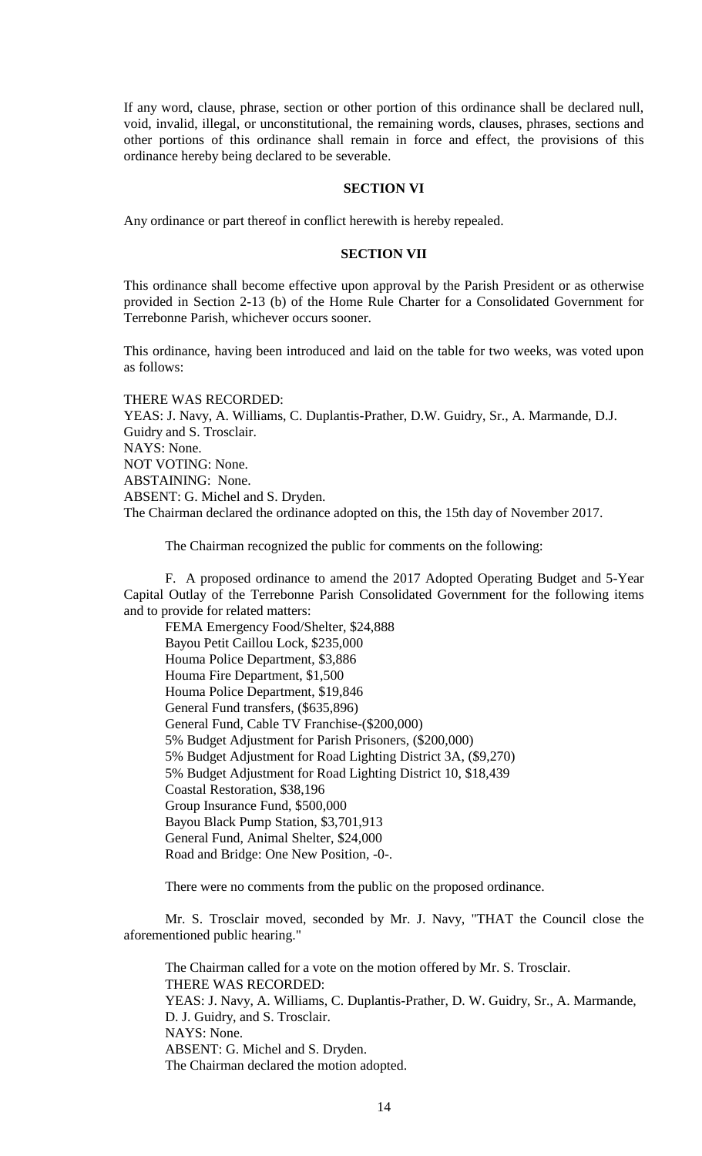If any word, clause, phrase, section or other portion of this ordinance shall be declared null, void, invalid, illegal, or unconstitutional, the remaining words, clauses, phrases, sections and other portions of this ordinance shall remain in force and effect, the provisions of this ordinance hereby being declared to be severable.

## **SECTION VI**

Any ordinance or part thereof in conflict herewith is hereby repealed.

### **SECTION VII**

This ordinance shall become effective upon approval by the Parish President or as otherwise provided in Section 2-13 (b) of the Home Rule Charter for a Consolidated Government for Terrebonne Parish, whichever occurs sooner.

This ordinance, having been introduced and laid on the table for two weeks, was voted upon as follows:

THERE WAS RECORDED: YEAS: J. Navy, A. Williams, C. Duplantis-Prather, D.W. Guidry, Sr., A. Marmande, D.J. Guidry and S. Trosclair. NAYS: None. NOT VOTING: None. ABSTAINING: None. ABSENT: G. Michel and S. Dryden. The Chairman declared the ordinance adopted on this, the 15th day of November 2017.

The Chairman recognized the public for comments on the following:

F. A proposed ordinance to amend the 2017 Adopted Operating Budget and 5-Year Capital Outlay of the Terrebonne Parish Consolidated Government for the following items and to provide for related matters:

FEMA Emergency Food/Shelter, \$24,888 Bayou Petit Caillou Lock, \$235,000 Houma Police Department, \$3,886 Houma Fire Department, \$1,500 Houma Police Department, \$19,846 General Fund transfers, (\$635,896) General Fund, Cable TV Franchise-(\$200,000) 5% Budget Adjustment for Parish Prisoners, (\$200,000) 5% Budget Adjustment for Road Lighting District 3A, (\$9,270) 5% Budget Adjustment for Road Lighting District 10, \$18,439 Coastal Restoration, \$38,196 Group Insurance Fund, \$500,000 Bayou Black Pump Station, \$3,701,913 General Fund, Animal Shelter, \$24,000 Road and Bridge: One New Position, -0-.

There were no comments from the public on the proposed ordinance.

Mr. S. Trosclair moved, seconded by Mr. J. Navy, "THAT the Council close the aforementioned public hearing."

The Chairman called for a vote on the motion offered by Mr. S. Trosclair. THERE WAS RECORDED: YEAS: J. Navy, A. Williams, C. Duplantis-Prather, D. W. Guidry, Sr., A. Marmande, D. J. Guidry, and S. Trosclair. NAYS: None. ABSENT: G. Michel and S. Dryden. The Chairman declared the motion adopted.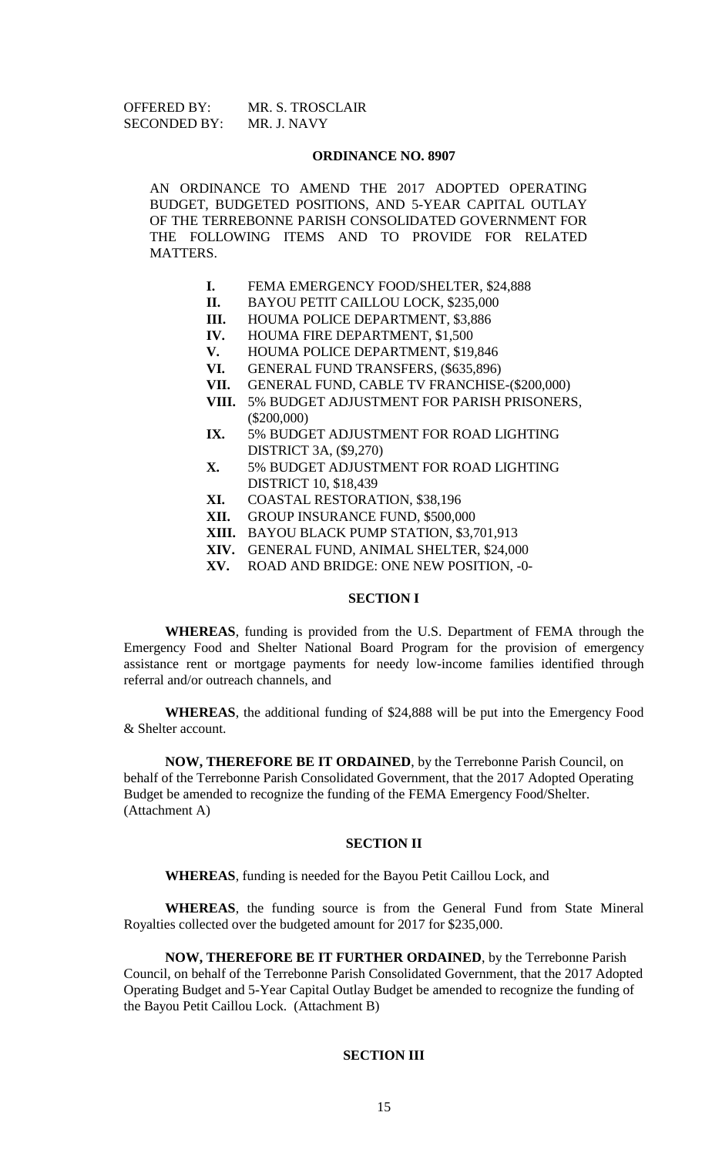| <b>OFFERED BY:</b>  | MR. S. TROSCLAIR |
|---------------------|------------------|
| <b>SECONDED BY:</b> | MR. J. NAVY      |

### **ORDINANCE NO. 8907**

AN ORDINANCE TO AMEND THE 2017 ADOPTED OPERATING BUDGET, BUDGETED POSITIONS, AND 5-YEAR CAPITAL OUTLAY OF THE TERREBONNE PARISH CONSOLIDATED GOVERNMENT FOR THE FOLLOWING ITEMS AND TO PROVIDE FOR RELATED MATTERS.

- **I.** FEMA EMERGENCY FOOD/SHELTER, \$24,888
- **II.** BAYOU PETIT CAILLOU LOCK, \$235,000
- **III.** HOUMA POLICE DEPARTMENT, \$3,886
- **IV.** HOUMA FIRE DEPARTMENT, \$1,500
- **V.** HOUMA POLICE DEPARTMENT, \$19,846
- **VI.** GENERAL FUND TRANSFERS, (\$635,896)
- **VII.** GENERAL FUND, CABLE TV FRANCHISE-(\$200,000)
- **VIII.** 5% BUDGET ADJUSTMENT FOR PARISH PRISONERS, (\$200,000)
- **IX.** 5% BUDGET ADJUSTMENT FOR ROAD LIGHTING DISTRICT 3A, (\$9,270)
- **X.** 5% BUDGET ADJUSTMENT FOR ROAD LIGHTING DISTRICT 10, \$18,439
- **XI.** COASTAL RESTORATION, \$38,196
- **XII.** GROUP INSURANCE FUND, \$500,000
- **XIII.** BAYOU BLACK PUMP STATION, \$3,701,913
- **XIV.** GENERAL FUND, ANIMAL SHELTER, \$24,000
	- **XV.** ROAD AND BRIDGE: ONE NEW POSITION, -0-

## **SECTION I**

**WHEREAS**, funding is provided from the U.S. Department of FEMA through the Emergency Food and Shelter National Board Program for the provision of emergency assistance rent or mortgage payments for needy low-income families identified through referral and/or outreach channels, and

**WHEREAS**, the additional funding of \$24,888 will be put into the Emergency Food & Shelter account.

**NOW, THEREFORE BE IT ORDAINED**, by the Terrebonne Parish Council, on behalf of the Terrebonne Parish Consolidated Government, that the 2017 Adopted Operating Budget be amended to recognize the funding of the FEMA Emergency Food/Shelter. (Attachment A)

#### **SECTION II**

**WHEREAS**, funding is needed for the Bayou Petit Caillou Lock, and

**WHEREAS**, the funding source is from the General Fund from State Mineral Royalties collected over the budgeted amount for 2017 for \$235,000.

**NOW, THEREFORE BE IT FURTHER ORDAINED**, by the Terrebonne Parish Council, on behalf of the Terrebonne Parish Consolidated Government, that the 2017 Adopted Operating Budget and 5-Year Capital Outlay Budget be amended to recognize the funding of the Bayou Petit Caillou Lock. (Attachment B)

### **SECTION III**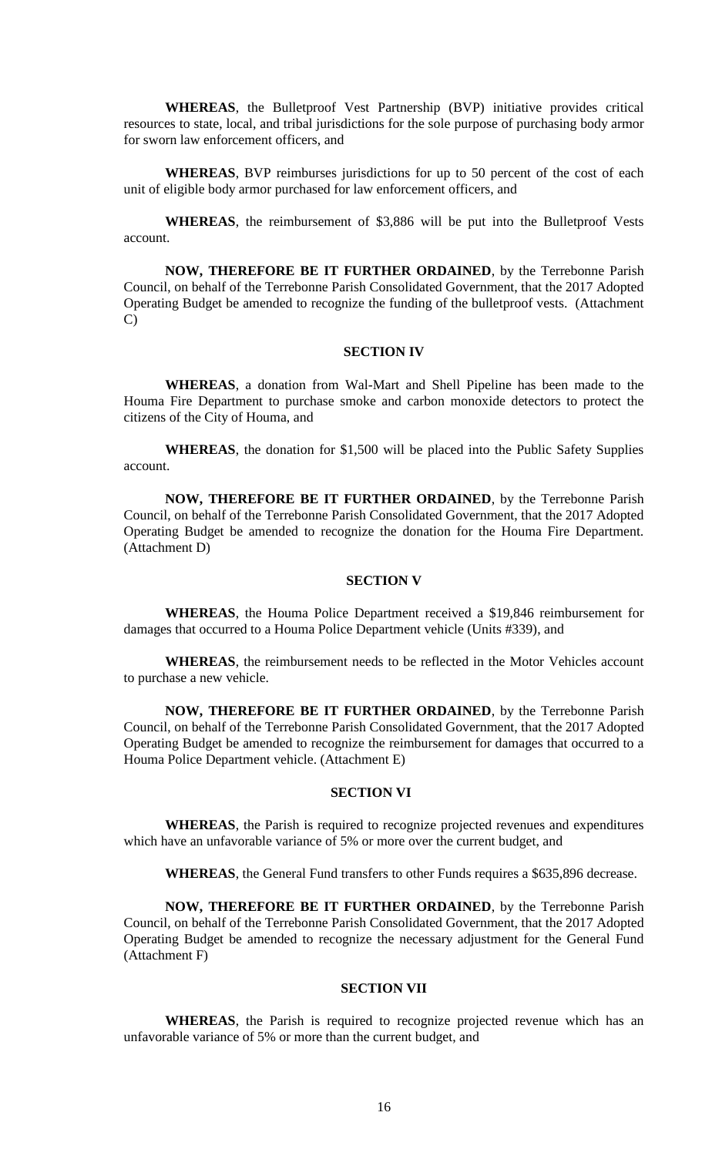**WHEREAS**, the Bulletproof Vest Partnership (BVP) initiative provides critical resources to state, local, and tribal jurisdictions for the sole purpose of purchasing body armor for sworn law enforcement officers, and

**WHEREAS**, BVP reimburses jurisdictions for up to 50 percent of the cost of each unit of eligible body armor purchased for law enforcement officers, and

**WHEREAS**, the reimbursement of \$3,886 will be put into the Bulletproof Vests account.

**NOW, THEREFORE BE IT FURTHER ORDAINED**, by the Terrebonne Parish Council, on behalf of the Terrebonne Parish Consolidated Government, that the 2017 Adopted Operating Budget be amended to recognize the funding of the bulletproof vests. (Attachment C)

### **SECTION IV**

**WHEREAS**, a donation from Wal-Mart and Shell Pipeline has been made to the Houma Fire Department to purchase smoke and carbon monoxide detectors to protect the citizens of the City of Houma, and

**WHEREAS**, the donation for \$1,500 will be placed into the Public Safety Supplies account.

**NOW, THEREFORE BE IT FURTHER ORDAINED**, by the Terrebonne Parish Council, on behalf of the Terrebonne Parish Consolidated Government, that the 2017 Adopted Operating Budget be amended to recognize the donation for the Houma Fire Department. (Attachment D)

# **SECTION V**

**WHEREAS**, the Houma Police Department received a \$19,846 reimbursement for damages that occurred to a Houma Police Department vehicle (Units #339), and

**WHEREAS**, the reimbursement needs to be reflected in the Motor Vehicles account to purchase a new vehicle.

**NOW, THEREFORE BE IT FURTHER ORDAINED**, by the Terrebonne Parish Council, on behalf of the Terrebonne Parish Consolidated Government, that the 2017 Adopted Operating Budget be amended to recognize the reimbursement for damages that occurred to a Houma Police Department vehicle. (Attachment E)

### **SECTION VI**

**WHEREAS**, the Parish is required to recognize projected revenues and expenditures which have an unfavorable variance of 5% or more over the current budget, and

**WHEREAS**, the General Fund transfers to other Funds requires a \$635,896 decrease.

**NOW, THEREFORE BE IT FURTHER ORDAINED**, by the Terrebonne Parish Council, on behalf of the Terrebonne Parish Consolidated Government, that the 2017 Adopted Operating Budget be amended to recognize the necessary adjustment for the General Fund (Attachment F)

#### **SECTION VII**

**WHEREAS**, the Parish is required to recognize projected revenue which has an unfavorable variance of 5% or more than the current budget, and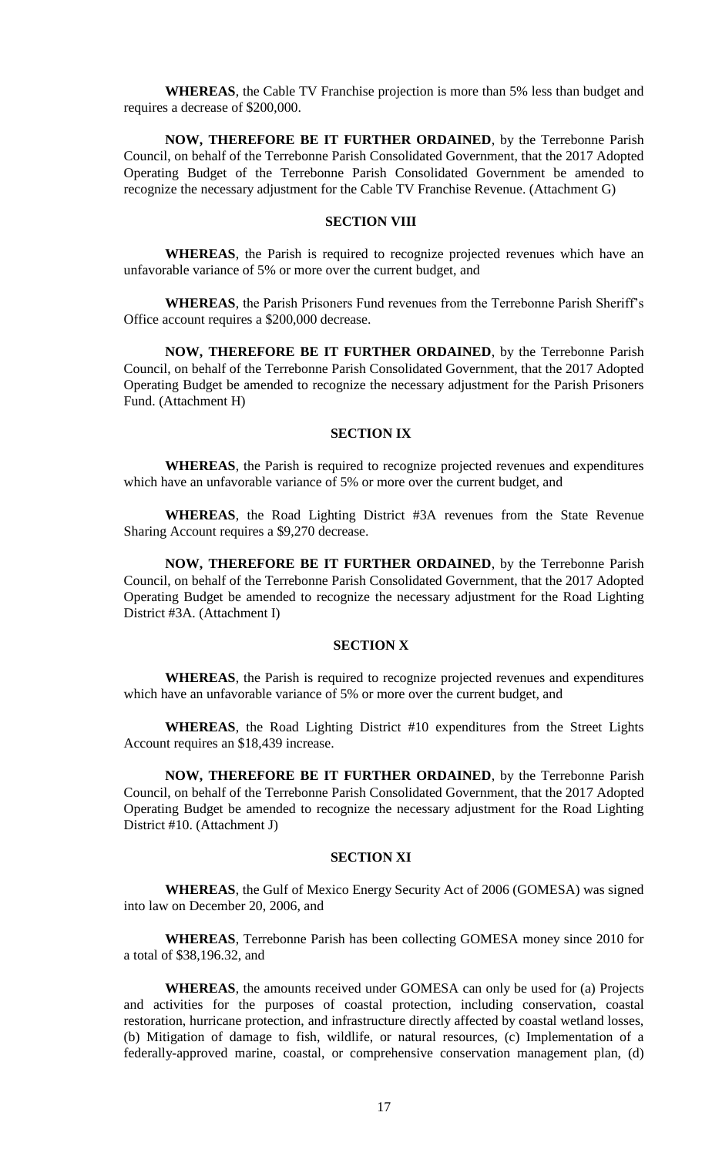**WHEREAS**, the Cable TV Franchise projection is more than 5% less than budget and requires a decrease of \$200,000.

**NOW, THEREFORE BE IT FURTHER ORDAINED**, by the Terrebonne Parish Council, on behalf of the Terrebonne Parish Consolidated Government, that the 2017 Adopted Operating Budget of the Terrebonne Parish Consolidated Government be amended to recognize the necessary adjustment for the Cable TV Franchise Revenue. (Attachment G)

# **SECTION VIII**

**WHEREAS**, the Parish is required to recognize projected revenues which have an unfavorable variance of 5% or more over the current budget, and

**WHEREAS**, the Parish Prisoners Fund revenues from the Terrebonne Parish Sheriff's Office account requires a \$200,000 decrease.

**NOW, THEREFORE BE IT FURTHER ORDAINED**, by the Terrebonne Parish Council, on behalf of the Terrebonne Parish Consolidated Government, that the 2017 Adopted Operating Budget be amended to recognize the necessary adjustment for the Parish Prisoners Fund. (Attachment H)

## **SECTION IX**

**WHEREAS**, the Parish is required to recognize projected revenues and expenditures which have an unfavorable variance of 5% or more over the current budget, and

**WHEREAS**, the Road Lighting District #3A revenues from the State Revenue Sharing Account requires a \$9,270 decrease.

**NOW, THEREFORE BE IT FURTHER ORDAINED**, by the Terrebonne Parish Council, on behalf of the Terrebonne Parish Consolidated Government, that the 2017 Adopted Operating Budget be amended to recognize the necessary adjustment for the Road Lighting District #3A. (Attachment I)

# **SECTION X**

**WHEREAS**, the Parish is required to recognize projected revenues and expenditures which have an unfavorable variance of 5% or more over the current budget, and

**WHEREAS**, the Road Lighting District #10 expenditures from the Street Lights Account requires an \$18,439 increase.

**NOW, THEREFORE BE IT FURTHER ORDAINED**, by the Terrebonne Parish Council, on behalf of the Terrebonne Parish Consolidated Government, that the 2017 Adopted Operating Budget be amended to recognize the necessary adjustment for the Road Lighting District #10. (Attachment J)

# **SECTION XI**

**WHEREAS**, the Gulf of Mexico Energy Security Act of 2006 (GOMESA) was signed into law on December 20, 2006, and

**WHEREAS**, Terrebonne Parish has been collecting GOMESA money since 2010 for a total of \$38,196.32, and

**WHEREAS**, the amounts received under GOMESA can only be used for (a) Projects and activities for the purposes of coastal protection, including conservation, coastal restoration, hurricane protection, and infrastructure directly affected by coastal wetland losses, (b) Mitigation of damage to fish, wildlife, or natural resources, (c) Implementation of a federally-approved marine, coastal, or comprehensive conservation management plan, (d)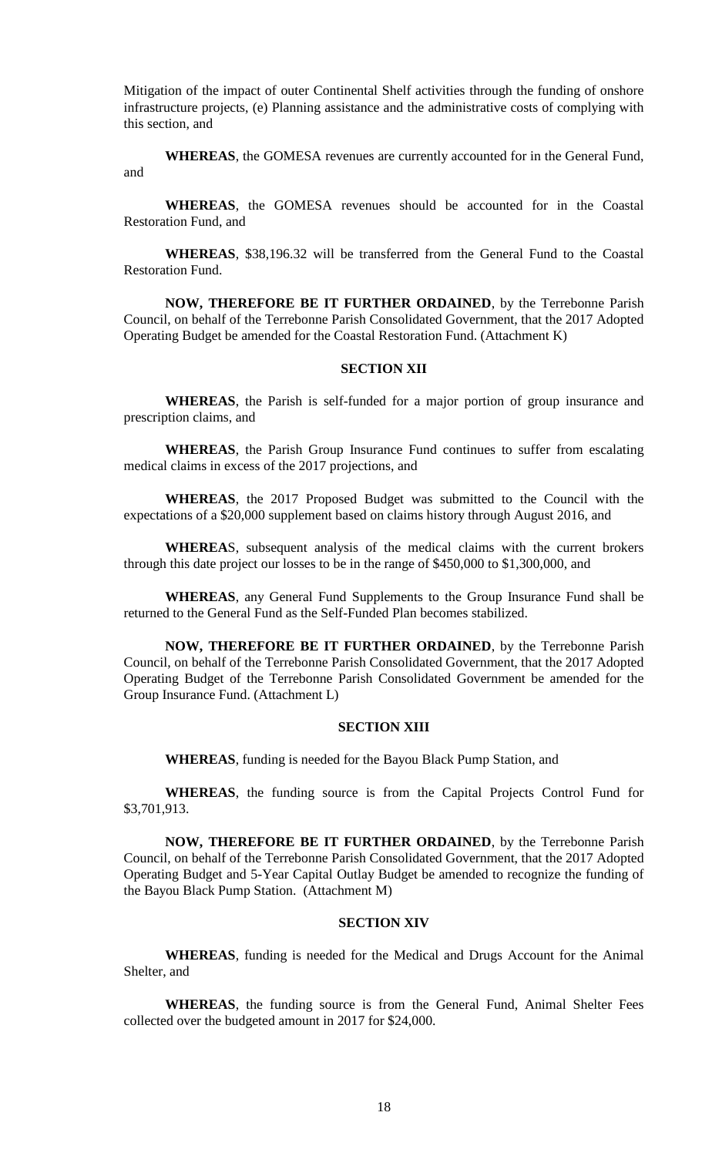Mitigation of the impact of outer Continental Shelf activities through the funding of onshore infrastructure projects, (e) Planning assistance and the administrative costs of complying with this section, and

**WHEREAS**, the GOMESA revenues are currently accounted for in the General Fund, and

**WHEREAS**, the GOMESA revenues should be accounted for in the Coastal Restoration Fund, and

**WHEREAS**, \$38,196.32 will be transferred from the General Fund to the Coastal Restoration Fund.

**NOW, THEREFORE BE IT FURTHER ORDAINED**, by the Terrebonne Parish Council, on behalf of the Terrebonne Parish Consolidated Government, that the 2017 Adopted Operating Budget be amended for the Coastal Restoration Fund. (Attachment K)

## **SECTION XII**

**WHEREAS**, the Parish is self-funded for a major portion of group insurance and prescription claims, and

**WHEREAS**, the Parish Group Insurance Fund continues to suffer from escalating medical claims in excess of the 2017 projections, and

**WHEREAS**, the 2017 Proposed Budget was submitted to the Council with the expectations of a \$20,000 supplement based on claims history through August 2016, and

**WHEREA**S, subsequent analysis of the medical claims with the current brokers through this date project our losses to be in the range of \$450,000 to \$1,300,000, and

**WHEREAS**, any General Fund Supplements to the Group Insurance Fund shall be returned to the General Fund as the Self-Funded Plan becomes stabilized.

**NOW, THEREFORE BE IT FURTHER ORDAINED**, by the Terrebonne Parish Council, on behalf of the Terrebonne Parish Consolidated Government, that the 2017 Adopted Operating Budget of the Terrebonne Parish Consolidated Government be amended for the Group Insurance Fund. (Attachment L)

### **SECTION XIII**

**WHEREAS**, funding is needed for the Bayou Black Pump Station, and

**WHEREAS**, the funding source is from the Capital Projects Control Fund for \$3,701,913.

**NOW, THEREFORE BE IT FURTHER ORDAINED**, by the Terrebonne Parish Council, on behalf of the Terrebonne Parish Consolidated Government, that the 2017 Adopted Operating Budget and 5-Year Capital Outlay Budget be amended to recognize the funding of the Bayou Black Pump Station. (Attachment M)

## **SECTION XIV**

**WHEREAS**, funding is needed for the Medical and Drugs Account for the Animal Shelter, and

**WHEREAS**, the funding source is from the General Fund, Animal Shelter Fees collected over the budgeted amount in 2017 for \$24,000.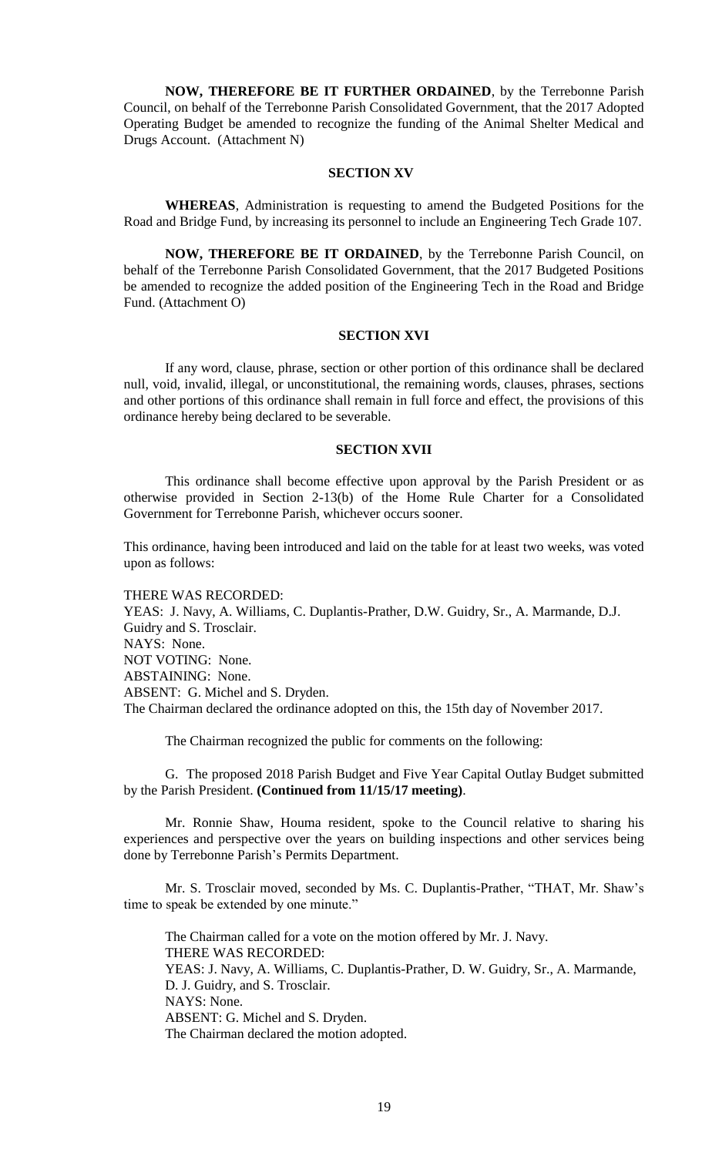**NOW, THEREFORE BE IT FURTHER ORDAINED**, by the Terrebonne Parish Council, on behalf of the Terrebonne Parish Consolidated Government, that the 2017 Adopted Operating Budget be amended to recognize the funding of the Animal Shelter Medical and Drugs Account. (Attachment N)

#### **SECTION XV**

**WHEREAS**, Administration is requesting to amend the Budgeted Positions for the Road and Bridge Fund, by increasing its personnel to include an Engineering Tech Grade 107.

**NOW, THEREFORE BE IT ORDAINED**, by the Terrebonne Parish Council, on behalf of the Terrebonne Parish Consolidated Government, that the 2017 Budgeted Positions be amended to recognize the added position of the Engineering Tech in the Road and Bridge Fund. (Attachment O)

## **SECTION XVI**

If any word, clause, phrase, section or other portion of this ordinance shall be declared null, void, invalid, illegal, or unconstitutional, the remaining words, clauses, phrases, sections and other portions of this ordinance shall remain in full force and effect, the provisions of this ordinance hereby being declared to be severable.

### **SECTION XVII**

This ordinance shall become effective upon approval by the Parish President or as otherwise provided in Section 2-13(b) of the Home Rule Charter for a Consolidated Government for Terrebonne Parish, whichever occurs sooner.

This ordinance, having been introduced and laid on the table for at least two weeks, was voted upon as follows:

THERE WAS RECORDED: YEAS: J. Navy, A. Williams, C. Duplantis-Prather, D.W. Guidry, Sr., A. Marmande, D.J. Guidry and S. Trosclair. NAYS: None. NOT VOTING: None. ABSTAINING: None. ABSENT: G. Michel and S. Dryden.

The Chairman declared the ordinance adopted on this, the 15th day of November 2017.

The Chairman recognized the public for comments on the following:

G. The proposed 2018 Parish Budget and Five Year Capital Outlay Budget submitted by the Parish President. **(Continued from 11/15/17 meeting)**.

Mr. Ronnie Shaw, Houma resident, spoke to the Council relative to sharing his experiences and perspective over the years on building inspections and other services being done by Terrebonne Parish's Permits Department.

Mr. S. Trosclair moved, seconded by Ms. C. Duplantis-Prather, "THAT, Mr. Shaw's time to speak be extended by one minute."

The Chairman called for a vote on the motion offered by Mr. J. Navy. THERE WAS RECORDED: YEAS: J. Navy, A. Williams, C. Duplantis-Prather, D. W. Guidry, Sr., A. Marmande, D. J. Guidry, and S. Trosclair. NAYS: None. ABSENT: G. Michel and S. Dryden. The Chairman declared the motion adopted.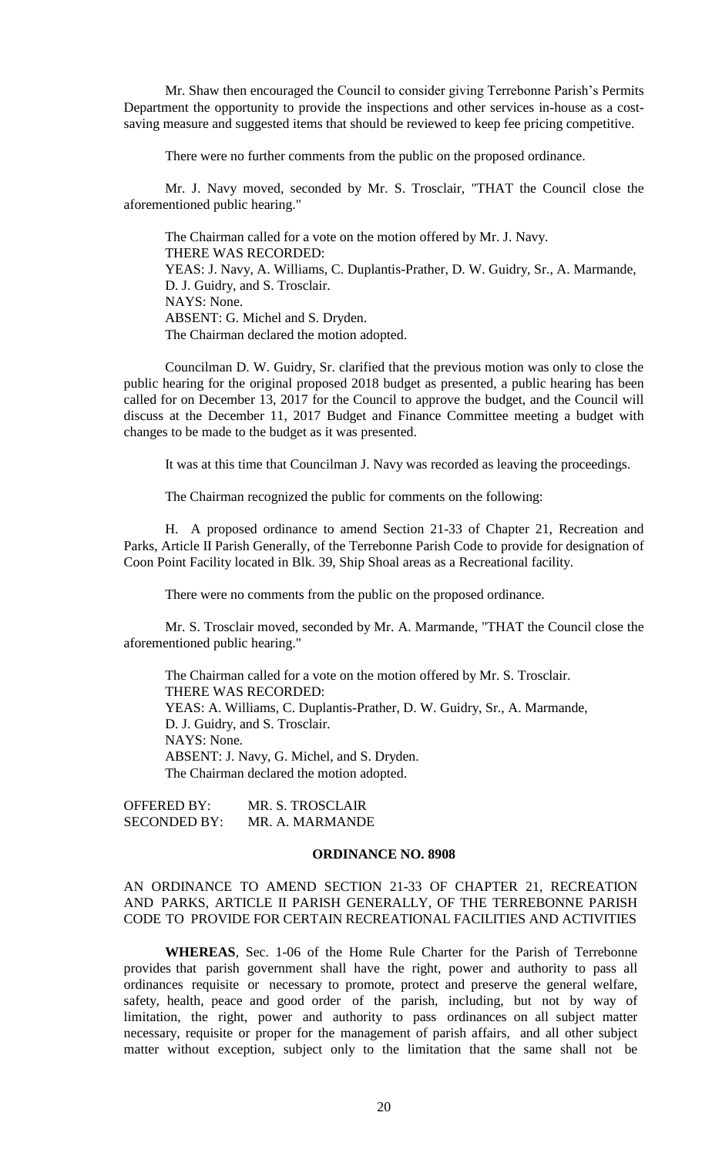Mr. Shaw then encouraged the Council to consider giving Terrebonne Parish's Permits Department the opportunity to provide the inspections and other services in-house as a costsaving measure and suggested items that should be reviewed to keep fee pricing competitive.

There were no further comments from the public on the proposed ordinance.

Mr. J. Navy moved, seconded by Mr. S. Trosclair, "THAT the Council close the aforementioned public hearing."

The Chairman called for a vote on the motion offered by Mr. J. Navy. THERE WAS RECORDED: YEAS: J. Navy, A. Williams, C. Duplantis-Prather, D. W. Guidry, Sr., A. Marmande, D. J. Guidry, and S. Trosclair. NAYS: None. ABSENT: G. Michel and S. Dryden. The Chairman declared the motion adopted.

Councilman D. W. Guidry, Sr. clarified that the previous motion was only to close the public hearing for the original proposed 2018 budget as presented, a public hearing has been called for on December 13, 2017 for the Council to approve the budget, and the Council will discuss at the December 11, 2017 Budget and Finance Committee meeting a budget with changes to be made to the budget as it was presented.

It was at this time that Councilman J. Navy was recorded as leaving the proceedings.

The Chairman recognized the public for comments on the following:

H. A proposed ordinance to amend Section 21-33 of Chapter 21, Recreation and Parks, Article II Parish Generally, of the Terrebonne Parish Code to provide for designation of Coon Point Facility located in Blk. 39, Ship Shoal areas as a Recreational facility.

There were no comments from the public on the proposed ordinance.

Mr. S. Trosclair moved, seconded by Mr. A. Marmande, "THAT the Council close the aforementioned public hearing."

The Chairman called for a vote on the motion offered by Mr. S. Trosclair. THERE WAS RECORDED: YEAS: A. Williams, C. Duplantis-Prather, D. W. Guidry, Sr., A. Marmande, D. J. Guidry, and S. Trosclair. NAYS: None. ABSENT: J. Navy, G. Michel, and S. Dryden. The Chairman declared the motion adopted.

OFFERED BY: MR. S. TROSCLAIR SECONDED BY: MR. A. MARMANDE

### **ORDINANCE NO. 8908**

# AN ORDINANCE TO AMEND SECTION 21-33 OF CHAPTER 21, RECREATION AND PARKS, ARTICLE II PARISH GENERALLY, OF THE TERREBONNE PARISH CODE TO PROVIDE FOR CERTAIN RECREATIONAL FACILITIES AND ACTIVITIES

**WHEREAS**, Sec. 1-06 of the Home Rule Charter for the Parish of Terrebonne provides that parish government shall have the right, power and authority to pass all ordinances requisite or necessary to promote, protect and preserve the general welfare, safety, health, peace and good order of the parish, including, but not by way of limitation, the right, power and authority to pass ordinances on all subject matter necessary, requisite or proper for the management of parish affairs, and all other subject matter without exception, subject only to the limitation that the same shall not be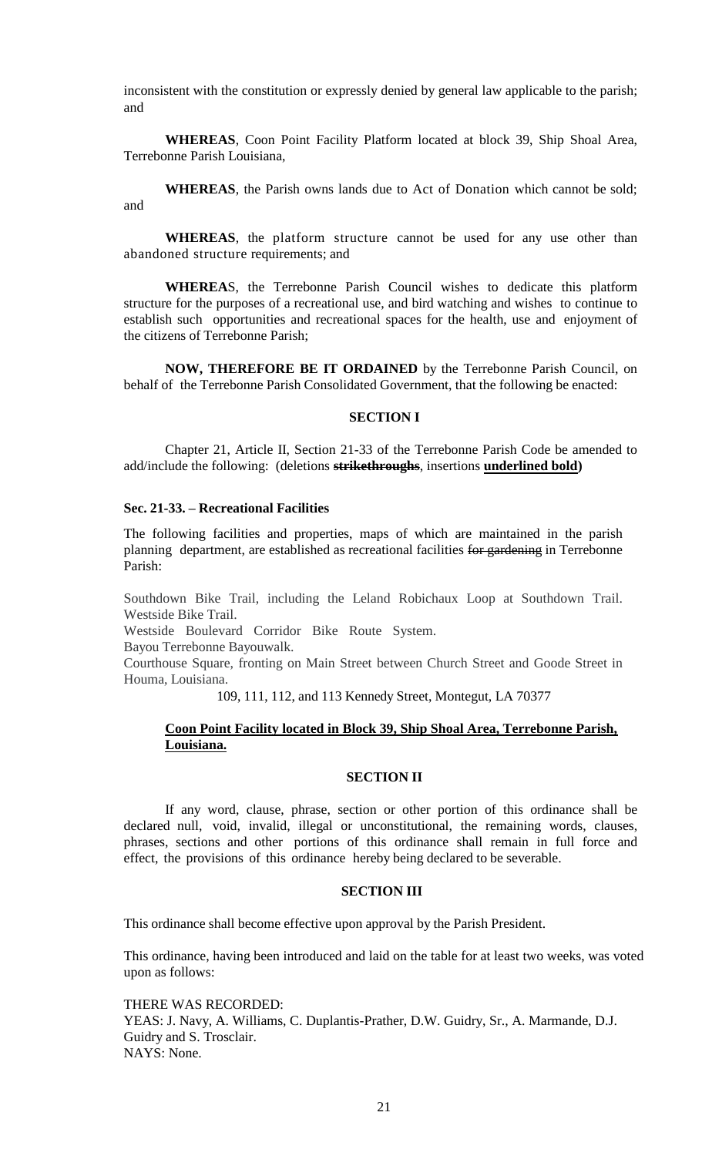inconsistent with the constitution or expressly denied by general law applicable to the parish; and

**WHEREAS**, Coon Point Facility Platform located at block 39, Ship Shoal Area, Terrebonne Parish Louisiana,

**WHEREAS**, the Parish owns lands due to Act of Donation which cannot be sold; and

**WHEREAS**, the platform structure cannot be used for any use other than abandoned structure requirements; and

**WHEREA**S, the Terrebonne Parish Council wishes to dedicate this platform structure for the purposes of a recreational use, and bird watching and wishes to continue to establish such opportunities and recreational spaces for the health, use and enjoyment of the citizens of Terrebonne Parish;

**NOW, THEREFORE BE IT ORDAINED** by the Terrebonne Parish Council, on behalf of the Terrebonne Parish Consolidated Government, that the following be enacted:

## **SECTION I**

 Chapter 21, Article II, Section 21-33 of the Terrebonne Parish Code be amended to add/include the following: (deletions **strikethroughs**, insertions **underlined bold)**

## **Sec. 21-33. – Recreational Facilities**

The following facilities and properties, maps of which are maintained in the parish planning department, are established as recreational facilities for gardening in Terrebonne Parish:

Southdown Bike Trail, including the Leland Robichaux Loop at Southdown Trail. Westside Bike Trail.

Westside Boulevard Corridor Bike Route System.

Bayou Terrebonne Bayouwalk.

Courthouse Square, fronting on Main Street between Church Street and Goode Street in Houma, Louisiana.

109, 111, 112, and 113 Kennedy Street, Montegut, LA 70377

## **Coon Point Facility located in Block 39, Ship Shoal Area, Terrebonne Parish, Louisiana.**

## **SECTION II**

If any word, clause, phrase, section or other portion of this ordinance shall be declared null, void, invalid, illegal or unconstitutional, the remaining words, clauses, phrases, sections and other portions of this ordinance shall remain in full force and effect, the provisions of this ordinance hereby being declared to be severable.

## **SECTION III**

This ordinance shall become effective upon approval by the Parish President.

This ordinance, having been introduced and laid on the table for at least two weeks, was voted upon as follows:

THERE WAS RECORDED: YEAS: J. Navy, A. Williams, C. Duplantis-Prather, D.W. Guidry, Sr., A. Marmande, D.J. Guidry and S. Trosclair. NAYS: None.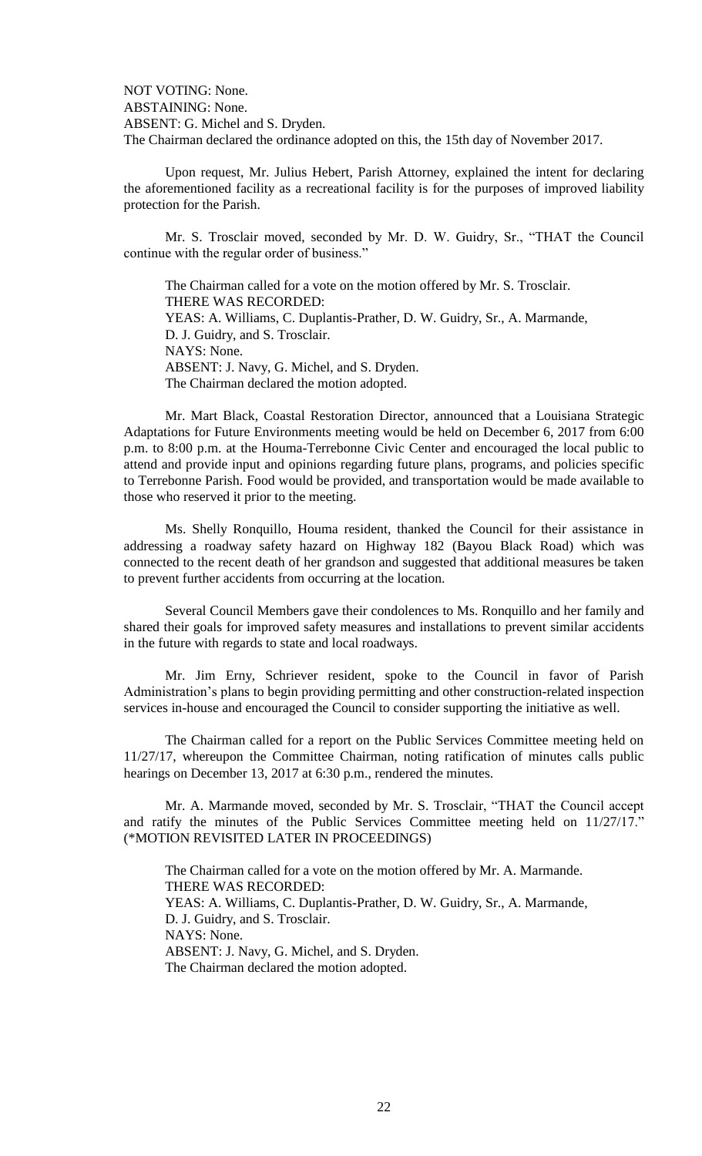NOT VOTING: None. ABSTAINING: None. ABSENT: G. Michel and S. Dryden. The Chairman declared the ordinance adopted on this, the 15th day of November 2017.

Upon request, Mr. Julius Hebert, Parish Attorney, explained the intent for declaring the aforementioned facility as a recreational facility is for the purposes of improved liability protection for the Parish.

Mr. S. Trosclair moved, seconded by Mr. D. W. Guidry, Sr., "THAT the Council continue with the regular order of business."

The Chairman called for a vote on the motion offered by Mr. S. Trosclair. THERE WAS RECORDED: YEAS: A. Williams, C. Duplantis-Prather, D. W. Guidry, Sr., A. Marmande, D. J. Guidry, and S. Trosclair. NAYS: None. ABSENT: J. Navy, G. Michel, and S. Dryden. The Chairman declared the motion adopted.

Mr. Mart Black, Coastal Restoration Director, announced that a Louisiana Strategic Adaptations for Future Environments meeting would be held on December 6, 2017 from 6:00 p.m. to 8:00 p.m. at the Houma-Terrebonne Civic Center and encouraged the local public to attend and provide input and opinions regarding future plans, programs, and policies specific to Terrebonne Parish. Food would be provided, and transportation would be made available to those who reserved it prior to the meeting.

Ms. Shelly Ronquillo, Houma resident, thanked the Council for their assistance in addressing a roadway safety hazard on Highway 182 (Bayou Black Road) which was connected to the recent death of her grandson and suggested that additional measures be taken to prevent further accidents from occurring at the location.

Several Council Members gave their condolences to Ms. Ronquillo and her family and shared their goals for improved safety measures and installations to prevent similar accidents in the future with regards to state and local roadways.

Mr. Jim Erny, Schriever resident, spoke to the Council in favor of Parish Administration's plans to begin providing permitting and other construction-related inspection services in-house and encouraged the Council to consider supporting the initiative as well.

The Chairman called for a report on the Public Services Committee meeting held on 11/27/17, whereupon the Committee Chairman, noting ratification of minutes calls public hearings on December 13, 2017 at 6:30 p.m., rendered the minutes.

Mr. A. Marmande moved, seconded by Mr. S. Trosclair, "THAT the Council accept and ratify the minutes of the Public Services Committee meeting held on 11/27/17." (\*MOTION REVISITED LATER IN PROCEEDINGS)

The Chairman called for a vote on the motion offered by Mr. A. Marmande. THERE WAS RECORDED: YEAS: A. Williams, C. Duplantis-Prather, D. W. Guidry, Sr., A. Marmande, D. J. Guidry, and S. Trosclair. NAYS: None. ABSENT: J. Navy, G. Michel, and S. Dryden. The Chairman declared the motion adopted.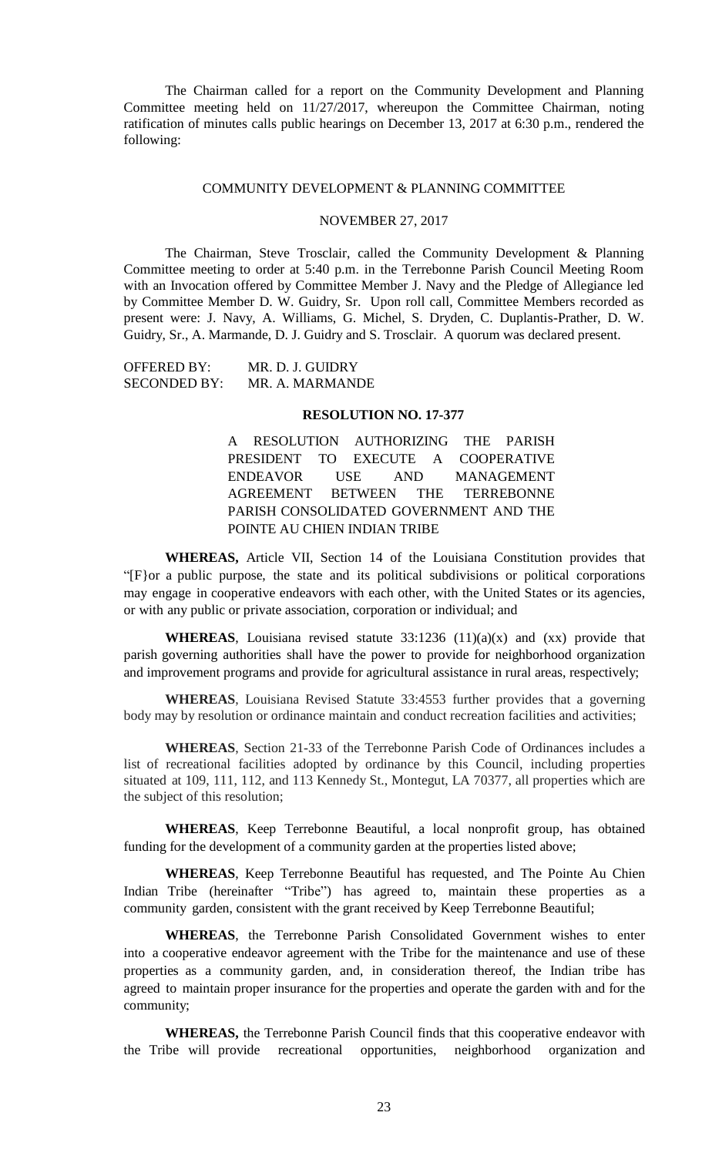The Chairman called for a report on the Community Development and Planning Committee meeting held on 11/27/2017, whereupon the Committee Chairman, noting ratification of minutes calls public hearings on December 13, 2017 at 6:30 p.m., rendered the following:

### COMMUNITY DEVELOPMENT & PLANNING COMMITTEE

## NOVEMBER 27, 2017

The Chairman, Steve Trosclair, called the Community Development & Planning Committee meeting to order at 5:40 p.m. in the Terrebonne Parish Council Meeting Room with an Invocation offered by Committee Member J. Navy and the Pledge of Allegiance led by Committee Member D. W. Guidry, Sr. Upon roll call, Committee Members recorded as present were: J. Navy, A. Williams, G. Michel, S. Dryden, C. Duplantis-Prather, D. W. Guidry, Sr., A. Marmande, D. J. Guidry and S. Trosclair. A quorum was declared present.

OFFERED BY: MR. D. J. GUIDRY SECONDED BY: MR. A. MARMANDE

# **RESOLUTION NO. 17-377**

A RESOLUTION AUTHORIZING THE PARISH PRESIDENT TO EXECUTE A COOPERATIVE ENDEAVOR USE AND MANAGEMENT AGREEMENT BETWEEN THE TERREBONNE PARISH CONSOLIDATED GOVERNMENT AND THE POINTE AU CHIEN INDIAN TRIBE

**WHEREAS,** Article VII, Section 14 of the Louisiana Constitution provides that "[F}or a public purpose, the state and its political subdivisions or political corporations may engage in cooperative endeavors with each other, with the United States or its agencies, or with any public or private association, corporation or individual; and

**WHEREAS**, Louisiana revised statute  $33:1236$   $(11)(a)(x)$  and  $(xx)$  provide that parish governing authorities shall have the power to provide for neighborhood organization and improvement programs and provide for agricultural assistance in rural areas, respectively;

**WHEREAS**, Louisiana Revised Statute 33:4553 further provides that a governing body may by resolution or ordinance maintain and conduct recreation facilities and activities;

**WHEREAS**, Section 21-33 of the Terrebonne Parish Code of Ordinances includes a list of recreational facilities adopted by ordinance by this Council, including properties situated at 109, 111, 112, and 113 Kennedy St., Montegut, LA 70377, all properties which are the subject of this resolution;

**WHEREAS**, Keep Terrebonne Beautiful, a local nonprofit group, has obtained funding for the development of a community garden at the properties listed above;

**WHEREAS**, Keep Terrebonne Beautiful has requested, and The Pointe Au Chien Indian Tribe (hereinafter "Tribe") has agreed to, maintain these properties as a community garden, consistent with the grant received by Keep Terrebonne Beautiful;

**WHEREAS**, the Terrebonne Parish Consolidated Government wishes to enter into a cooperative endeavor agreement with the Tribe for the maintenance and use of these properties as a community garden, and, in consideration thereof, the Indian tribe has agreed to maintain proper insurance for the properties and operate the garden with and for the community;

**WHEREAS,** the Terrebonne Parish Council finds that this cooperative endeavor with the Tribe will provide recreational opportunities, neighborhood organization and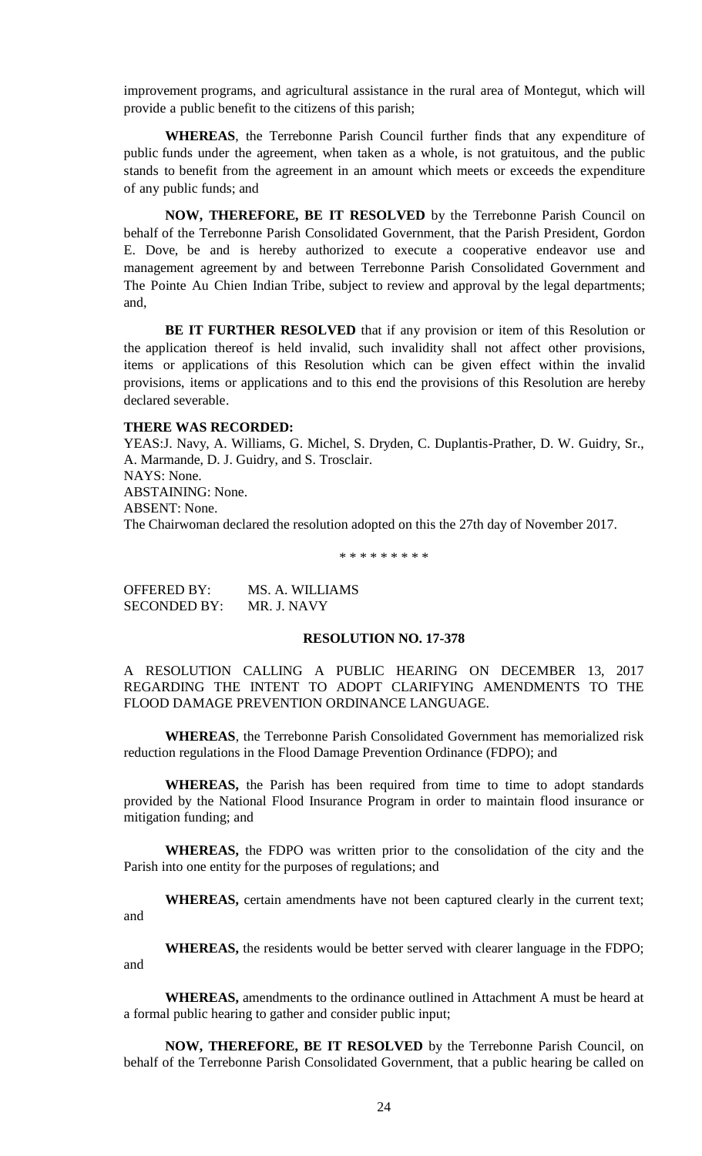improvement programs, and agricultural assistance in the rural area of Montegut, which will provide a public benefit to the citizens of this parish;

**WHEREAS**, the Terrebonne Parish Council further finds that any expenditure of public funds under the agreement, when taken as a whole, is not gratuitous, and the public stands to benefit from the agreement in an amount which meets or exceeds the expenditure of any public funds; and

**NOW, THEREFORE, BE IT RESOLVED** by the Terrebonne Parish Council on behalf of the Terrebonne Parish Consolidated Government, that the Parish President, Gordon E. Dove, be and is hereby authorized to execute a cooperative endeavor use and management agreement by and between Terrebonne Parish Consolidated Government and The Pointe Au Chien Indian Tribe, subject to review and approval by the legal departments; and,

**BE IT FURTHER RESOLVED** that if any provision or item of this Resolution or the application thereof is held invalid, such invalidity shall not affect other provisions, items or applications of this Resolution which can be given effect within the invalid provisions, items or applications and to this end the provisions of this Resolution are hereby declared severable.

### **THERE WAS RECORDED:**

YEAS:J. Navy, A. Williams, G. Michel, S. Dryden, C. Duplantis-Prather, D. W. Guidry, Sr., A. Marmande, D. J. Guidry, and S. Trosclair. NAYS: None. ABSTAINING: None. ABSENT: None. The Chairwoman declared the resolution adopted on this the 27th day of November 2017.

\* \* \* \* \* \* \* \* \*

OFFERED BY: MS. A. WILLIAMS SECONDED BY: MR. J. NAVY

## **RESOLUTION NO. 17-378**

A RESOLUTION CALLING A PUBLIC HEARING ON DECEMBER 13, 2017 REGARDING THE INTENT TO ADOPT CLARIFYING AMENDMENTS TO THE FLOOD DAMAGE PREVENTION ORDINANCE LANGUAGE.

**WHEREAS**, the Terrebonne Parish Consolidated Government has memorialized risk reduction regulations in the Flood Damage Prevention Ordinance (FDPO); and

**WHEREAS,** the Parish has been required from time to time to adopt standards provided by the National Flood Insurance Program in order to maintain flood insurance or mitigation funding; and

**WHEREAS,** the FDPO was written prior to the consolidation of the city and the Parish into one entity for the purposes of regulations; and

**WHEREAS,** certain amendments have not been captured clearly in the current text; and

**WHEREAS,** the residents would be better served with clearer language in the FDPO; and

**WHEREAS,** amendments to the ordinance outlined in Attachment A must be heard at a formal public hearing to gather and consider public input;

**NOW, THEREFORE, BE IT RESOLVED** by the Terrebonne Parish Council, on behalf of the Terrebonne Parish Consolidated Government, that a public hearing be called on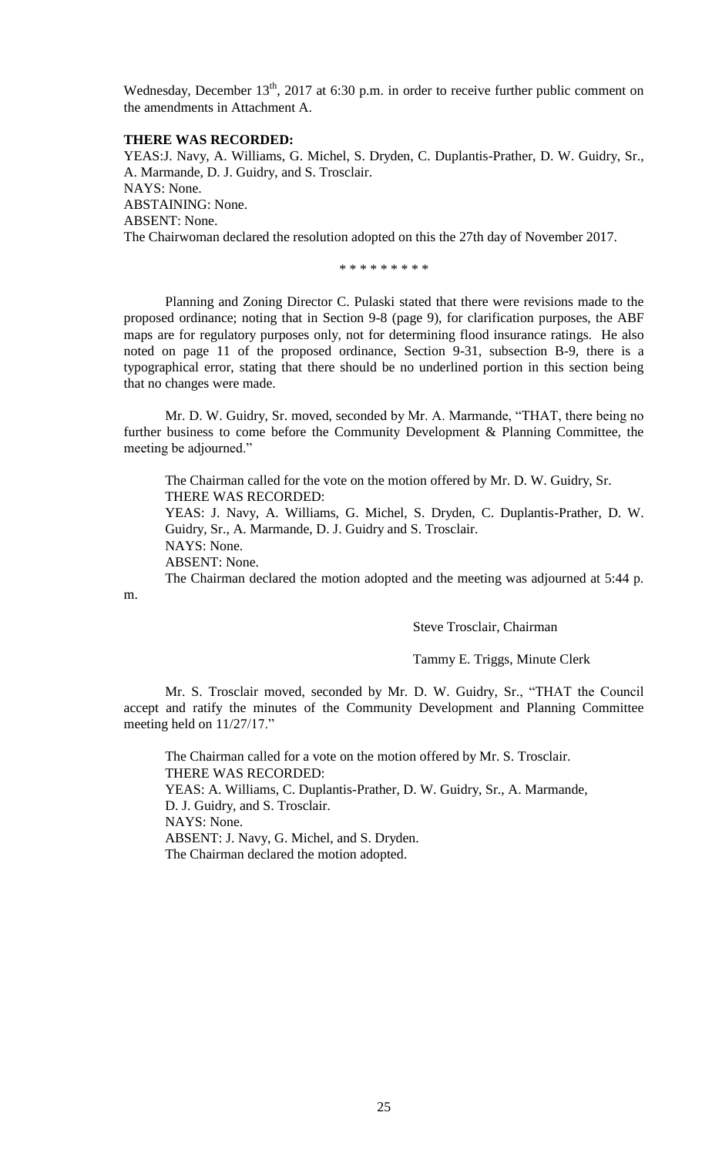Wednesday, December  $13<sup>th</sup>$ , 2017 at 6:30 p.m. in order to receive further public comment on the amendments in Attachment A.

# **THERE WAS RECORDED:**

YEAS:J. Navy, A. Williams, G. Michel, S. Dryden, C. Duplantis-Prather, D. W. Guidry, Sr., A. Marmande, D. J. Guidry, and S. Trosclair. NAYS: None. ABSTAINING: None. ABSENT: None. The Chairwoman declared the resolution adopted on this the 27th day of November 2017.

\* \* \* \* \* \* \* \* \*

Planning and Zoning Director C. Pulaski stated that there were revisions made to the proposed ordinance; noting that in Section 9-8 (page 9), for clarification purposes, the ABF maps are for regulatory purposes only, not for determining flood insurance ratings. He also noted on page 11 of the proposed ordinance, Section 9-31, subsection B-9, there is a typographical error, stating that there should be no underlined portion in this section being that no changes were made.

Mr. D. W. Guidry, Sr. moved, seconded by Mr. A. Marmande, "THAT, there being no further business to come before the Community Development & Planning Committee, the meeting be adjourned."

The Chairman called for the vote on the motion offered by Mr. D. W. Guidry, Sr. THERE WAS RECORDED:

YEAS: J. Navy, A. Williams, G. Michel, S. Dryden, C. Duplantis-Prather, D. W. Guidry, Sr., A. Marmande, D. J. Guidry and S. Trosclair. NAYS: None.

ABSENT: None.

m.

The Chairman declared the motion adopted and the meeting was adjourned at 5:44 p.

Steve Trosclair, Chairman

## Tammy E. Triggs, Minute Clerk

Mr. S. Trosclair moved, seconded by Mr. D. W. Guidry, Sr., "THAT the Council accept and ratify the minutes of the Community Development and Planning Committee meeting held on 11/27/17."

The Chairman called for a vote on the motion offered by Mr. S. Trosclair. THERE WAS RECORDED: YEAS: A. Williams, C. Duplantis-Prather, D. W. Guidry, Sr., A. Marmande, D. J. Guidry, and S. Trosclair. NAYS: None. ABSENT: J. Navy, G. Michel, and S. Dryden. The Chairman declared the motion adopted.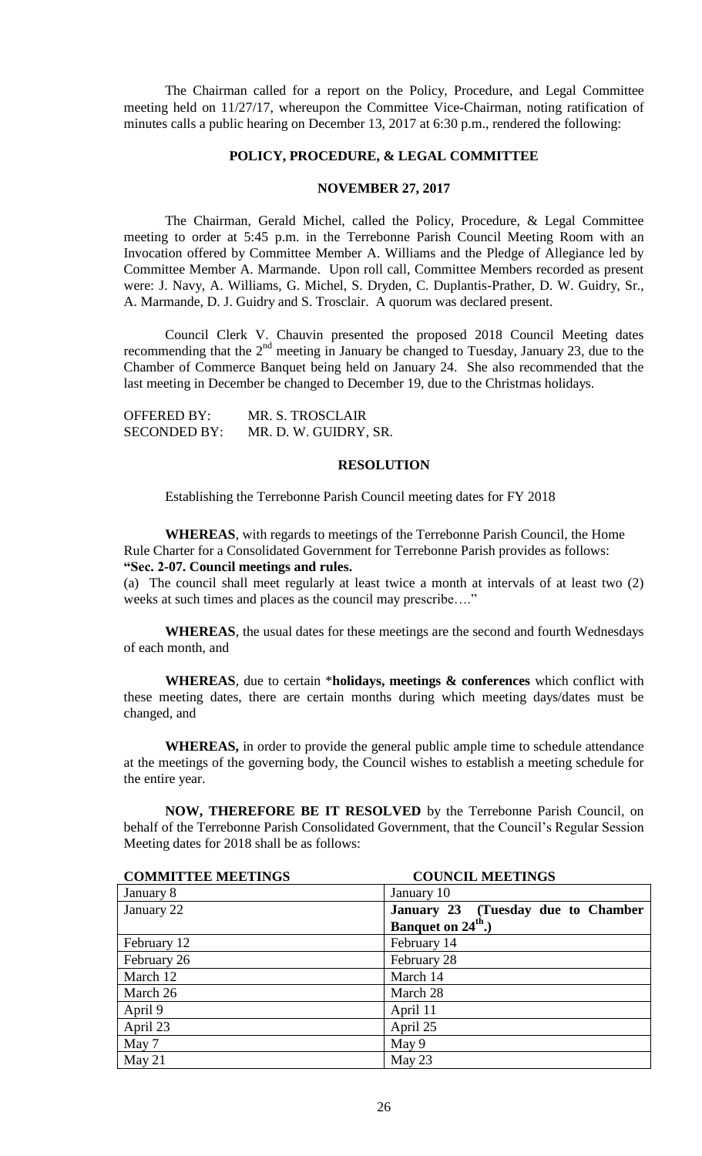The Chairman called for a report on the Policy, Procedure, and Legal Committee meeting held on 11/27/17, whereupon the Committee Vice-Chairman, noting ratification of minutes calls a public hearing on December 13, 2017 at 6:30 p.m., rendered the following:

# **POLICY, PROCEDURE, & LEGAL COMMITTEE**

## **NOVEMBER 27, 2017**

The Chairman, Gerald Michel, called the Policy, Procedure, & Legal Committee meeting to order at 5:45 p.m. in the Terrebonne Parish Council Meeting Room with an Invocation offered by Committee Member A. Williams and the Pledge of Allegiance led by Committee Member A. Marmande. Upon roll call, Committee Members recorded as present were: J. Navy, A. Williams, G. Michel, S. Dryden, C. Duplantis-Prather, D. W. Guidry, Sr., A. Marmande, D. J. Guidry and S. Trosclair. A quorum was declared present.

Council Clerk V. Chauvin presented the proposed 2018 Council Meeting dates recommending that the  $2<sup>nd</sup>$  meeting in January be changed to Tuesday, January 23, due to the Chamber of Commerce Banquet being held on January 24. She also recommended that the last meeting in December be changed to December 19, due to the Christmas holidays.

| <b>OFFERED BY:</b>  | MR. S. TROSCLAIR      |
|---------------------|-----------------------|
| <b>SECONDED BY:</b> | MR. D. W. GUIDRY, SR. |

### **RESOLUTION**

Establishing the Terrebonne Parish Council meeting dates for FY 2018

**WHEREAS**, with regards to meetings of the Terrebonne Parish Council, the Home Rule Charter for a Consolidated Government for Terrebonne Parish provides as follows: **"Sec. 2-07. Council meetings and rules.**

(a) The council shall meet regularly at least twice a month at intervals of at least two (2) weeks at such times and places as the council may prescribe…."

**WHEREAS**, the usual dates for these meetings are the second and fourth Wednesdays of each month, and

**WHEREAS**, due to certain \***holidays, meetings & conferences** which conflict with these meeting dates, there are certain months during which meeting days/dates must be changed, and

**WHEREAS,** in order to provide the general public ample time to schedule attendance at the meetings of the governing body, the Council wishes to establish a meeting schedule for the entire year.

**NOW, THEREFORE BE IT RESOLVED** by the Terrebonne Parish Council, on behalf of the Terrebonne Parish Consolidated Government, that the Council's Regular Session Meeting dates for 2018 shall be as follows:

| <b>COMMITTEE MEETINGS</b> | <b>COUNCIL MEETINGS</b>            |
|---------------------------|------------------------------------|
| January 8                 | January 10                         |
| January 22                | January 23 (Tuesday due to Chamber |
|                           | Banquet on 24 <sup>th</sup> .)     |
| February 12               | February 14                        |
| February 26               | February 28                        |
| March 12                  | March 14                           |
| March 26                  | March 28                           |
| April 9                   | April 11                           |
| April 23                  | April 25                           |
| May 7                     | May 9                              |
| May $21$                  | May 23                             |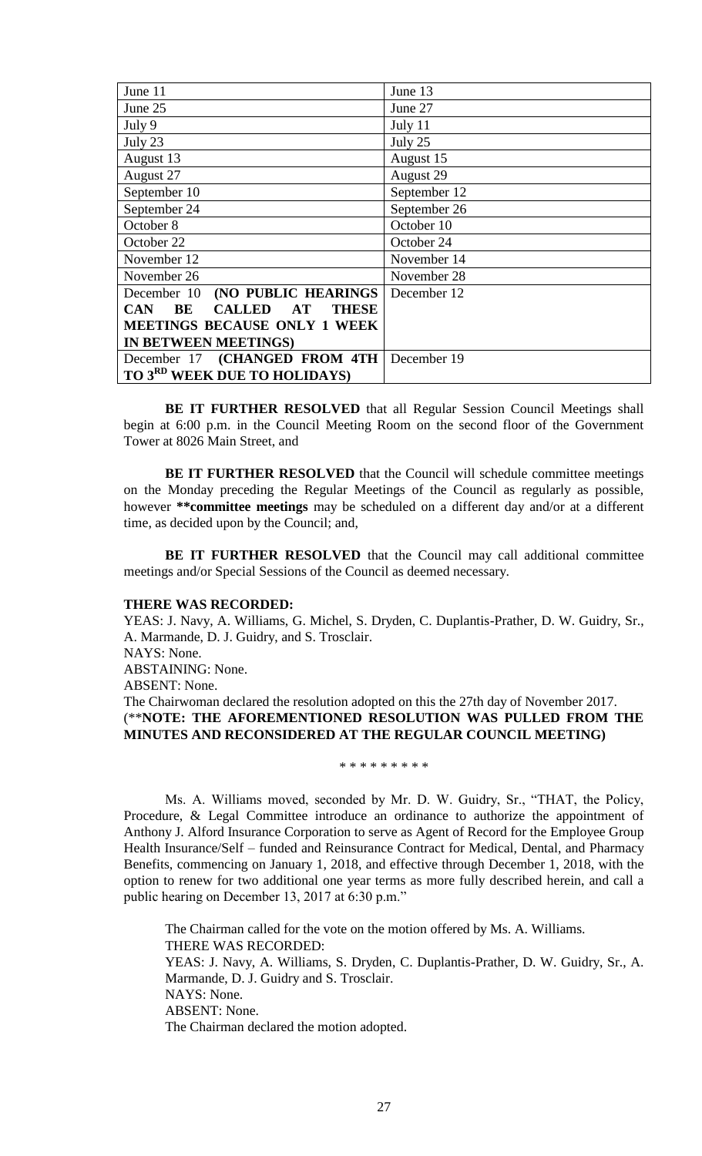| June 11                                                       | June 13      |
|---------------------------------------------------------------|--------------|
| June 25                                                       | June 27      |
| July 9                                                        | July 11      |
| July 23                                                       | July 25      |
| August 13                                                     | August 15    |
| August 27                                                     | August 29    |
| September 10                                                  | September 12 |
| September 24                                                  | September 26 |
| October 8                                                     | October 10   |
| October 22                                                    | October 24   |
| November 12                                                   | November 14  |
| November 26                                                   | November 28  |
| December 10 (NO PUBLIC HEARINGS                               | December 12  |
| <b>CALLED</b><br>BE<br>$\bf AT$<br><b>THESE</b><br><b>CAN</b> |              |
| <b>MEETINGS BECAUSE ONLY 1 WEEK</b>                           |              |
| IN BETWEEN MEETINGS)                                          |              |
| December 17 (CHANGED FROM 4TH                                 | December 19  |
| TO 3 <sup>RD</sup> WEEK DUE TO HOLIDAYS)                      |              |

**BE IT FURTHER RESOLVED** that all Regular Session Council Meetings shall begin at 6:00 p.m. in the Council Meeting Room on the second floor of the Government Tower at 8026 Main Street, and

**BE IT FURTHER RESOLVED** that the Council will schedule committee meetings on the Monday preceding the Regular Meetings of the Council as regularly as possible, however **\*\*committee meetings** may be scheduled on a different day and/or at a different time, as decided upon by the Council; and,

**BE IT FURTHER RESOLVED** that the Council may call additional committee meetings and/or Special Sessions of the Council as deemed necessary.

### **THERE WAS RECORDED:**

YEAS: J. Navy, A. Williams, G. Michel, S. Dryden, C. Duplantis-Prather, D. W. Guidry, Sr., A. Marmande, D. J. Guidry, and S. Trosclair. NAYS: None. ABSTAINING: None.

ABSENT: None.

The Chairwoman declared the resolution adopted on this the 27th day of November 2017. (\*\***NOTE: THE AFOREMENTIONED RESOLUTION WAS PULLED FROM THE MINUTES AND RECONSIDERED AT THE REGULAR COUNCIL MEETING)**

\* \* \* \* \* \* \* \* \*

Ms. A. Williams moved, seconded by Mr. D. W. Guidry, Sr., "THAT, the Policy, Procedure, & Legal Committee introduce an ordinance to authorize the appointment of Anthony J. Alford Insurance Corporation to serve as Agent of Record for the Employee Group Health Insurance/Self – funded and Reinsurance Contract for Medical, Dental, and Pharmacy Benefits, commencing on January 1, 2018, and effective through December 1, 2018, with the option to renew for two additional one year terms as more fully described herein, and call a public hearing on December 13, 2017 at 6:30 p.m."

The Chairman called for the vote on the motion offered by Ms. A. Williams. THERE WAS RECORDED: YEAS: J. Navy, A. Williams, S. Dryden, C. Duplantis-Prather, D. W. Guidry, Sr., A. Marmande, D. J. Guidry and S. Trosclair. NAYS: None. ABSENT: None. The Chairman declared the motion adopted.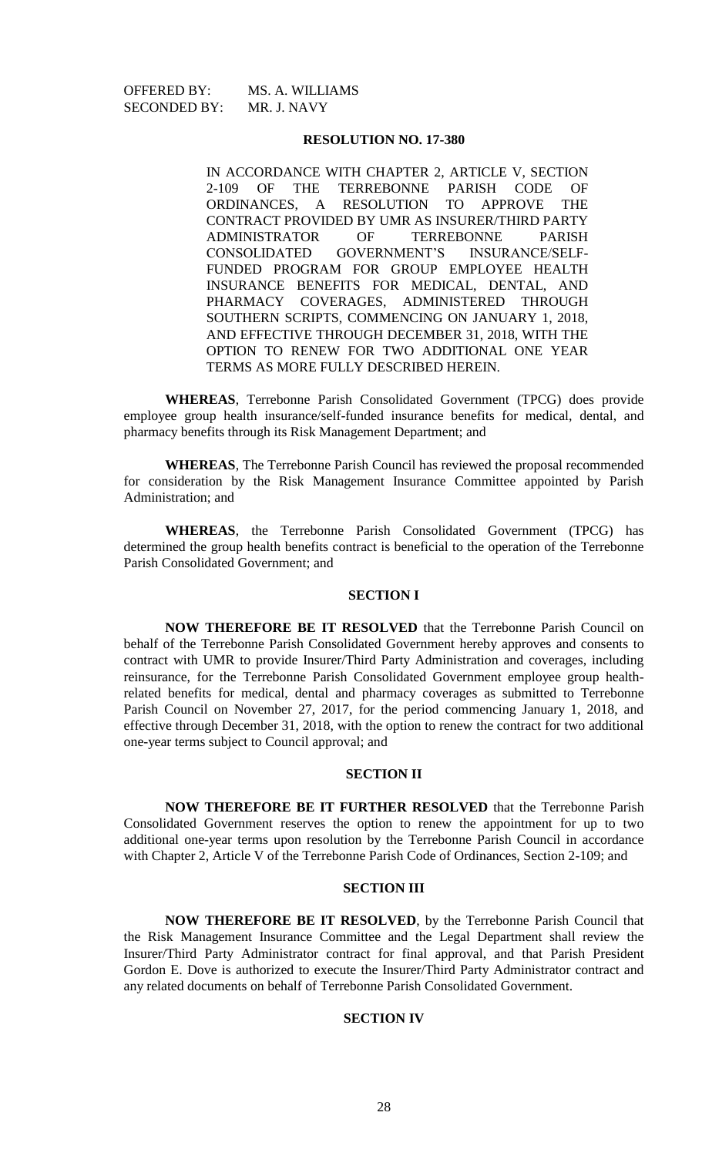SECONDED BY: MR. J. NAVY

OFFERED BY: MS. A. WILLIAMS

## **RESOLUTION NO. 17-380**

IN ACCORDANCE WITH CHAPTER 2, ARTICLE V, SECTION 2-109 OF THE TERREBONNE PARISH CODE OF ORDINANCES, A RESOLUTION TO APPROVE THE CONTRACT PROVIDED BY UMR AS INSURER/THIRD PARTY ADMINISTRATOR OF TERREBONNE PARISH CONSOLIDATED GOVERNMENT'S INSURANCE/SELF-FUNDED PROGRAM FOR GROUP EMPLOYEE HEALTH INSURANCE BENEFITS FOR MEDICAL, DENTAL, AND PHARMACY COVERAGES, ADMINISTERED THROUGH SOUTHERN SCRIPTS, COMMENCING ON JANUARY 1, 2018, AND EFFECTIVE THROUGH DECEMBER 31, 2018, WITH THE OPTION TO RENEW FOR TWO ADDITIONAL ONE YEAR TERMS AS MORE FULLY DESCRIBED HEREIN.

**WHEREAS**, Terrebonne Parish Consolidated Government (TPCG) does provide employee group health insurance/self-funded insurance benefits for medical, dental, and pharmacy benefits through its Risk Management Department; and

**WHEREAS**, The Terrebonne Parish Council has reviewed the proposal recommended for consideration by the Risk Management Insurance Committee appointed by Parish Administration; and

**WHEREAS**, the Terrebonne Parish Consolidated Government (TPCG) has determined the group health benefits contract is beneficial to the operation of the Terrebonne Parish Consolidated Government; and

### **SECTION I**

**NOW THEREFORE BE IT RESOLVED** that the Terrebonne Parish Council on behalf of the Terrebonne Parish Consolidated Government hereby approves and consents to contract with UMR to provide Insurer/Third Party Administration and coverages, including reinsurance, for the Terrebonne Parish Consolidated Government employee group healthrelated benefits for medical, dental and pharmacy coverages as submitted to Terrebonne Parish Council on November 27, 2017, for the period commencing January 1, 2018, and effective through December 31, 2018, with the option to renew the contract for two additional one-year terms subject to Council approval; and

### **SECTION II**

**NOW THEREFORE BE IT FURTHER RESOLVED** that the Terrebonne Parish Consolidated Government reserves the option to renew the appointment for up to two additional one-year terms upon resolution by the Terrebonne Parish Council in accordance with Chapter 2, Article V of the Terrebonne Parish Code of Ordinances, Section 2-109; and

## **SECTION III**

**NOW THEREFORE BE IT RESOLVED**, by the Terrebonne Parish Council that the Risk Management Insurance Committee and the Legal Department shall review the Insurer/Third Party Administrator contract for final approval, and that Parish President Gordon E. Dove is authorized to execute the Insurer/Third Party Administrator contract and any related documents on behalf of Terrebonne Parish Consolidated Government.

### **SECTION IV**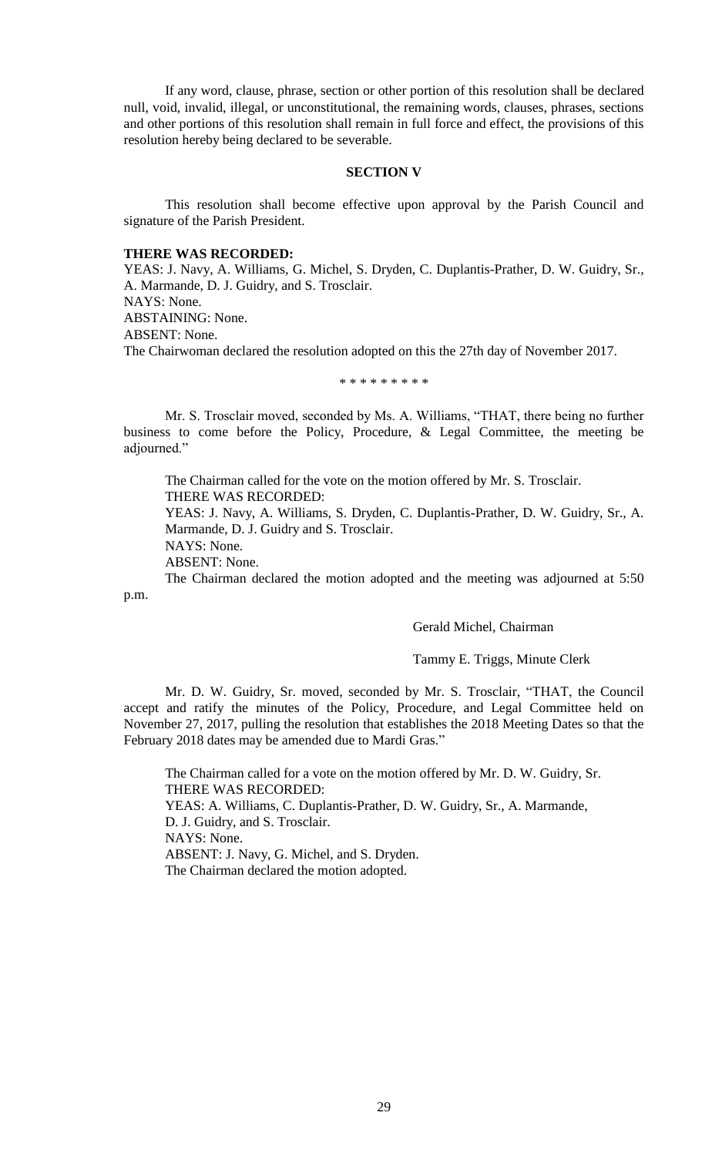If any word, clause, phrase, section or other portion of this resolution shall be declared null, void, invalid, illegal, or unconstitutional, the remaining words, clauses, phrases, sections and other portions of this resolution shall remain in full force and effect, the provisions of this resolution hereby being declared to be severable.

### **SECTION V**

This resolution shall become effective upon approval by the Parish Council and signature of the Parish President.

## **THERE WAS RECORDED:**

YEAS: J. Navy, A. Williams, G. Michel, S. Dryden, C. Duplantis-Prather, D. W. Guidry, Sr., A. Marmande, D. J. Guidry, and S. Trosclair.

NAYS: None.

ABSTAINING: None.

ABSENT: None.

The Chairwoman declared the resolution adopted on this the 27th day of November 2017.

\* \* \* \* \* \* \* \* \*

Mr. S. Trosclair moved, seconded by Ms. A. Williams, "THAT, there being no further business to come before the Policy, Procedure, & Legal Committee, the meeting be adjourned."

The Chairman called for the vote on the motion offered by Mr. S. Trosclair. THERE WAS RECORDED:

YEAS: J. Navy, A. Williams, S. Dryden, C. Duplantis-Prather, D. W. Guidry, Sr., A. Marmande, D. J. Guidry and S. Trosclair.

NAYS: None.

ABSENT: None.

The Chairman declared the motion adopted and the meeting was adjourned at 5:50 p.m.

Gerald Michel, Chairman

### Tammy E. Triggs, Minute Clerk

Mr. D. W. Guidry, Sr. moved, seconded by Mr. S. Trosclair, "THAT, the Council accept and ratify the minutes of the Policy, Procedure, and Legal Committee held on November 27, 2017, pulling the resolution that establishes the 2018 Meeting Dates so that the February 2018 dates may be amended due to Mardi Gras."

The Chairman called for a vote on the motion offered by Mr. D. W. Guidry, Sr. THERE WAS RECORDED: YEAS: A. Williams, C. Duplantis-Prather, D. W. Guidry, Sr., A. Marmande, D. J. Guidry, and S. Trosclair. NAYS: None. ABSENT: J. Navy, G. Michel, and S. Dryden. The Chairman declared the motion adopted.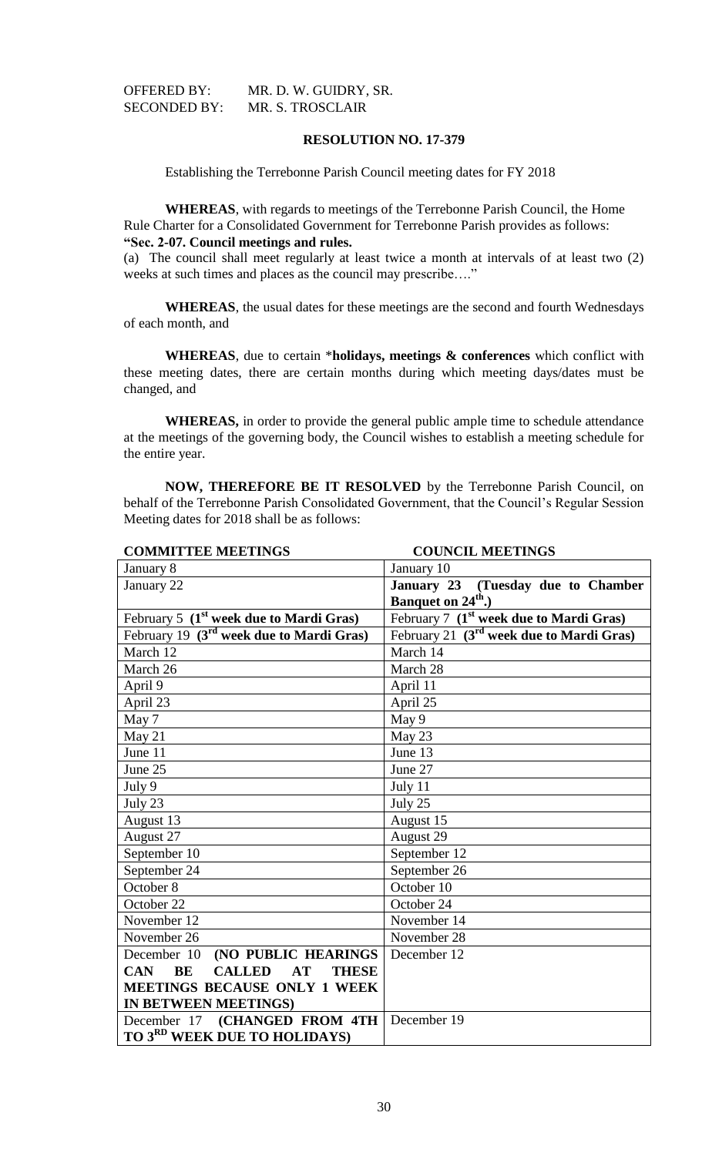| <b>OFFERED BY:</b>  | MR. D. W. GUIDRY, SR. |
|---------------------|-----------------------|
| <b>SECONDED BY:</b> | MR. S. TROSCLAIR      |

## **RESOLUTION NO. 17-379**

Establishing the Terrebonne Parish Council meeting dates for FY 2018

**WHEREAS**, with regards to meetings of the Terrebonne Parish Council, the Home Rule Charter for a Consolidated Government for Terrebonne Parish provides as follows: **"Sec. 2-07. Council meetings and rules.**

(a) The council shall meet regularly at least twice a month at intervals of at least two (2) weeks at such times and places as the council may prescribe…."

**WHEREAS**, the usual dates for these meetings are the second and fourth Wednesdays of each month, and

**WHEREAS**, due to certain \***holidays, meetings & conferences** which conflict with these meeting dates, there are certain months during which meeting days/dates must be changed, and

**WHEREAS,** in order to provide the general public ample time to schedule attendance at the meetings of the governing body, the Council wishes to establish a meeting schedule for the entire year.

**NOW, THEREFORE BE IT RESOLVED** by the Terrebonne Parish Council, on behalf of the Terrebonne Parish Consolidated Government, that the Council's Regular Session Meeting dates for 2018 shall be as follows:

| <b>COMMITTEE MEETINGS</b>                               | <b>COUNCIL MEETINGS</b>                              |
|---------------------------------------------------------|------------------------------------------------------|
| January 8                                               | January 10                                           |
| January 22                                              | January 23 (Tuesday due to Chamber                   |
|                                                         | Banquet on 24 <sup>th</sup> .)                       |
| February 5 $(1st$ week due to Mardi Gras)               | February 7 (1 <sup>st</sup> week due to Mardi Gras)  |
| February 19 (3 <sup>rd</sup> week due to Mardi Gras)    | February 21 (3 <sup>rd</sup> week due to Mardi Gras) |
| March 12                                                | March 14                                             |
| March 26                                                | March 28                                             |
| April 9                                                 | April 11                                             |
| April 23                                                | April 25                                             |
| May 7                                                   | May 9                                                |
| May 21                                                  | May 23                                               |
| June 11                                                 | June 13                                              |
| June 25                                                 | June 27                                              |
| July 9                                                  | July 11                                              |
| July 23                                                 | July 25                                              |
| August 13                                               | August 15                                            |
| August 27                                               | August 29                                            |
| September 10                                            | September 12                                         |
| September 24                                            | September 26                                         |
| October 8                                               | October 10                                           |
| October 22                                              | October 24                                           |
| November 12                                             | November 14                                          |
| November 26                                             | November 28                                          |
| December 10<br>(NO PUBLIC HEARINGS                      | December 12                                          |
| <b>CALLED</b><br><b>THESE</b><br><b>CAN</b><br>BE<br>AT |                                                      |
| <b>MEETINGS BECAUSE ONLY 1 WEEK</b>                     |                                                      |
| IN BETWEEN MEETINGS)                                    |                                                      |
| December 17 (CHANGED FROM 4TH                           | December 19                                          |
| TO 3 <sup>RD</sup> WEEK DUE TO HOLIDAYS)                |                                                      |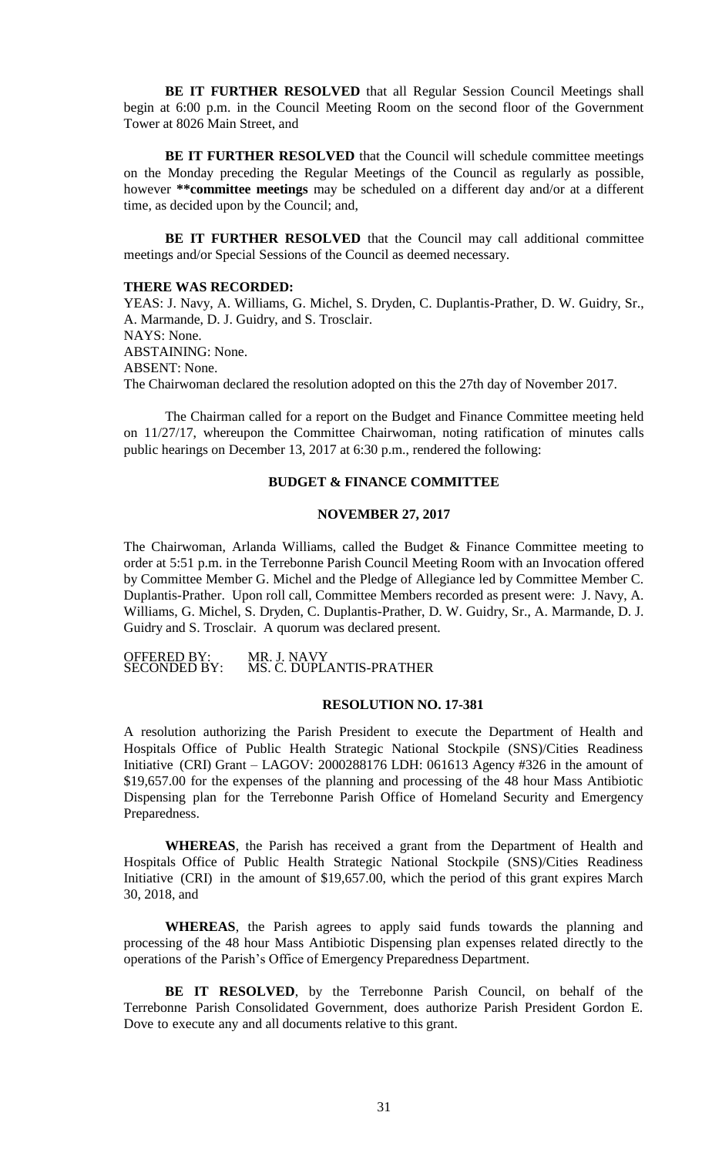**BE IT FURTHER RESOLVED** that all Regular Session Council Meetings shall begin at 6:00 p.m. in the Council Meeting Room on the second floor of the Government Tower at 8026 Main Street, and

BE IT FURTHER RESOLVED that the Council will schedule committee meetings on the Monday preceding the Regular Meetings of the Council as regularly as possible, however **\*\*committee meetings** may be scheduled on a different day and/or at a different time, as decided upon by the Council; and,

**BE IT FURTHER RESOLVED** that the Council may call additional committee meetings and/or Special Sessions of the Council as deemed necessary.

#### **THERE WAS RECORDED:**

YEAS: J. Navy, A. Williams, G. Michel, S. Dryden, C. Duplantis-Prather, D. W. Guidry, Sr., A. Marmande, D. J. Guidry, and S. Trosclair. NAYS: None. ABSTAINING: None. ABSENT: None. The Chairwoman declared the resolution adopted on this the 27th day of November 2017.

The Chairman called for a report on the Budget and Finance Committee meeting held on 11/27/17, whereupon the Committee Chairwoman, noting ratification of minutes calls public hearings on December 13, 2017 at 6:30 p.m., rendered the following:

# **BUDGET & FINANCE COMMITTEE**

## **NOVEMBER 27, 2017**

The Chairwoman, Arlanda Williams, called the Budget & Finance Committee meeting to order at 5:51 p.m. in the Terrebonne Parish Council Meeting Room with an Invocation offered by Committee Member G. Michel and the Pledge of Allegiance led by Committee Member C. Duplantis-Prather. Upon roll call, Committee Members recorded as present were: J. Navy, A. Williams, G. Michel, S. Dryden, C. Duplantis-Prather, D. W. Guidry, Sr., A. Marmande, D. J. Guidry and S. Trosclair. A quorum was declared present.

OFFERED BY:<br>SECONDED BY: MR. J. NAVY<br>MS. C. DUPLANTIS-PRATHER

#### **RESOLUTION NO. 17-381**

A resolution authorizing the Parish President to execute the Department of Health and Hospitals Office of Public Health Strategic National Stockpile (SNS)/Cities Readiness Initiative (CRI) Grant – LAGOV: 2000288176 LDH: 061613 Agency #326 in the amount of \$19,657.00 for the expenses of the planning and processing of the 48 hour Mass Antibiotic Dispensing plan for the Terrebonne Parish Office of Homeland Security and Emergency Preparedness.

**WHEREAS**, the Parish has received a grant from the Department of Health and Hospitals Office of Public Health Strategic National Stockpile (SNS)/Cities Readiness Initiative (CRI) in the amount of \$19,657.00, which the period of this grant expires March 30, 2018, and

**WHEREAS**, the Parish agrees to apply said funds towards the planning and processing of the 48 hour Mass Antibiotic Dispensing plan expenses related directly to the operations of the Parish's Office of Emergency Preparedness Department.

**BE IT RESOLVED**, by the Terrebonne Parish Council, on behalf of the Terrebonne Parish Consolidated Government, does authorize Parish President Gordon E. Dove to execute any and all documents relative to this grant.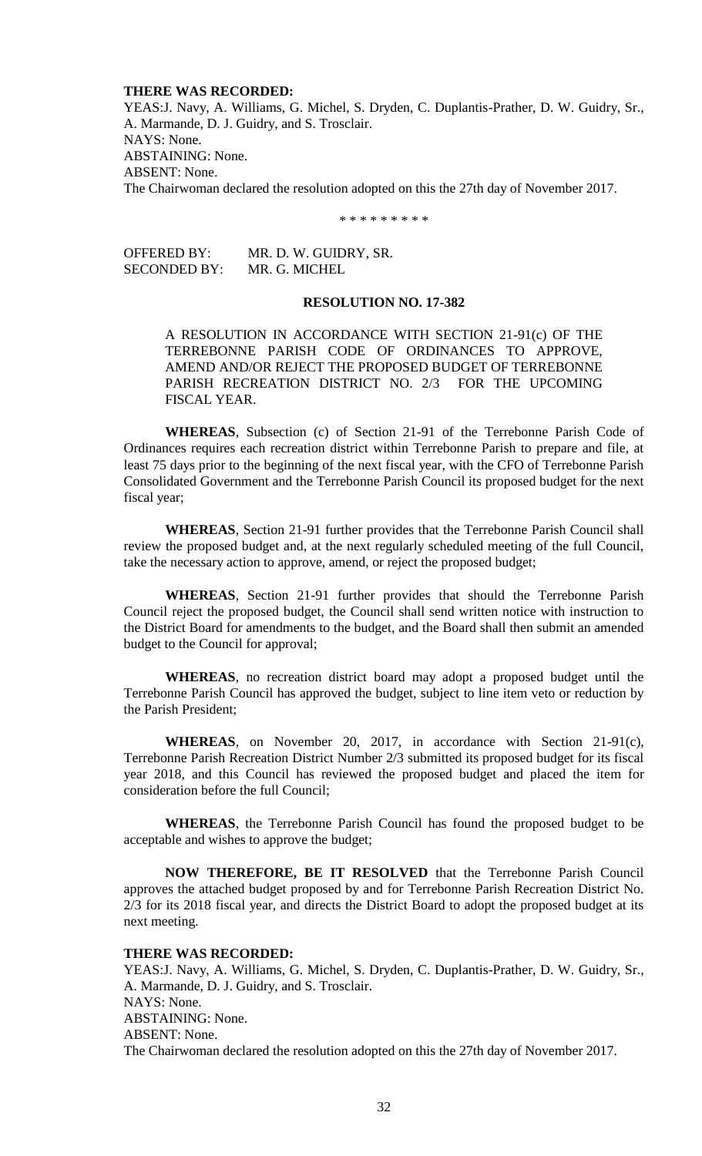### **THERE WAS RECORDED:**

YEAS:J. Navy, A. Williams, G. Michel, S. Dryden, C. Duplantis-Prather, D. W. Guidry, Sr., A. Marmande, D. J. Guidry, and S. Trosclair. NAYS: None. ABSTAINING: None. ABSENT: None. The Chairwoman declared the resolution adopted on this the 27th day of November 2017.

\* \* \* \* \* \* \* \* \*

OFFERED BY: MR. D. W. GUIDRY, SR. SECONDED BY: MR. G. MICHEL

# **RESOLUTION NO. 17-382**

A RESOLUTION IN ACCORDANCE WITH SECTION 21-91(c) OF THE TERREBONNE PARISH CODE OF ORDINANCES TO APPROVE, AMEND AND/OR REJECT THE PROPOSED BUDGET OF TERREBONNE PARISH RECREATION DISTRICT NO. 2/3 FOR THE UPCOMING FISCAL YEAR.

**WHEREAS**, Subsection (c) of Section 21-91 of the Terrebonne Parish Code of Ordinances requires each recreation district within Terrebonne Parish to prepare and file, at least 75 days prior to the beginning of the next fiscal year, with the CFO of Terrebonne Parish Consolidated Government and the Terrebonne Parish Council its proposed budget for the next fiscal year;

**WHEREAS**, Section 21-91 further provides that the Terrebonne Parish Council shall review the proposed budget and, at the next regularly scheduled meeting of the full Council, take the necessary action to approve, amend, or reject the proposed budget;

**WHEREAS**, Section 21-91 further provides that should the Terrebonne Parish Council reject the proposed budget, the Council shall send written notice with instruction to the District Board for amendments to the budget, and the Board shall then submit an amended budget to the Council for approval;

**WHEREAS**, no recreation district board may adopt a proposed budget until the Terrebonne Parish Council has approved the budget, subject to line item veto or reduction by the Parish President;

**WHEREAS**, on November 20, 2017, in accordance with Section 21-91(c), Terrebonne Parish Recreation District Number 2/3 submitted its proposed budget for its fiscal year 2018, and this Council has reviewed the proposed budget and placed the item for consideration before the full Council;

**WHEREAS**, the Terrebonne Parish Council has found the proposed budget to be acceptable and wishes to approve the budget;

**NOW THEREFORE, BE IT RESOLVED** that the Terrebonne Parish Council approves the attached budget proposed by and for Terrebonne Parish Recreation District No. 2/3 for its 2018 fiscal year, and directs the District Board to adopt the proposed budget at its next meeting.

# **THERE WAS RECORDED:**

YEAS:J. Navy, A. Williams, G. Michel, S. Dryden, C. Duplantis-Prather, D. W. Guidry, Sr., A. Marmande, D. J. Guidry, and S. Trosclair. NAYS: None. ABSTAINING: None. ABSENT: None. The Chairwoman declared the resolution adopted on this the 27th day of November 2017.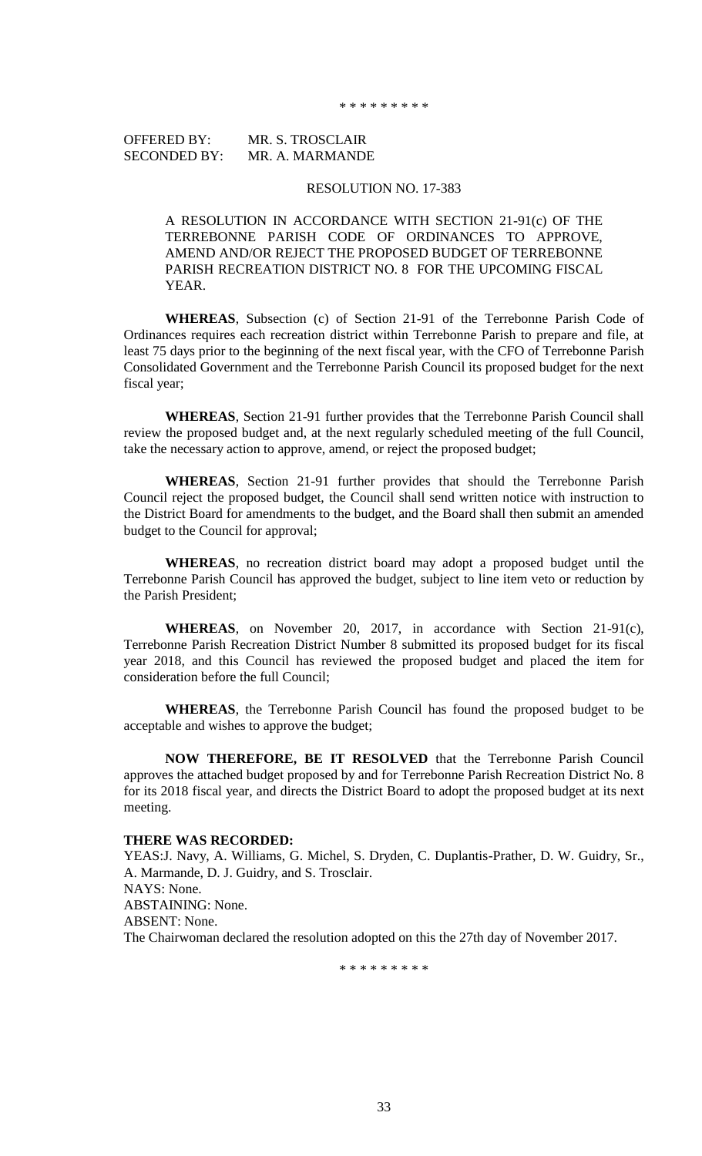OFFERED BY: MR. S. TROSCLAIR SECONDED BY: MR. A. MARMANDE

### RESOLUTION NO. 17-383

A RESOLUTION IN ACCORDANCE WITH SECTION 21-91(c) OF THE TERREBONNE PARISH CODE OF ORDINANCES TO APPROVE, AMEND AND/OR REJECT THE PROPOSED BUDGET OF TERREBONNE PARISH RECREATION DISTRICT NO. 8 FOR THE UPCOMING FISCAL YEAR.

**WHEREAS**, Subsection (c) of Section 21-91 of the Terrebonne Parish Code of Ordinances requires each recreation district within Terrebonne Parish to prepare and file, at least 75 days prior to the beginning of the next fiscal year, with the CFO of Terrebonne Parish Consolidated Government and the Terrebonne Parish Council its proposed budget for the next fiscal year;

**WHEREAS**, Section 21-91 further provides that the Terrebonne Parish Council shall review the proposed budget and, at the next regularly scheduled meeting of the full Council, take the necessary action to approve, amend, or reject the proposed budget;

**WHEREAS**, Section 21-91 further provides that should the Terrebonne Parish Council reject the proposed budget, the Council shall send written notice with instruction to the District Board for amendments to the budget, and the Board shall then submit an amended budget to the Council for approval;

**WHEREAS**, no recreation district board may adopt a proposed budget until the Terrebonne Parish Council has approved the budget, subject to line item veto or reduction by the Parish President;

**WHEREAS**, on November 20, 2017, in accordance with Section 21-91(c), Terrebonne Parish Recreation District Number 8 submitted its proposed budget for its fiscal year 2018, and this Council has reviewed the proposed budget and placed the item for consideration before the full Council;

**WHEREAS**, the Terrebonne Parish Council has found the proposed budget to be acceptable and wishes to approve the budget;

**NOW THEREFORE, BE IT RESOLVED** that the Terrebonne Parish Council approves the attached budget proposed by and for Terrebonne Parish Recreation District No. 8 for its 2018 fiscal year, and directs the District Board to adopt the proposed budget at its next meeting.

### **THERE WAS RECORDED:**

YEAS:J. Navy, A. Williams, G. Michel, S. Dryden, C. Duplantis-Prather, D. W. Guidry, Sr., A. Marmande, D. J. Guidry, and S. Trosclair. NAYS: None. ABSTAINING: None. ABSENT: None. The Chairwoman declared the resolution adopted on this the 27th day of November 2017.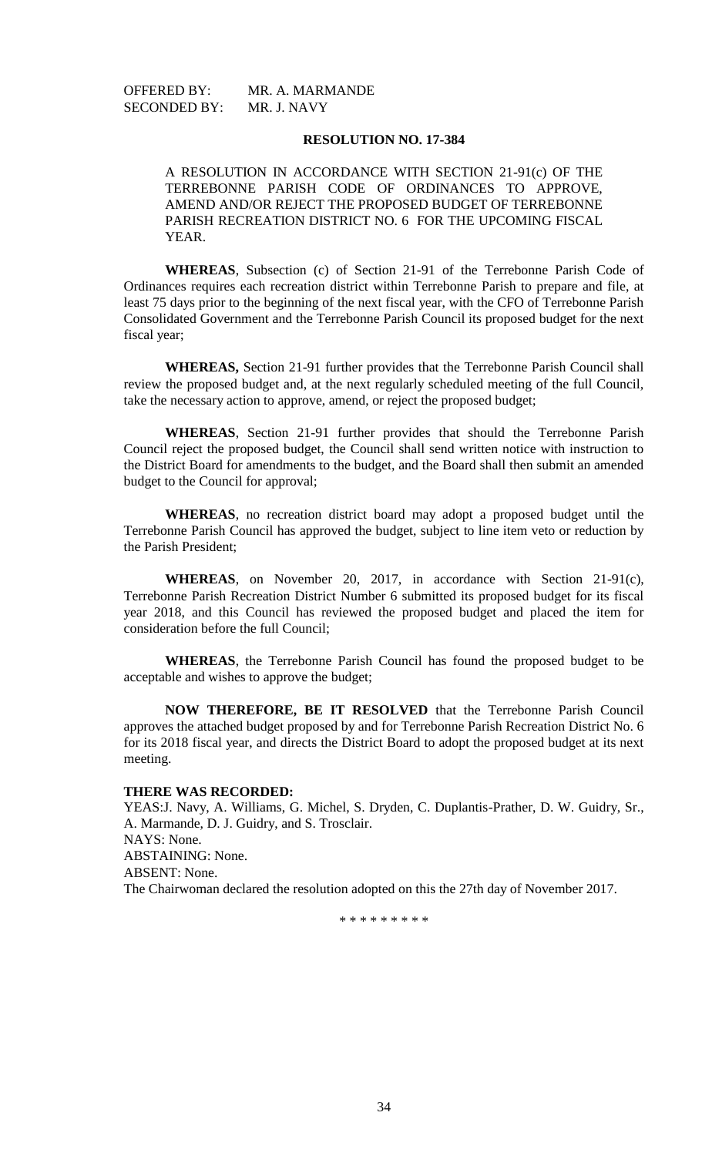OFFERED BY: MR. A. MARMANDE SECONDED BY: MR. J. NAVY

## **RESOLUTION NO. 17-384**

A RESOLUTION IN ACCORDANCE WITH SECTION 21-91(c) OF THE TERREBONNE PARISH CODE OF ORDINANCES TO APPROVE, AMEND AND/OR REJECT THE PROPOSED BUDGET OF TERREBONNE PARISH RECREATION DISTRICT NO. 6 FOR THE UPCOMING FISCAL YEAR.

**WHEREAS**, Subsection (c) of Section 21-91 of the Terrebonne Parish Code of Ordinances requires each recreation district within Terrebonne Parish to prepare and file, at least 75 days prior to the beginning of the next fiscal year, with the CFO of Terrebonne Parish Consolidated Government and the Terrebonne Parish Council its proposed budget for the next fiscal year;

**WHEREAS,** Section 21-91 further provides that the Terrebonne Parish Council shall review the proposed budget and, at the next regularly scheduled meeting of the full Council, take the necessary action to approve, amend, or reject the proposed budget;

**WHEREAS**, Section 21-91 further provides that should the Terrebonne Parish Council reject the proposed budget, the Council shall send written notice with instruction to the District Board for amendments to the budget, and the Board shall then submit an amended budget to the Council for approval;

**WHEREAS**, no recreation district board may adopt a proposed budget until the Terrebonne Parish Council has approved the budget, subject to line item veto or reduction by the Parish President;

**WHEREAS**, on November 20, 2017, in accordance with Section 21-91(c), Terrebonne Parish Recreation District Number 6 submitted its proposed budget for its fiscal year 2018, and this Council has reviewed the proposed budget and placed the item for consideration before the full Council;

**WHEREAS**, the Terrebonne Parish Council has found the proposed budget to be acceptable and wishes to approve the budget;

**NOW THEREFORE, BE IT RESOLVED** that the Terrebonne Parish Council approves the attached budget proposed by and for Terrebonne Parish Recreation District No. 6 for its 2018 fiscal year, and directs the District Board to adopt the proposed budget at its next meeting.

## **THERE WAS RECORDED:**

YEAS:J. Navy, A. Williams, G. Michel, S. Dryden, C. Duplantis-Prather, D. W. Guidry, Sr., A. Marmande, D. J. Guidry, and S. Trosclair. NAYS: None. ABSTAINING: None. ABSENT: None. The Chairwoman declared the resolution adopted on this the 27th day of November 2017.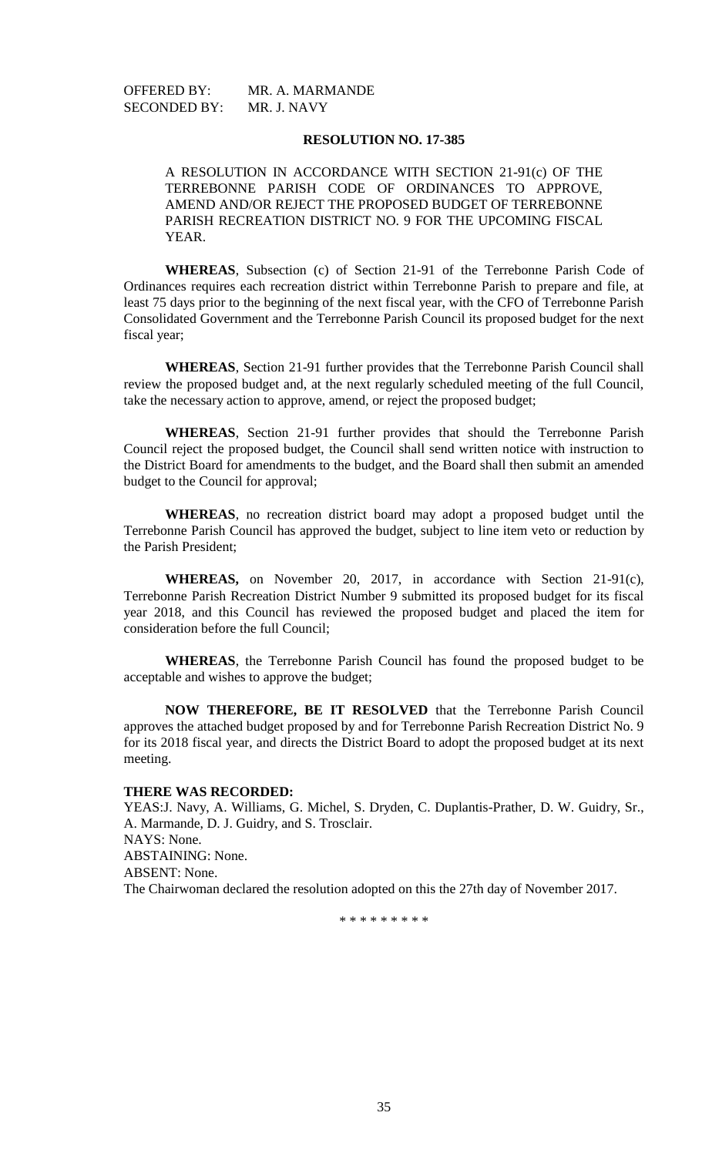OFFERED BY: MR. A. MARMANDE SECONDED BY: MR. J. NAVY

### **RESOLUTION NO. 17-385**

A RESOLUTION IN ACCORDANCE WITH SECTION 21-91(c) OF THE TERREBONNE PARISH CODE OF ORDINANCES TO APPROVE, AMEND AND/OR REJECT THE PROPOSED BUDGET OF TERREBONNE PARISH RECREATION DISTRICT NO. 9 FOR THE UPCOMING FISCAL YEAR.

**WHEREAS**, Subsection (c) of Section 21-91 of the Terrebonne Parish Code of Ordinances requires each recreation district within Terrebonne Parish to prepare and file, at least 75 days prior to the beginning of the next fiscal year, with the CFO of Terrebonne Parish Consolidated Government and the Terrebonne Parish Council its proposed budget for the next fiscal year;

**WHEREAS**, Section 21-91 further provides that the Terrebonne Parish Council shall review the proposed budget and, at the next regularly scheduled meeting of the full Council, take the necessary action to approve, amend, or reject the proposed budget;

**WHEREAS**, Section 21-91 further provides that should the Terrebonne Parish Council reject the proposed budget, the Council shall send written notice with instruction to the District Board for amendments to the budget, and the Board shall then submit an amended budget to the Council for approval;

**WHEREAS**, no recreation district board may adopt a proposed budget until the Terrebonne Parish Council has approved the budget, subject to line item veto or reduction by the Parish President;

**WHEREAS,** on November 20, 2017, in accordance with Section 21-91(c), Terrebonne Parish Recreation District Number 9 submitted its proposed budget for its fiscal year 2018, and this Council has reviewed the proposed budget and placed the item for consideration before the full Council;

**WHEREAS**, the Terrebonne Parish Council has found the proposed budget to be acceptable and wishes to approve the budget;

**NOW THEREFORE, BE IT RESOLVED** that the Terrebonne Parish Council approves the attached budget proposed by and for Terrebonne Parish Recreation District No. 9 for its 2018 fiscal year, and directs the District Board to adopt the proposed budget at its next meeting.

## **THERE WAS RECORDED:**

YEAS:J. Navy, A. Williams, G. Michel, S. Dryden, C. Duplantis-Prather, D. W. Guidry, Sr., A. Marmande, D. J. Guidry, and S. Trosclair. NAYS: None. ABSTAINING: None. ABSENT: None. The Chairwoman declared the resolution adopted on this the 27th day of November 2017.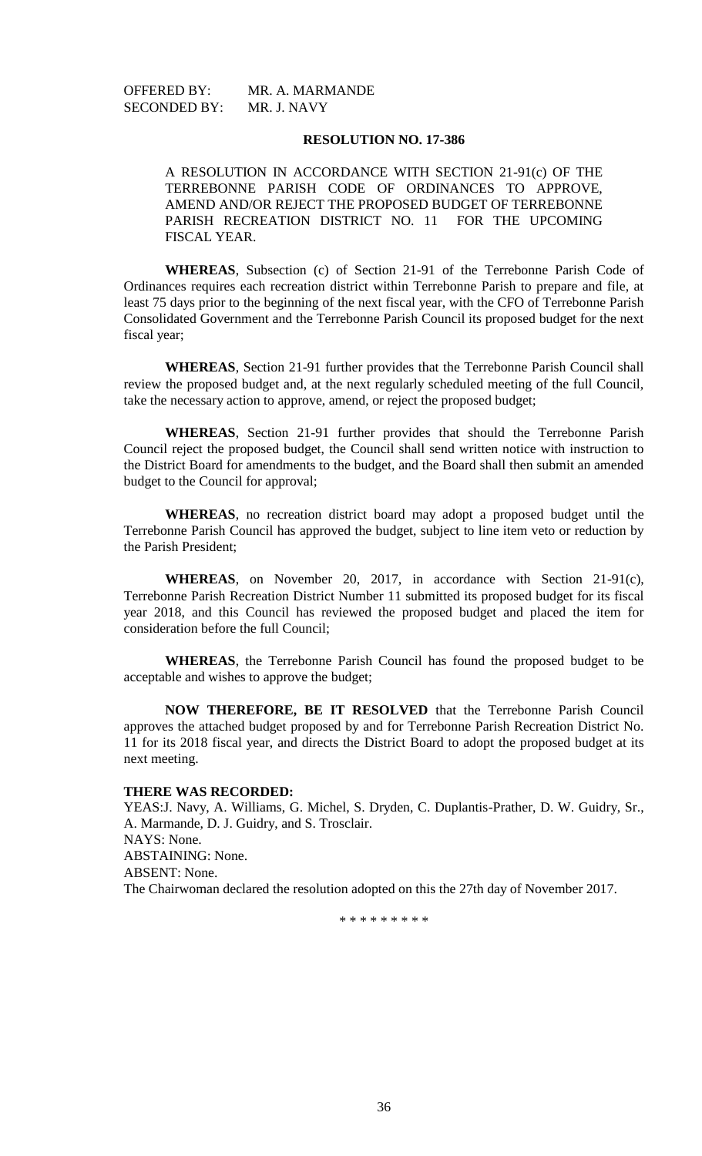OFFERED BY: MR. A. MARMANDE SECONDED BY: MR. J. NAVY

### **RESOLUTION NO. 17-386**

A RESOLUTION IN ACCORDANCE WITH SECTION 21-91(c) OF THE TERREBONNE PARISH CODE OF ORDINANCES TO APPROVE, AMEND AND/OR REJECT THE PROPOSED BUDGET OF TERREBONNE PARISH RECREATION DISTRICT NO. 11 FOR THE UPCOMING FISCAL YEAR.

**WHEREAS**, Subsection (c) of Section 21-91 of the Terrebonne Parish Code of Ordinances requires each recreation district within Terrebonne Parish to prepare and file, at least 75 days prior to the beginning of the next fiscal year, with the CFO of Terrebonne Parish Consolidated Government and the Terrebonne Parish Council its proposed budget for the next fiscal year;

**WHEREAS**, Section 21-91 further provides that the Terrebonne Parish Council shall review the proposed budget and, at the next regularly scheduled meeting of the full Council, take the necessary action to approve, amend, or reject the proposed budget;

**WHEREAS**, Section 21-91 further provides that should the Terrebonne Parish Council reject the proposed budget, the Council shall send written notice with instruction to the District Board for amendments to the budget, and the Board shall then submit an amended budget to the Council for approval;

**WHEREAS**, no recreation district board may adopt a proposed budget until the Terrebonne Parish Council has approved the budget, subject to line item veto or reduction by the Parish President;

**WHEREAS**, on November 20, 2017, in accordance with Section 21-91(c), Terrebonne Parish Recreation District Number 11 submitted its proposed budget for its fiscal year 2018, and this Council has reviewed the proposed budget and placed the item for consideration before the full Council;

**WHEREAS**, the Terrebonne Parish Council has found the proposed budget to be acceptable and wishes to approve the budget;

**NOW THEREFORE, BE IT RESOLVED** that the Terrebonne Parish Council approves the attached budget proposed by and for Terrebonne Parish Recreation District No. 11 for its 2018 fiscal year, and directs the District Board to adopt the proposed budget at its next meeting.

## **THERE WAS RECORDED:**

YEAS:J. Navy, A. Williams, G. Michel, S. Dryden, C. Duplantis-Prather, D. W. Guidry, Sr., A. Marmande, D. J. Guidry, and S. Trosclair. NAYS: None. ABSTAINING: None. ABSENT: None. The Chairwoman declared the resolution adopted on this the 27th day of November 2017.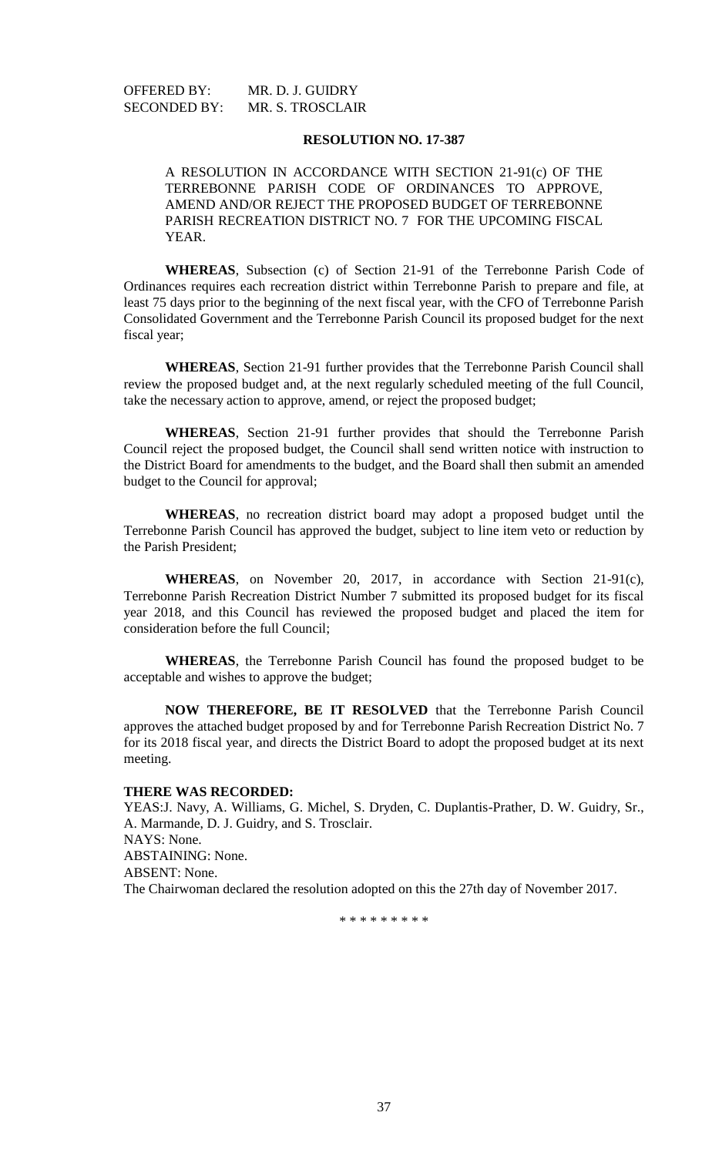OFFERED BY: MR. D. J. GUIDRY SECONDED BY: MR. S. TROSCLAIR

## **RESOLUTION NO. 17-387**

A RESOLUTION IN ACCORDANCE WITH SECTION 21-91(c) OF THE TERREBONNE PARISH CODE OF ORDINANCES TO APPROVE, AMEND AND/OR REJECT THE PROPOSED BUDGET OF TERREBONNE PARISH RECREATION DISTRICT NO. 7 FOR THE UPCOMING FISCAL YEAR.

**WHEREAS**, Subsection (c) of Section 21-91 of the Terrebonne Parish Code of Ordinances requires each recreation district within Terrebonne Parish to prepare and file, at least 75 days prior to the beginning of the next fiscal year, with the CFO of Terrebonne Parish Consolidated Government and the Terrebonne Parish Council its proposed budget for the next fiscal year;

**WHEREAS**, Section 21-91 further provides that the Terrebonne Parish Council shall review the proposed budget and, at the next regularly scheduled meeting of the full Council, take the necessary action to approve, amend, or reject the proposed budget;

**WHEREAS**, Section 21-91 further provides that should the Terrebonne Parish Council reject the proposed budget, the Council shall send written notice with instruction to the District Board for amendments to the budget, and the Board shall then submit an amended budget to the Council for approval;

**WHEREAS**, no recreation district board may adopt a proposed budget until the Terrebonne Parish Council has approved the budget, subject to line item veto or reduction by the Parish President;

**WHEREAS**, on November 20, 2017, in accordance with Section 21-91(c), Terrebonne Parish Recreation District Number 7 submitted its proposed budget for its fiscal year 2018, and this Council has reviewed the proposed budget and placed the item for consideration before the full Council;

**WHEREAS**, the Terrebonne Parish Council has found the proposed budget to be acceptable and wishes to approve the budget;

**NOW THEREFORE, BE IT RESOLVED** that the Terrebonne Parish Council approves the attached budget proposed by and for Terrebonne Parish Recreation District No. 7 for its 2018 fiscal year, and directs the District Board to adopt the proposed budget at its next meeting.

## **THERE WAS RECORDED:**

YEAS:J. Navy, A. Williams, G. Michel, S. Dryden, C. Duplantis-Prather, D. W. Guidry, Sr., A. Marmande, D. J. Guidry, and S. Trosclair. NAYS: None. ABSTAINING: None. ABSENT: None. The Chairwoman declared the resolution adopted on this the 27th day of November 2017.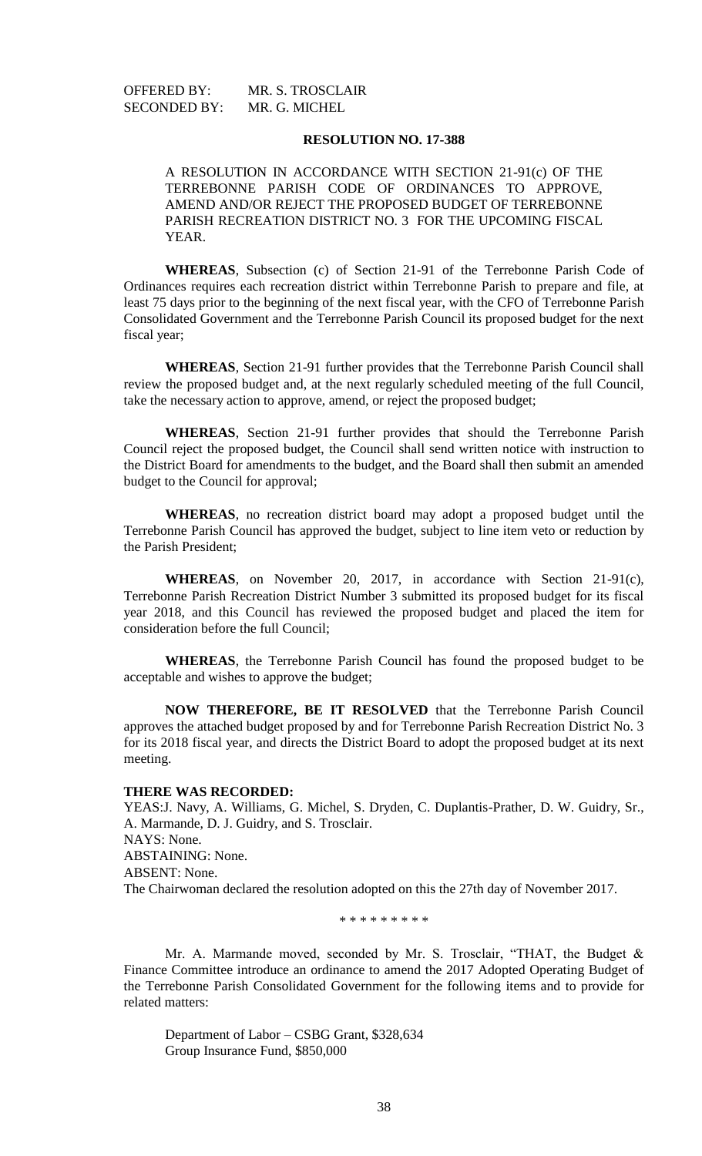OFFERED BY: MR. S. TROSCLAIR SECONDED BY: MR. G. MICHEL

### **RESOLUTION NO. 17-388**

A RESOLUTION IN ACCORDANCE WITH SECTION 21-91(c) OF THE TERREBONNE PARISH CODE OF ORDINANCES TO APPROVE, AMEND AND/OR REJECT THE PROPOSED BUDGET OF TERREBONNE PARISH RECREATION DISTRICT NO. 3 FOR THE UPCOMING FISCAL YEAR.

**WHEREAS**, Subsection (c) of Section 21-91 of the Terrebonne Parish Code of Ordinances requires each recreation district within Terrebonne Parish to prepare and file, at least 75 days prior to the beginning of the next fiscal year, with the CFO of Terrebonne Parish Consolidated Government and the Terrebonne Parish Council its proposed budget for the next fiscal year;

**WHEREAS**, Section 21-91 further provides that the Terrebonne Parish Council shall review the proposed budget and, at the next regularly scheduled meeting of the full Council, take the necessary action to approve, amend, or reject the proposed budget;

**WHEREAS**, Section 21-91 further provides that should the Terrebonne Parish Council reject the proposed budget, the Council shall send written notice with instruction to the District Board for amendments to the budget, and the Board shall then submit an amended budget to the Council for approval;

**WHEREAS**, no recreation district board may adopt a proposed budget until the Terrebonne Parish Council has approved the budget, subject to line item veto or reduction by the Parish President;

**WHEREAS**, on November 20, 2017, in accordance with Section 21-91(c), Terrebonne Parish Recreation District Number 3 submitted its proposed budget for its fiscal year 2018, and this Council has reviewed the proposed budget and placed the item for consideration before the full Council;

**WHEREAS**, the Terrebonne Parish Council has found the proposed budget to be acceptable and wishes to approve the budget;

**NOW THEREFORE, BE IT RESOLVED** that the Terrebonne Parish Council approves the attached budget proposed by and for Terrebonne Parish Recreation District No. 3 for its 2018 fiscal year, and directs the District Board to adopt the proposed budget at its next meeting.

### **THERE WAS RECORDED:**

YEAS:J. Navy, A. Williams, G. Michel, S. Dryden, C. Duplantis-Prather, D. W. Guidry, Sr., A. Marmande, D. J. Guidry, and S. Trosclair. NAYS: None. ABSTAINING: None. ABSENT: None. The Chairwoman declared the resolution adopted on this the 27th day of November 2017.

\* \* \* \* \* \* \* \* \*

Mr. A. Marmande moved, seconded by Mr. S. Trosclair, "THAT, the Budget & Finance Committee introduce an ordinance to amend the 2017 Adopted Operating Budget of the Terrebonne Parish Consolidated Government for the following items and to provide for related matters:

Department of Labor – CSBG Grant, \$328,634 Group Insurance Fund, \$850,000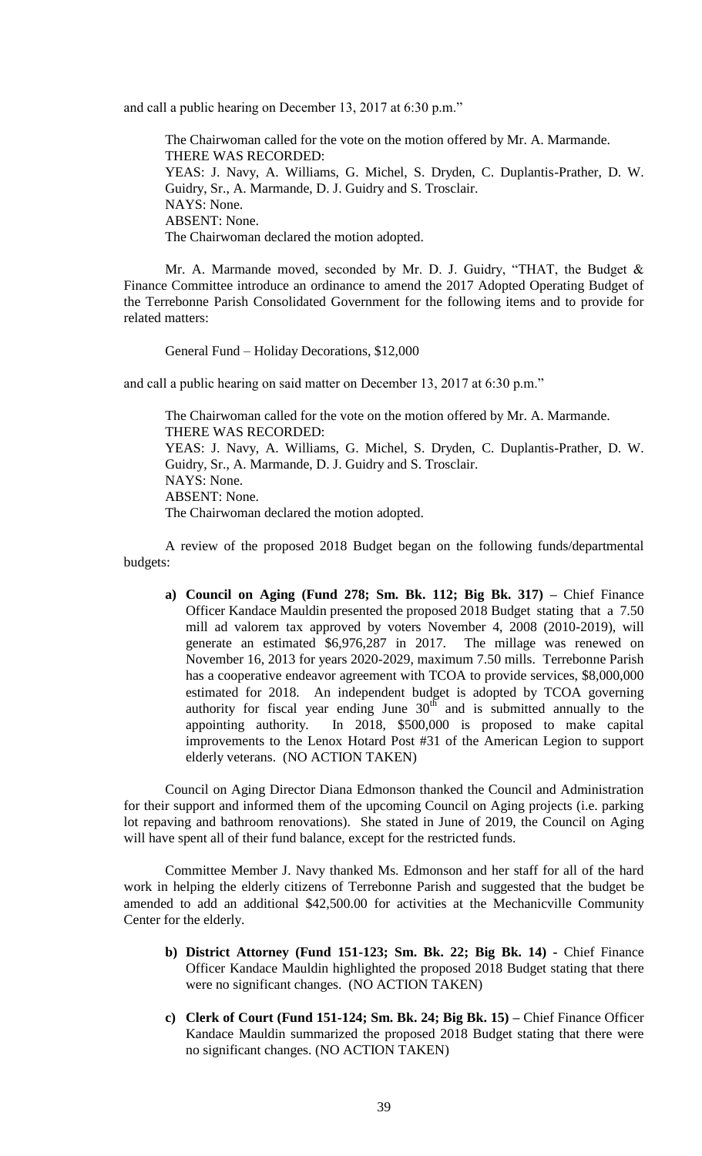and call a public hearing on December 13, 2017 at 6:30 p.m."

The Chairwoman called for the vote on the motion offered by Mr. A. Marmande. THERE WAS RECORDED: YEAS: J. Navy, A. Williams, G. Michel, S. Dryden, C. Duplantis-Prather, D. W. Guidry, Sr., A. Marmande, D. J. Guidry and S. Trosclair. NAYS: None. ABSENT: None. The Chairwoman declared the motion adopted.

Mr. A. Marmande moved, seconded by Mr. D. J. Guidry, "THAT, the Budget & Finance Committee introduce an ordinance to amend the 2017 Adopted Operating Budget of the Terrebonne Parish Consolidated Government for the following items and to provide for related matters:

General Fund – Holiday Decorations, \$12,000

and call a public hearing on said matter on December 13, 2017 at 6:30 p.m."

The Chairwoman called for the vote on the motion offered by Mr. A. Marmande. THERE WAS RECORDED: YEAS: J. Navy, A. Williams, G. Michel, S. Dryden, C. Duplantis-Prather, D. W. Guidry, Sr., A. Marmande, D. J. Guidry and S. Trosclair. NAYS: None. ABSENT: None. The Chairwoman declared the motion adopted.

A review of the proposed 2018 Budget began on the following funds/departmental budgets:

**a) Council on Aging (Fund 278; Sm. Bk. 112; Big Bk. 317) –** Chief Finance Officer Kandace Mauldin presented the proposed 2018 Budget stating that a 7.50 mill ad valorem tax approved by voters November 4, 2008 (2010-2019), will generate an estimated \$6,976,287 in 2017. The millage was renewed on November 16, 2013 for years 2020-2029, maximum 7.50 mills. Terrebonne Parish has a cooperative endeavor agreement with TCOA to provide services, \$8,000,000 estimated for 2018. An independent budget is adopted by TCOA governing authority for fiscal year ending June  $30<sup>th</sup>$  and is submitted annually to the appointing authority. In 2018, \$500,000 is proposed to make capital improvements to the Lenox Hotard Post #31 of the American Legion to support elderly veterans. (NO ACTION TAKEN)

Council on Aging Director Diana Edmonson thanked the Council and Administration for their support and informed them of the upcoming Council on Aging projects (i.e. parking lot repaving and bathroom renovations). She stated in June of 2019, the Council on Aging will have spent all of their fund balance, except for the restricted funds.

Committee Member J. Navy thanked Ms. Edmonson and her staff for all of the hard work in helping the elderly citizens of Terrebonne Parish and suggested that the budget be amended to add an additional \$42,500.00 for activities at the Mechanicville Community Center for the elderly.

- **b) District Attorney (Fund 151-123; Sm. Bk. 22; Big Bk. 14) -** Chief Finance Officer Kandace Mauldin highlighted the proposed 2018 Budget stating that there were no significant changes. (NO ACTION TAKEN)
- **c) Clerk of Court (Fund 151-124; Sm. Bk. 24; Big Bk. 15) –** Chief Finance Officer Kandace Mauldin summarized the proposed 2018 Budget stating that there were no significant changes. (NO ACTION TAKEN)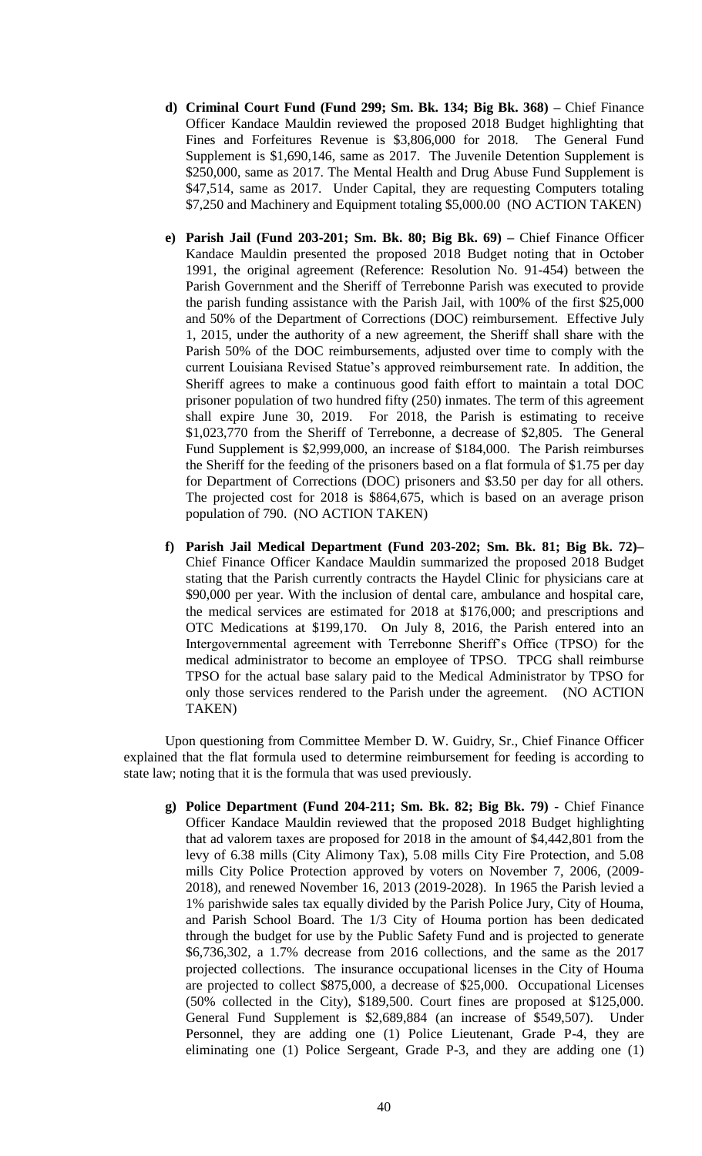- **d) Criminal Court Fund (Fund 299; Sm. Bk. 134; Big Bk. 368) –** Chief Finance Officer Kandace Mauldin reviewed the proposed 2018 Budget highlighting that Fines and Forfeitures Revenue is \$3,806,000 for 2018. The General Fund Supplement is \$1,690,146, same as 2017. The Juvenile Detention Supplement is \$250,000, same as 2017. The Mental Health and Drug Abuse Fund Supplement is \$47,514, same as 2017. Under Capital, they are requesting Computers totaling \$7,250 and Machinery and Equipment totaling \$5,000.00 (NO ACTION TAKEN)
- **e) Parish Jail (Fund 203-201; Sm. Bk. 80; Big Bk. 69) –** Chief Finance Officer Kandace Mauldin presented the proposed 2018 Budget noting that in October 1991, the original agreement (Reference: Resolution No. 91-454) between the Parish Government and the Sheriff of Terrebonne Parish was executed to provide the parish funding assistance with the Parish Jail, with 100% of the first \$25,000 and 50% of the Department of Corrections (DOC) reimbursement. Effective July 1, 2015, under the authority of a new agreement, the Sheriff shall share with the Parish 50% of the DOC reimbursements, adjusted over time to comply with the current Louisiana Revised Statue's approved reimbursement rate. In addition, the Sheriff agrees to make a continuous good faith effort to maintain a total DOC prisoner population of two hundred fifty (250) inmates. The term of this agreement shall expire June 30, 2019. For 2018, the Parish is estimating to receive \$1,023,770 from the Sheriff of Terrebonne, a decrease of \$2,805. The General Fund Supplement is \$2,999,000, an increase of \$184,000. The Parish reimburses the Sheriff for the feeding of the prisoners based on a flat formula of \$1.75 per day for Department of Corrections (DOC) prisoners and \$3.50 per day for all others. The projected cost for 2018 is \$864,675, which is based on an average prison population of 790. (NO ACTION TAKEN)
- **f) Parish Jail Medical Department (Fund 203-202; Sm. Bk. 81; Big Bk. 72)–** Chief Finance Officer Kandace Mauldin summarized the proposed 2018 Budget stating that the Parish currently contracts the Haydel Clinic for physicians care at \$90,000 per year. With the inclusion of dental care, ambulance and hospital care, the medical services are estimated for 2018 at \$176,000; and prescriptions and OTC Medications at \$199,170. On July 8, 2016, the Parish entered into an Intergovernmental agreement with Terrebonne Sheriff's Office (TPSO) for the medical administrator to become an employee of TPSO. TPCG shall reimburse TPSO for the actual base salary paid to the Medical Administrator by TPSO for only those services rendered to the Parish under the agreement. (NO ACTION TAKEN)

Upon questioning from Committee Member D. W. Guidry, Sr., Chief Finance Officer explained that the flat formula used to determine reimbursement for feeding is according to state law; noting that it is the formula that was used previously.

**g) Police Department (Fund 204-211; Sm. Bk. 82; Big Bk. 79) -** Chief Finance Officer Kandace Mauldin reviewed that the proposed 2018 Budget highlighting that ad valorem taxes are proposed for 2018 in the amount of \$4,442,801 from the levy of 6.38 mills (City Alimony Tax), 5.08 mills City Fire Protection, and 5.08 mills City Police Protection approved by voters on November 7, 2006, (2009- 2018), and renewed November 16, 2013 (2019-2028). In 1965 the Parish levied a 1% parishwide sales tax equally divided by the Parish Police Jury, City of Houma, and Parish School Board. The 1/3 City of Houma portion has been dedicated through the budget for use by the Public Safety Fund and is projected to generate \$6,736,302, a 1.7% decrease from 2016 collections, and the same as the 2017 projected collections. The insurance occupational licenses in the City of Houma are projected to collect \$875,000, a decrease of \$25,000. Occupational Licenses (50% collected in the City), \$189,500. Court fines are proposed at \$125,000. General Fund Supplement is \$2,689,884 (an increase of \$549,507). Under Personnel, they are adding one (1) Police Lieutenant, Grade P-4, they are eliminating one (1) Police Sergeant, Grade P-3, and they are adding one (1)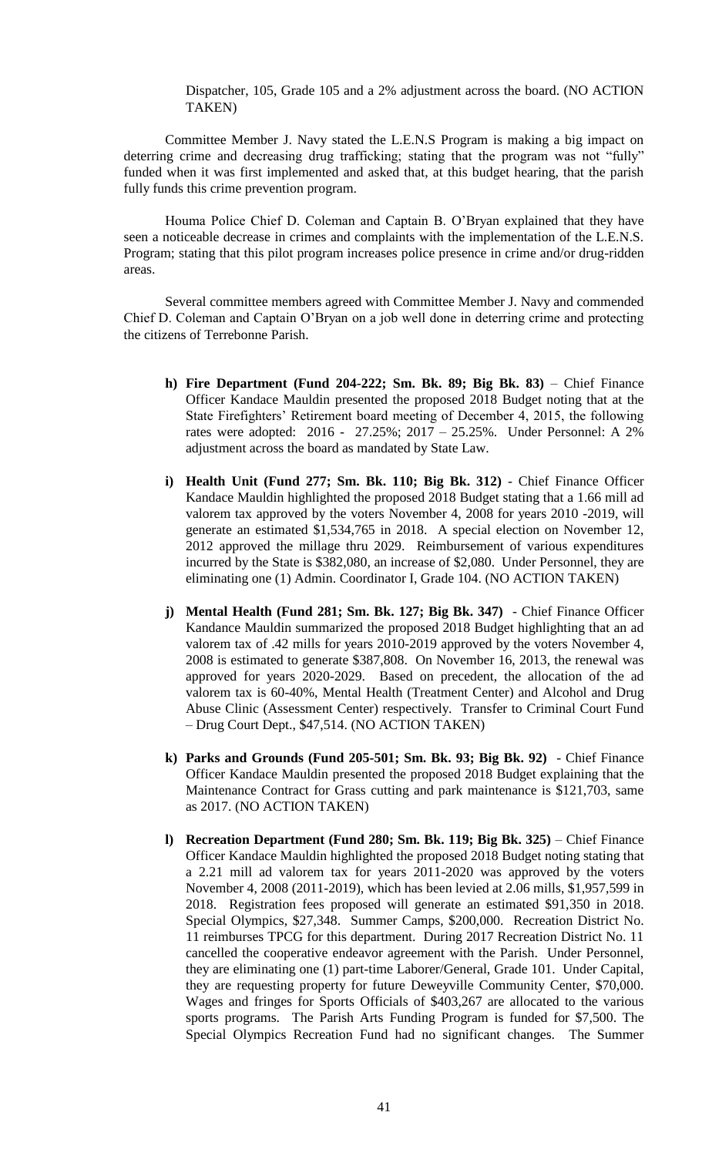Dispatcher, 105, Grade 105 and a 2% adjustment across the board. (NO ACTION TAKEN)

Committee Member J. Navy stated the L.E.N.S Program is making a big impact on deterring crime and decreasing drug trafficking; stating that the program was not "fully" funded when it was first implemented and asked that, at this budget hearing, that the parish fully funds this crime prevention program.

Houma Police Chief D. Coleman and Captain B. O'Bryan explained that they have seen a noticeable decrease in crimes and complaints with the implementation of the L.E.N.S. Program; stating that this pilot program increases police presence in crime and/or drug-ridden areas.

Several committee members agreed with Committee Member J. Navy and commended Chief D. Coleman and Captain O'Bryan on a job well done in deterring crime and protecting the citizens of Terrebonne Parish.

- **h) Fire Department (Fund 204-222; Sm. Bk. 89; Big Bk. 83)** Chief Finance Officer Kandace Mauldin presented the proposed 2018 Budget noting that at the State Firefighters' Retirement board meeting of December 4, 2015, the following rates were adopted: 2016 - 27.25%; 2017 – 25.25%. Under Personnel: A 2% adjustment across the board as mandated by State Law.
- **i) Health Unit (Fund 277; Sm. Bk. 110; Big Bk. 312)** Chief Finance Officer Kandace Mauldin highlighted the proposed 2018 Budget stating that a 1.66 mill ad valorem tax approved by the voters November 4, 2008 for years 2010 -2019, will generate an estimated \$1,534,765 in 2018. A special election on November 12, 2012 approved the millage thru 2029. Reimbursement of various expenditures incurred by the State is \$382,080, an increase of \$2,080. Under Personnel, they are eliminating one (1) Admin. Coordinator I, Grade 104. (NO ACTION TAKEN)
- **j) Mental Health (Fund 281; Sm. Bk. 127; Big Bk. 347)**  Chief Finance Officer Kandance Mauldin summarized the proposed 2018 Budget highlighting that an ad valorem tax of .42 mills for years 2010-2019 approved by the voters November 4, 2008 is estimated to generate \$387,808. On November 16, 2013, the renewal was approved for years 2020-2029. Based on precedent, the allocation of the ad valorem tax is 60-40%, Mental Health (Treatment Center) and Alcohol and Drug Abuse Clinic (Assessment Center) respectively. Transfer to Criminal Court Fund – Drug Court Dept., \$47,514. (NO ACTION TAKEN)
- **k) Parks and Grounds (Fund 205-501; Sm. Bk. 93; Big Bk. 92)**  Chief Finance Officer Kandace Mauldin presented the proposed 2018 Budget explaining that the Maintenance Contract for Grass cutting and park maintenance is \$121,703, same as 2017. (NO ACTION TAKEN)
- **l) Recreation Department (Fund 280; Sm. Bk. 119; Big Bk. 325)** Chief Finance Officer Kandace Mauldin highlighted the proposed 2018 Budget noting stating that a 2.21 mill ad valorem tax for years 2011-2020 was approved by the voters November 4, 2008 (2011-2019), which has been levied at 2.06 mills, \$1,957,599 in 2018. Registration fees proposed will generate an estimated \$91,350 in 2018. Special Olympics, \$27,348. Summer Camps, \$200,000. Recreation District No. 11 reimburses TPCG for this department. During 2017 Recreation District No. 11 cancelled the cooperative endeavor agreement with the Parish. Under Personnel, they are eliminating one (1) part-time Laborer/General, Grade 101. Under Capital, they are requesting property for future Deweyville Community Center, \$70,000. Wages and fringes for Sports Officials of \$403,267 are allocated to the various sports programs. The Parish Arts Funding Program is funded for \$7,500. The Special Olympics Recreation Fund had no significant changes. The Summer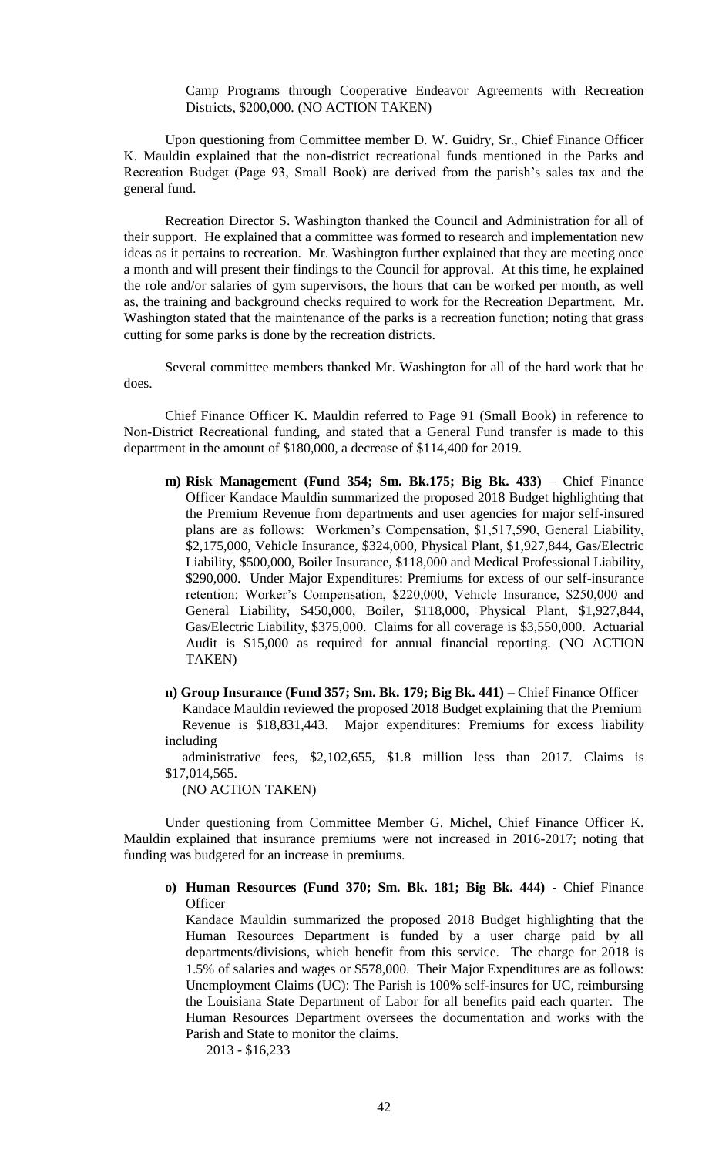Camp Programs through Cooperative Endeavor Agreements with Recreation Districts, \$200,000. (NO ACTION TAKEN)

Upon questioning from Committee member D. W. Guidry, Sr., Chief Finance Officer K. Mauldin explained that the non-district recreational funds mentioned in the Parks and Recreation Budget (Page 93, Small Book) are derived from the parish's sales tax and the general fund.

Recreation Director S. Washington thanked the Council and Administration for all of their support. He explained that a committee was formed to research and implementation new ideas as it pertains to recreation. Mr. Washington further explained that they are meeting once a month and will present their findings to the Council for approval. At this time, he explained the role and/or salaries of gym supervisors, the hours that can be worked per month, as well as, the training and background checks required to work for the Recreation Department. Mr. Washington stated that the maintenance of the parks is a recreation function; noting that grass cutting for some parks is done by the recreation districts.

Several committee members thanked Mr. Washington for all of the hard work that he does.

Chief Finance Officer K. Mauldin referred to Page 91 (Small Book) in reference to Non-District Recreational funding, and stated that a General Fund transfer is made to this department in the amount of \$180,000, a decrease of \$114,400 for 2019.

- **m) Risk Management (Fund 354; Sm. Bk.175; Big Bk. 433)** Chief Finance Officer Kandace Mauldin summarized the proposed 2018 Budget highlighting that the Premium Revenue from departments and user agencies for major self-insured plans are as follows: Workmen's Compensation, \$1,517,590, General Liability, \$2,175,000, Vehicle Insurance, \$324,000, Physical Plant, \$1,927,844, Gas/Electric Liability, \$500,000, Boiler Insurance, \$118,000 and Medical Professional Liability, \$290,000. Under Major Expenditures: Premiums for excess of our self-insurance retention: Worker's Compensation, \$220,000, Vehicle Insurance, \$250,000 and General Liability, \$450,000, Boiler, \$118,000, Physical Plant, \$1,927,844, Gas/Electric Liability, \$375,000. Claims for all coverage is \$3,550,000. Actuarial Audit is \$15,000 as required for annual financial reporting. (NO ACTION TAKEN)
- **n) Group Insurance (Fund 357; Sm. Bk. 179; Big Bk. 441)** Chief Finance Officer Kandace Mauldin reviewed the proposed 2018 Budget explaining that the Premium Revenue is \$18,831,443. Major expenditures: Premiums for excess liability including

 administrative fees, \$2,102,655, \$1.8 million less than 2017. Claims is \$17,014,565.

(NO ACTION TAKEN)

Under questioning from Committee Member G. Michel, Chief Finance Officer K. Mauldin explained that insurance premiums were not increased in 2016-2017; noting that funding was budgeted for an increase in premiums.

**o) Human Resources (Fund 370; Sm. Bk. 181; Big Bk. 444) -** Chief Finance **Officer** 

Kandace Mauldin summarized the proposed 2018 Budget highlighting that the Human Resources Department is funded by a user charge paid by all departments/divisions, which benefit from this service. The charge for 2018 is 1.5% of salaries and wages or \$578,000. Their Major Expenditures are as follows: Unemployment Claims (UC): The Parish is 100% self-insures for UC, reimbursing the Louisiana State Department of Labor for all benefits paid each quarter. The Human Resources Department oversees the documentation and works with the Parish and State to monitor the claims.

2013 - \$16,233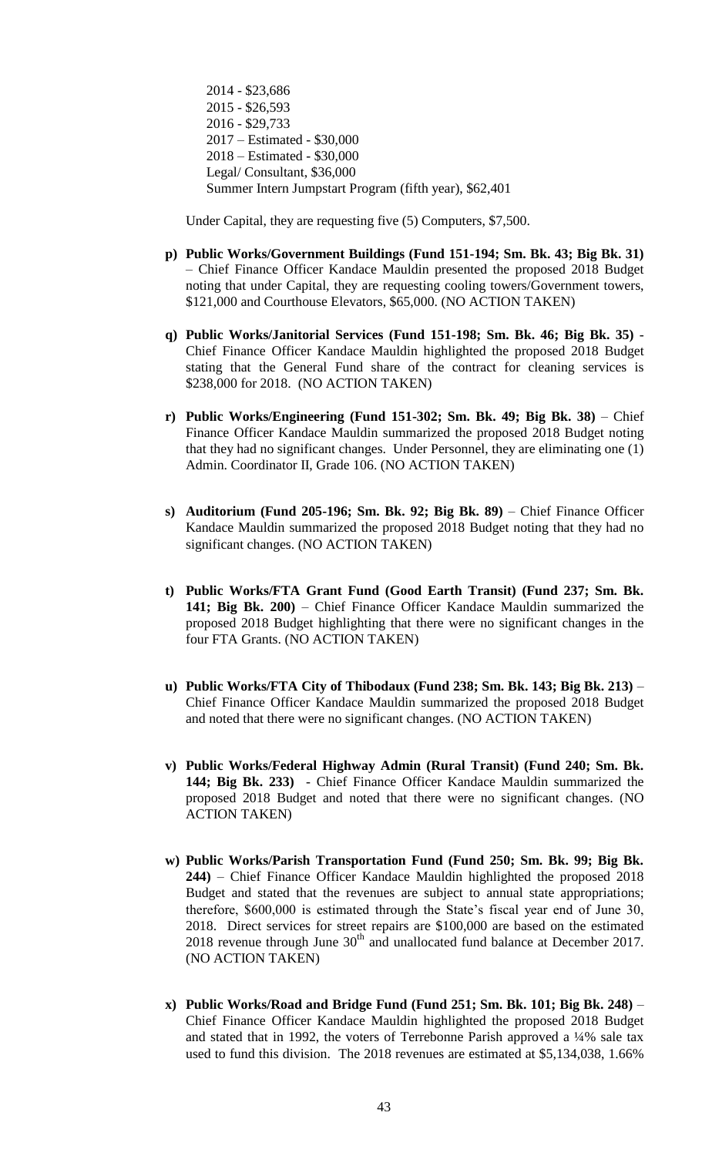2014 - \$23,686 2015 - \$26,593 2016 - \$29,733 2017 – Estimated - \$30,000 2018 – Estimated - \$30,000 Legal/ Consultant, \$36,000 Summer Intern Jumpstart Program (fifth year), \$62,401

Under Capital, they are requesting five (5) Computers, \$7,500.

- **p) Public Works/Government Buildings (Fund 151-194; Sm. Bk. 43; Big Bk. 31)** – Chief Finance Officer Kandace Mauldin presented the proposed 2018 Budget noting that under Capital, they are requesting cooling towers/Government towers, \$121,000 and Courthouse Elevators, \$65,000. (NO ACTION TAKEN)
- **q) Public Works/Janitorial Services (Fund 151-198; Sm. Bk. 46; Big Bk. 35)**  Chief Finance Officer Kandace Mauldin highlighted the proposed 2018 Budget stating that the General Fund share of the contract for cleaning services is \$238,000 for 2018. (NO ACTION TAKEN)
- **r) Public Works/Engineering (Fund 151-302; Sm. Bk. 49; Big Bk. 38)** Chief Finance Officer Kandace Mauldin summarized the proposed 2018 Budget noting that they had no significant changes. Under Personnel, they are eliminating one (1) Admin. Coordinator II, Grade 106. (NO ACTION TAKEN)
- **s) Auditorium (Fund 205-196; Sm. Bk. 92; Big Bk. 89)** Chief Finance Officer Kandace Mauldin summarized the proposed 2018 Budget noting that they had no significant changes. (NO ACTION TAKEN)
- **t) Public Works/FTA Grant Fund (Good Earth Transit) (Fund 237; Sm. Bk. 141; Big Bk. 200)** – Chief Finance Officer Kandace Mauldin summarized the proposed 2018 Budget highlighting that there were no significant changes in the four FTA Grants. (NO ACTION TAKEN)
- **u) Public Works/FTA City of Thibodaux (Fund 238; Sm. Bk. 143; Big Bk. 213)** Chief Finance Officer Kandace Mauldin summarized the proposed 2018 Budget and noted that there were no significant changes. (NO ACTION TAKEN)
- **v) Public Works/Federal Highway Admin (Rural Transit) (Fund 240; Sm. Bk. 144; Big Bk. 233)** - Chief Finance Officer Kandace Mauldin summarized the proposed 2018 Budget and noted that there were no significant changes. (NO ACTION TAKEN)
- **w) Public Works/Parish Transportation Fund (Fund 250; Sm. Bk. 99; Big Bk. 244)** – Chief Finance Officer Kandace Mauldin highlighted the proposed 2018 Budget and stated that the revenues are subject to annual state appropriations; therefore, \$600,000 is estimated through the State's fiscal year end of June 30, 2018. Direct services for street repairs are \$100,000 are based on the estimated 2018 revenue through June  $30<sup>th</sup>$  and unallocated fund balance at December 2017. (NO ACTION TAKEN)
- **x) Public Works/Road and Bridge Fund (Fund 251; Sm. Bk. 101; Big Bk. 248)** Chief Finance Officer Kandace Mauldin highlighted the proposed 2018 Budget and stated that in 1992, the voters of Terrebonne Parish approved a ¼% sale tax used to fund this division. The 2018 revenues are estimated at \$5,134,038, 1.66%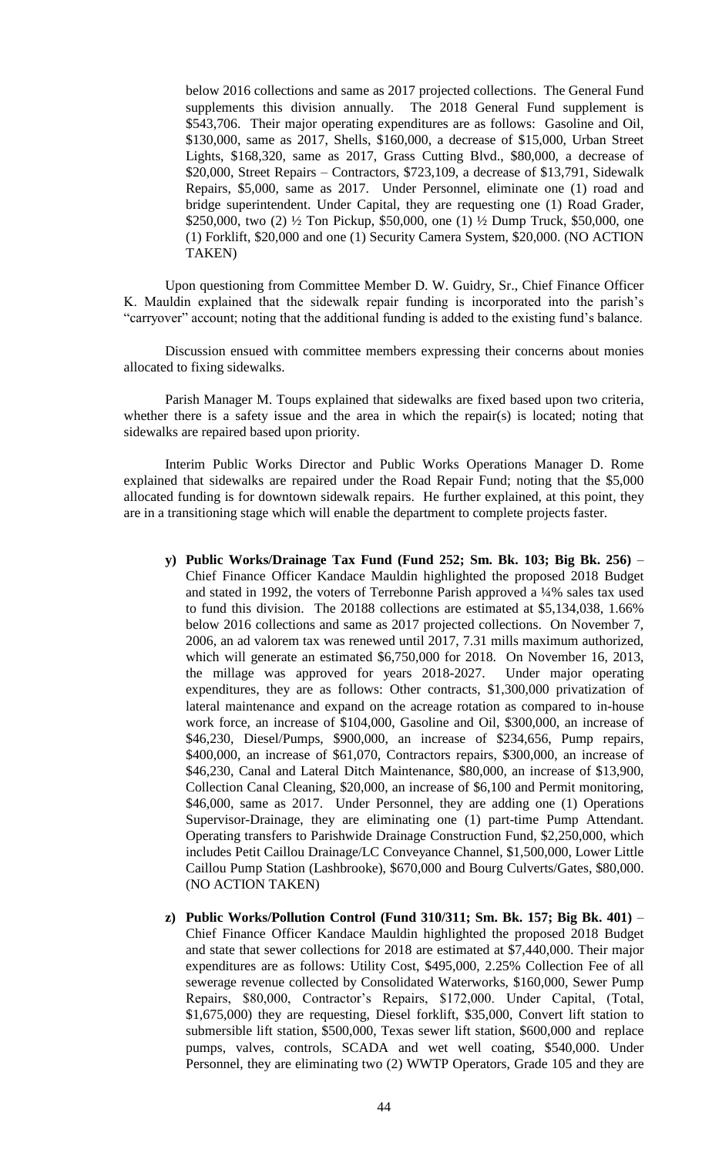below 2016 collections and same as 2017 projected collections. The General Fund supplements this division annually. The 2018 General Fund supplement is \$543,706. Their major operating expenditures are as follows: Gasoline and Oil, \$130,000, same as 2017, Shells, \$160,000, a decrease of \$15,000, Urban Street Lights, \$168,320, same as 2017, Grass Cutting Blvd., \$80,000, a decrease of \$20,000, Street Repairs – Contractors, \$723,109, a decrease of \$13,791, Sidewalk Repairs, \$5,000, same as 2017. Under Personnel, eliminate one (1) road and bridge superintendent. Under Capital, they are requesting one (1) Road Grader, \$250,000, two (2) ½ Ton Pickup, \$50,000, one (1) ½ Dump Truck, \$50,000, one (1) Forklift, \$20,000 and one (1) Security Camera System, \$20,000. (NO ACTION TAKEN)

Upon questioning from Committee Member D. W. Guidry, Sr., Chief Finance Officer K. Mauldin explained that the sidewalk repair funding is incorporated into the parish's "carryover" account; noting that the additional funding is added to the existing fund's balance.

Discussion ensued with committee members expressing their concerns about monies allocated to fixing sidewalks.

Parish Manager M. Toups explained that sidewalks are fixed based upon two criteria, whether there is a safety issue and the area in which the repair(s) is located; noting that sidewalks are repaired based upon priority.

Interim Public Works Director and Public Works Operations Manager D. Rome explained that sidewalks are repaired under the Road Repair Fund; noting that the \$5,000 allocated funding is for downtown sidewalk repairs. He further explained, at this point, they are in a transitioning stage which will enable the department to complete projects faster.

- **y) Public Works/Drainage Tax Fund (Fund 252; Sm. Bk. 103; Big Bk. 256)** Chief Finance Officer Kandace Mauldin highlighted the proposed 2018 Budget and stated in 1992, the voters of Terrebonne Parish approved a ¼% sales tax used to fund this division. The 20188 collections are estimated at \$5,134,038, 1.66% below 2016 collections and same as 2017 projected collections. On November 7, 2006, an ad valorem tax was renewed until 2017, 7.31 mills maximum authorized, which will generate an estimated \$6,750,000 for 2018. On November 16, 2013, the millage was approved for years 2018-2027. Under major operating expenditures, they are as follows: Other contracts, \$1,300,000 privatization of lateral maintenance and expand on the acreage rotation as compared to in-house work force, an increase of \$104,000, Gasoline and Oil, \$300,000, an increase of \$46,230, Diesel/Pumps, \$900,000, an increase of \$234,656, Pump repairs, \$400,000, an increase of \$61,070, Contractors repairs, \$300,000, an increase of \$46,230, Canal and Lateral Ditch Maintenance, \$80,000, an increase of \$13,900, Collection Canal Cleaning, \$20,000, an increase of \$6,100 and Permit monitoring, \$46,000, same as 2017. Under Personnel, they are adding one (1) Operations Supervisor-Drainage, they are eliminating one (1) part-time Pump Attendant. Operating transfers to Parishwide Drainage Construction Fund, \$2,250,000, which includes Petit Caillou Drainage/LC Conveyance Channel, \$1,500,000, Lower Little Caillou Pump Station (Lashbrooke), \$670,000 and Bourg Culverts/Gates, \$80,000. (NO ACTION TAKEN)
- **z) Public Works/Pollution Control (Fund 310/311; Sm. Bk. 157; Big Bk. 401)**  Chief Finance Officer Kandace Mauldin highlighted the proposed 2018 Budget and state that sewer collections for 2018 are estimated at \$7,440,000. Their major expenditures are as follows: Utility Cost, \$495,000, 2.25% Collection Fee of all sewerage revenue collected by Consolidated Waterworks, \$160,000, Sewer Pump Repairs, \$80,000, Contractor's Repairs, \$172,000. Under Capital, (Total, \$1,675,000) they are requesting, Diesel forklift, \$35,000, Convert lift station to submersible lift station, \$500,000, Texas sewer lift station, \$600,000 and replace pumps, valves, controls, SCADA and wet well coating, \$540,000. Under Personnel, they are eliminating two (2) WWTP Operators, Grade 105 and they are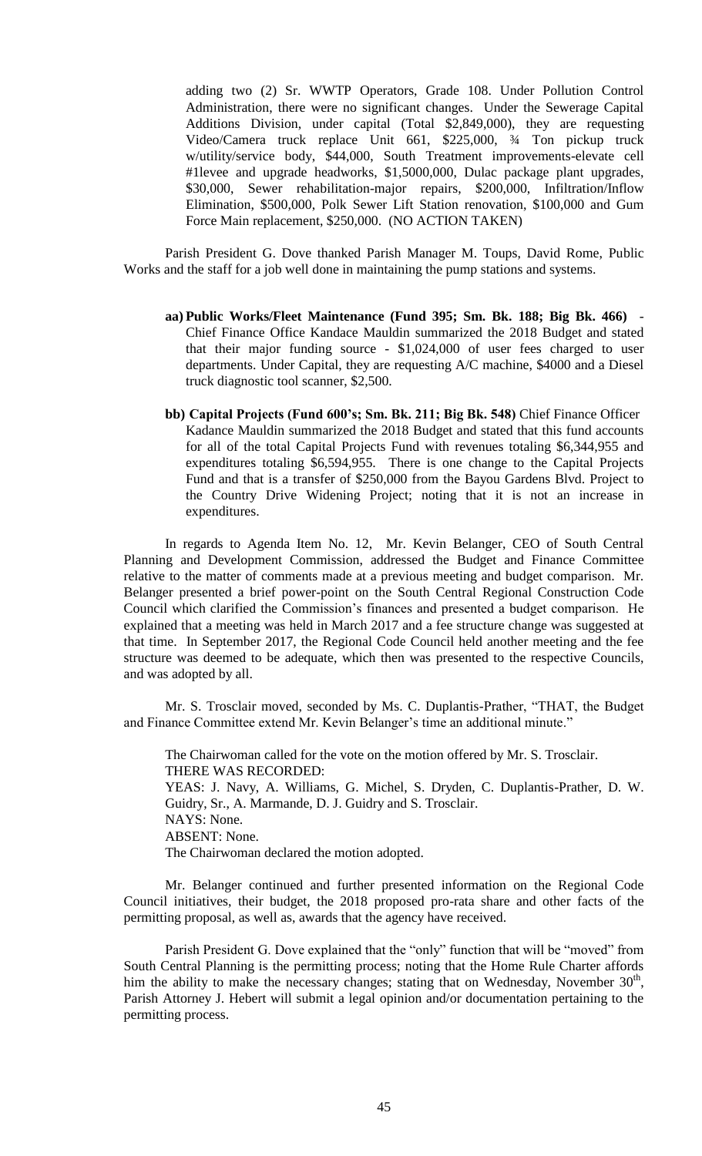adding two (2) Sr. WWTP Operators, Grade 108. Under Pollution Control Administration, there were no significant changes. Under the Sewerage Capital Additions Division, under capital (Total \$2,849,000), they are requesting Video/Camera truck replace Unit 661, \$225,000, ¾ Ton pickup truck w/utility/service body, \$44,000, South Treatment improvements-elevate cell #1levee and upgrade headworks, \$1,5000,000, Dulac package plant upgrades, \$30,000, Sewer rehabilitation-major repairs, \$200,000, Infiltration/Inflow Elimination, \$500,000, Polk Sewer Lift Station renovation, \$100,000 and Gum Force Main replacement, \$250,000. (NO ACTION TAKEN)

Parish President G. Dove thanked Parish Manager M. Toups, David Rome, Public Works and the staff for a job well done in maintaining the pump stations and systems.

- **aa) Public Works/Fleet Maintenance (Fund 395; Sm. Bk. 188; Big Bk. 466)** Chief Finance Office Kandace Mauldin summarized the 2018 Budget and stated that their major funding source - \$1,024,000 of user fees charged to user departments. Under Capital, they are requesting A/C machine, \$4000 and a Diesel truck diagnostic tool scanner, \$2,500.
- **bb) Capital Projects (Fund 600's; Sm. Bk. 211; Big Bk. 548)** Chief Finance Officer Kadance Mauldin summarized the 2018 Budget and stated that this fund accounts for all of the total Capital Projects Fund with revenues totaling \$6,344,955 and expenditures totaling \$6,594,955. There is one change to the Capital Projects Fund and that is a transfer of \$250,000 from the Bayou Gardens Blvd. Project to the Country Drive Widening Project; noting that it is not an increase in expenditures.

In regards to Agenda Item No. 12, Mr. Kevin Belanger, CEO of South Central Planning and Development Commission, addressed the Budget and Finance Committee relative to the matter of comments made at a previous meeting and budget comparison. Mr. Belanger presented a brief power-point on the South Central Regional Construction Code Council which clarified the Commission's finances and presented a budget comparison. He explained that a meeting was held in March 2017 and a fee structure change was suggested at that time. In September 2017, the Regional Code Council held another meeting and the fee structure was deemed to be adequate, which then was presented to the respective Councils, and was adopted by all.

Mr. S. Trosclair moved, seconded by Ms. C. Duplantis-Prather, "THAT, the Budget and Finance Committee extend Mr. Kevin Belanger's time an additional minute."

The Chairwoman called for the vote on the motion offered by Mr. S. Trosclair. THERE WAS RECORDED: YEAS: J. Navy, A. Williams, G. Michel, S. Dryden, C. Duplantis-Prather, D. W. Guidry, Sr., A. Marmande, D. J. Guidry and S. Trosclair. NAYS: None. ABSENT: None. The Chairwoman declared the motion adopted.

Mr. Belanger continued and further presented information on the Regional Code Council initiatives, their budget, the 2018 proposed pro-rata share and other facts of the permitting proposal, as well as, awards that the agency have received.

Parish President G. Dove explained that the "only" function that will be "moved" from South Central Planning is the permitting process; noting that the Home Rule Charter affords him the ability to make the necessary changes; stating that on Wednesday, November  $30<sup>th</sup>$ , Parish Attorney J. Hebert will submit a legal opinion and/or documentation pertaining to the permitting process.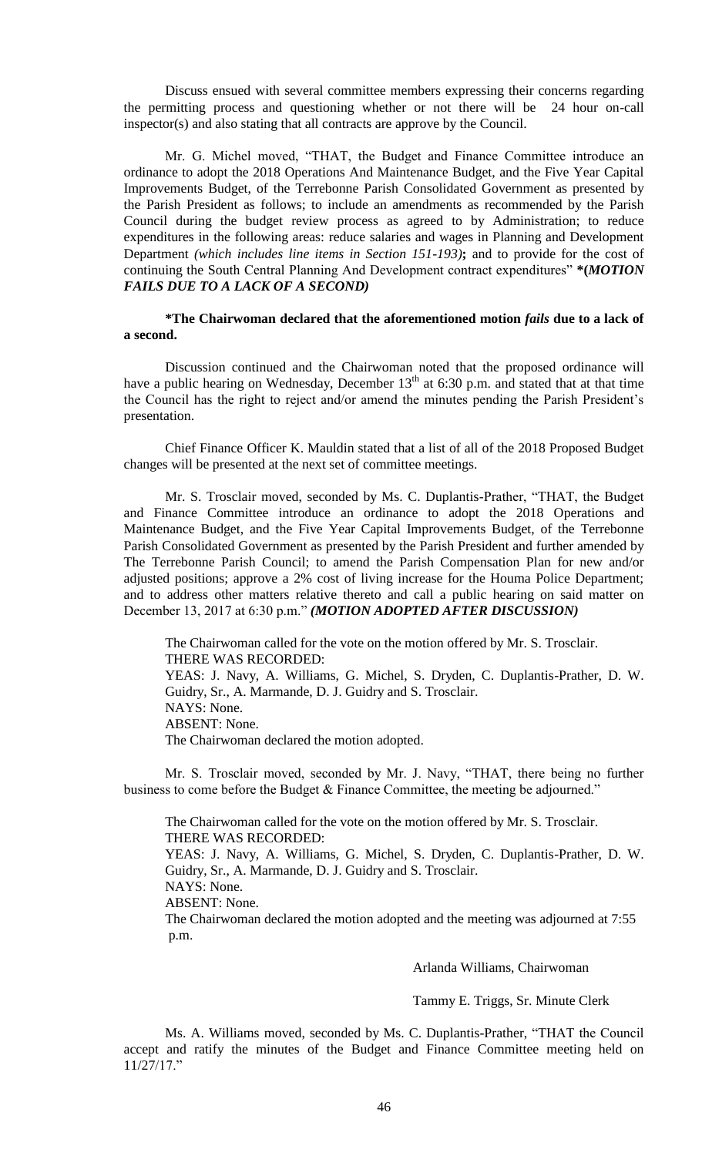Discuss ensued with several committee members expressing their concerns regarding the permitting process and questioning whether or not there will be 24 hour on-call inspector(s) and also stating that all contracts are approve by the Council.

Mr. G. Michel moved, "THAT, the Budget and Finance Committee introduce an ordinance to adopt the 2018 Operations And Maintenance Budget, and the Five Year Capital Improvements Budget, of the Terrebonne Parish Consolidated Government as presented by the Parish President as follows; to include an amendments as recommended by the Parish Council during the budget review process as agreed to by Administration; to reduce expenditures in the following areas: reduce salaries and wages in Planning and Development Department *(which includes line items in Section 151-193)***;** and to provide for the cost of continuing the South Central Planning And Development contract expenditures" **\*(***MOTION FAILS DUE TO A LACK OF A SECOND)*

**\*The Chairwoman declared that the aforementioned motion** *fails* **due to a lack of a second.**

Discussion continued and the Chairwoman noted that the proposed ordinance will have a public hearing on Wednesday, December  $13<sup>th</sup>$  at 6:30 p.m. and stated that at that time the Council has the right to reject and/or amend the minutes pending the Parish President's presentation.

Chief Finance Officer K. Mauldin stated that a list of all of the 2018 Proposed Budget changes will be presented at the next set of committee meetings.

Mr. S. Trosclair moved, seconded by Ms. C. Duplantis-Prather, "THAT, the Budget and Finance Committee introduce an ordinance to adopt the 2018 Operations and Maintenance Budget, and the Five Year Capital Improvements Budget, of the Terrebonne Parish Consolidated Government as presented by the Parish President and further amended by The Terrebonne Parish Council; to amend the Parish Compensation Plan for new and/or adjusted positions; approve a 2% cost of living increase for the Houma Police Department; and to address other matters relative thereto and call a public hearing on said matter on December 13, 2017 at 6:30 p.m." *(MOTION ADOPTED AFTER DISCUSSION)*

The Chairwoman called for the vote on the motion offered by Mr. S. Trosclair. THERE WAS RECORDED: YEAS: J. Navy, A. Williams, G. Michel, S. Dryden, C. Duplantis-Prather, D. W. Guidry, Sr., A. Marmande, D. J. Guidry and S. Trosclair. NAYS: None. ABSENT: None. The Chairwoman declared the motion adopted.

Mr. S. Trosclair moved, seconded by Mr. J. Navy, "THAT, there being no further business to come before the Budget & Finance Committee, the meeting be adjourned."

The Chairwoman called for the vote on the motion offered by Mr. S. Trosclair. THERE WAS RECORDED: YEAS: J. Navy, A. Williams, G. Michel, S. Dryden, C. Duplantis-Prather, D. W. Guidry, Sr., A. Marmande, D. J. Guidry and S. Trosclair. NAYS: None. ABSENT: None. The Chairwoman declared the motion adopted and the meeting was adjourned at 7:55 p.m.

Arlanda Williams, Chairwoman

Tammy E. Triggs, Sr. Minute Clerk

Ms. A. Williams moved, seconded by Ms. C. Duplantis-Prather, "THAT the Council accept and ratify the minutes of the Budget and Finance Committee meeting held on 11/27/17."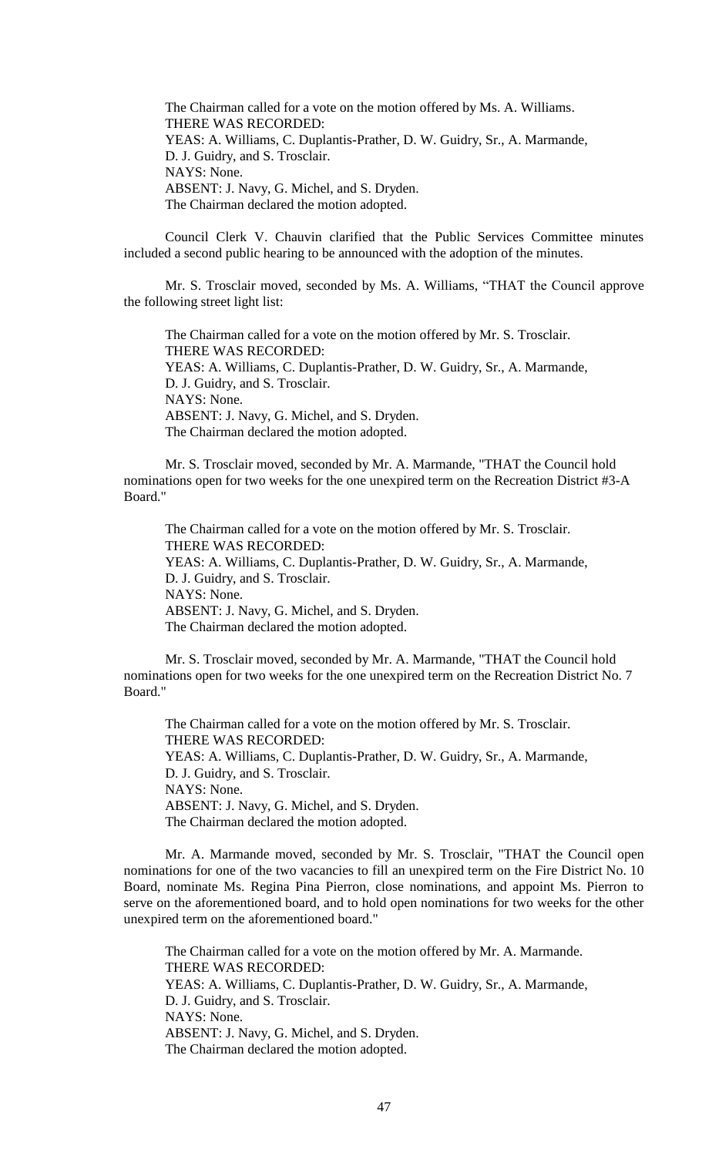The Chairman called for a vote on the motion offered by Ms. A. Williams. THERE WAS RECORDED: YEAS: A. Williams, C. Duplantis-Prather, D. W. Guidry, Sr., A. Marmande, D. J. Guidry, and S. Trosclair. NAYS: None. ABSENT: J. Navy, G. Michel, and S. Dryden. The Chairman declared the motion adopted.

Council Clerk V. Chauvin clarified that the Public Services Committee minutes included a second public hearing to be announced with the adoption of the minutes.

Mr. S. Trosclair moved, seconded by Ms. A. Williams, "THAT the Council approve the following street light list:

The Chairman called for a vote on the motion offered by Mr. S. Trosclair. THERE WAS RECORDED: YEAS: A. Williams, C. Duplantis-Prather, D. W. Guidry, Sr., A. Marmande, D. J. Guidry, and S. Trosclair. NAYS: None. ABSENT: J. Navy, G. Michel, and S. Dryden. The Chairman declared the motion adopted.

Mr. S. Trosclair moved, seconded by Mr. A. Marmande, "THAT the Council hold nominations open for two weeks for the one unexpired term on the Recreation District #3-A Board."

The Chairman called for a vote on the motion offered by Mr. S. Trosclair. THERE WAS RECORDED: YEAS: A. Williams, C. Duplantis-Prather, D. W. Guidry, Sr., A. Marmande, D. J. Guidry, and S. Trosclair. NAYS: None. ABSENT: J. Navy, G. Michel, and S. Dryden. The Chairman declared the motion adopted.

Mr. S. Trosclair moved, seconded by Mr. A. Marmande, "THAT the Council hold nominations open for two weeks for the one unexpired term on the Recreation District No. 7 Board."

The Chairman called for a vote on the motion offered by Mr. S. Trosclair. THERE WAS RECORDED: YEAS: A. Williams, C. Duplantis-Prather, D. W. Guidry, Sr., A. Marmande, D. J. Guidry, and S. Trosclair. NAYS: None. ABSENT: J. Navy, G. Michel, and S. Dryden. The Chairman declared the motion adopted.

Mr. A. Marmande moved, seconded by Mr. S. Trosclair, "THAT the Council open nominations for one of the two vacancies to fill an unexpired term on the Fire District No. 10 Board, nominate Ms. Regina Pina Pierron, close nominations, and appoint Ms. Pierron to serve on the aforementioned board, and to hold open nominations for two weeks for the other unexpired term on the aforementioned board."

The Chairman called for a vote on the motion offered by Mr. A. Marmande. THERE WAS RECORDED: YEAS: A. Williams, C. Duplantis-Prather, D. W. Guidry, Sr., A. Marmande, D. J. Guidry, and S. Trosclair. NAYS: None. ABSENT: J. Navy, G. Michel, and S. Dryden. The Chairman declared the motion adopted.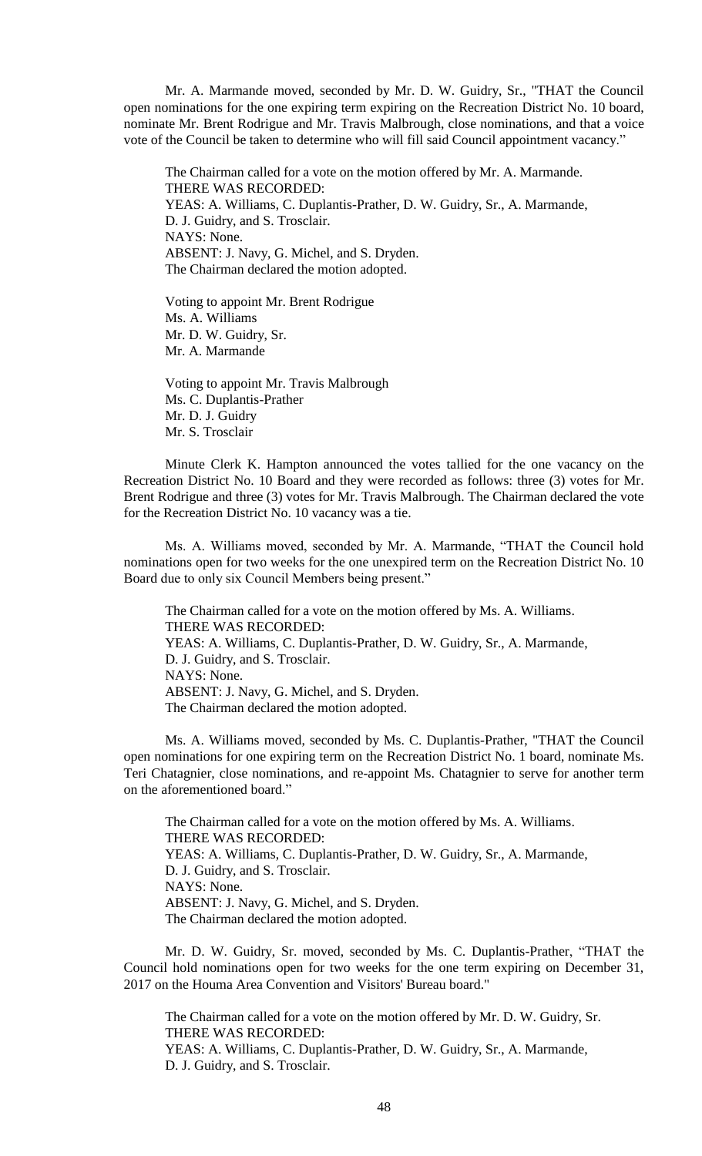Mr. A. Marmande moved, seconded by Mr. D. W. Guidry, Sr., "THAT the Council open nominations for the one expiring term expiring on the Recreation District No. 10 board, nominate Mr. Brent Rodrigue and Mr. Travis Malbrough, close nominations, and that a voice vote of the Council be taken to determine who will fill said Council appointment vacancy."

The Chairman called for a vote on the motion offered by Mr. A. Marmande. THERE WAS RECORDED: YEAS: A. Williams, C. Duplantis-Prather, D. W. Guidry, Sr., A. Marmande, D. J. Guidry, and S. Trosclair. NAYS: None. ABSENT: J. Navy, G. Michel, and S. Dryden. The Chairman declared the motion adopted.

Voting to appoint Mr. Brent Rodrigue Ms. A. Williams Mr. D. W. Guidry, Sr. Mr. A. Marmande

Voting to appoint Mr. Travis Malbrough Ms. C. Duplantis-Prather Mr. D. J. Guidry Mr. S. Trosclair

Minute Clerk K. Hampton announced the votes tallied for the one vacancy on the Recreation District No. 10 Board and they were recorded as follows: three (3) votes for Mr. Brent Rodrigue and three (3) votes for Mr. Travis Malbrough. The Chairman declared the vote for the Recreation District No. 10 vacancy was a tie.

Ms. A. Williams moved, seconded by Mr. A. Marmande, "THAT the Council hold nominations open for two weeks for the one unexpired term on the Recreation District No. 10 Board due to only six Council Members being present."

The Chairman called for a vote on the motion offered by Ms. A. Williams. THERE WAS RECORDED: YEAS: A. Williams, C. Duplantis-Prather, D. W. Guidry, Sr., A. Marmande, D. J. Guidry, and S. Trosclair. NAYS: None. ABSENT: J. Navy, G. Michel, and S. Dryden. The Chairman declared the motion adopted.

Ms. A. Williams moved, seconded by Ms. C. Duplantis-Prather, "THAT the Council open nominations for one expiring term on the Recreation District No. 1 board, nominate Ms. Teri Chatagnier, close nominations, and re-appoint Ms. Chatagnier to serve for another term on the aforementioned board."

The Chairman called for a vote on the motion offered by Ms. A. Williams. THERE WAS RECORDED: YEAS: A. Williams, C. Duplantis-Prather, D. W. Guidry, Sr., A. Marmande, D. J. Guidry, and S. Trosclair. NAYS: None. ABSENT: J. Navy, G. Michel, and S. Dryden. The Chairman declared the motion adopted.

Mr. D. W. Guidry, Sr. moved, seconded by Ms. C. Duplantis-Prather, "THAT the Council hold nominations open for two weeks for the one term expiring on December 31, 2017 on the Houma Area Convention and Visitors' Bureau board."

The Chairman called for a vote on the motion offered by Mr. D. W. Guidry, Sr. THERE WAS RECORDED: YEAS: A. Williams, C. Duplantis-Prather, D. W. Guidry, Sr., A. Marmande, D. J. Guidry, and S. Trosclair.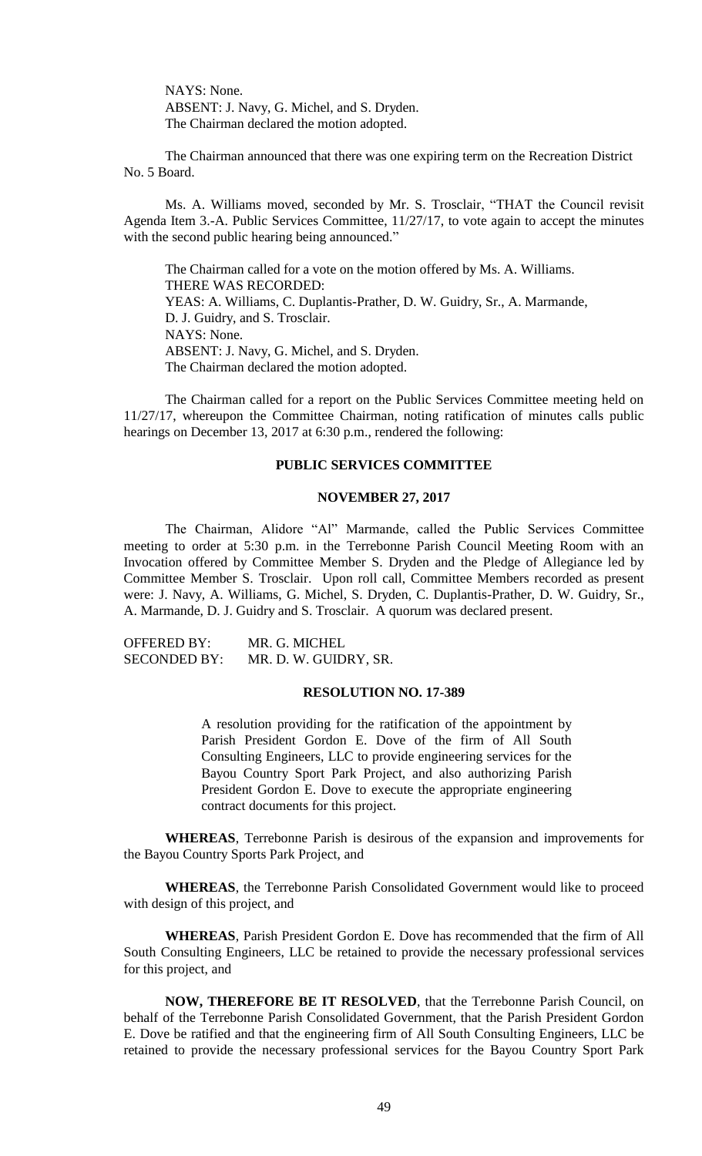NAYS: None. ABSENT: J. Navy, G. Michel, and S. Dryden. The Chairman declared the motion adopted.

The Chairman announced that there was one expiring term on the Recreation District No. 5 Board.

Ms. A. Williams moved, seconded by Mr. S. Trosclair, "THAT the Council revisit Agenda Item 3.-A. Public Services Committee, 11/27/17, to vote again to accept the minutes with the second public hearing being announced."

The Chairman called for a vote on the motion offered by Ms. A. Williams. THERE WAS RECORDED: YEAS: A. Williams, C. Duplantis-Prather, D. W. Guidry, Sr., A. Marmande, D. J. Guidry, and S. Trosclair. NAYS: None. ABSENT: J. Navy, G. Michel, and S. Dryden. The Chairman declared the motion adopted.

The Chairman called for a report on the Public Services Committee meeting held on 11/27/17, whereupon the Committee Chairman, noting ratification of minutes calls public hearings on December 13, 2017 at 6:30 p.m., rendered the following:

## **PUBLIC SERVICES COMMITTEE**

#### **NOVEMBER 27, 2017**

The Chairman, Alidore "Al" Marmande, called the Public Services Committee meeting to order at 5:30 p.m. in the Terrebonne Parish Council Meeting Room with an Invocation offered by Committee Member S. Dryden and the Pledge of Allegiance led by Committee Member S. Trosclair. Upon roll call, Committee Members recorded as present were: J. Navy, A. Williams, G. Michel, S. Dryden, C. Duplantis-Prather, D. W. Guidry, Sr., A. Marmande, D. J. Guidry and S. Trosclair. A quorum was declared present.

| <b>OFFERED BY:</b>  | MR. G. MICHEL         |
|---------------------|-----------------------|
| <b>SECONDED BY:</b> | MR. D. W. GUIDRY, SR. |

### **RESOLUTION NO. 17-389**

A resolution providing for the ratification of the appointment by Parish President Gordon E. Dove of the firm of All South Consulting Engineers, LLC to provide engineering services for the Bayou Country Sport Park Project, and also authorizing Parish President Gordon E. Dove to execute the appropriate engineering contract documents for this project.

**WHEREAS**, Terrebonne Parish is desirous of the expansion and improvements for the Bayou Country Sports Park Project, and

**WHEREAS**, the Terrebonne Parish Consolidated Government would like to proceed with design of this project, and

**WHEREAS**, Parish President Gordon E. Dove has recommended that the firm of All South Consulting Engineers, LLC be retained to provide the necessary professional services for this project, and

**NOW, THEREFORE BE IT RESOLVED**, that the Terrebonne Parish Council, on behalf of the Terrebonne Parish Consolidated Government, that the Parish President Gordon E. Dove be ratified and that the engineering firm of All South Consulting Engineers, LLC be retained to provide the necessary professional services for the Bayou Country Sport Park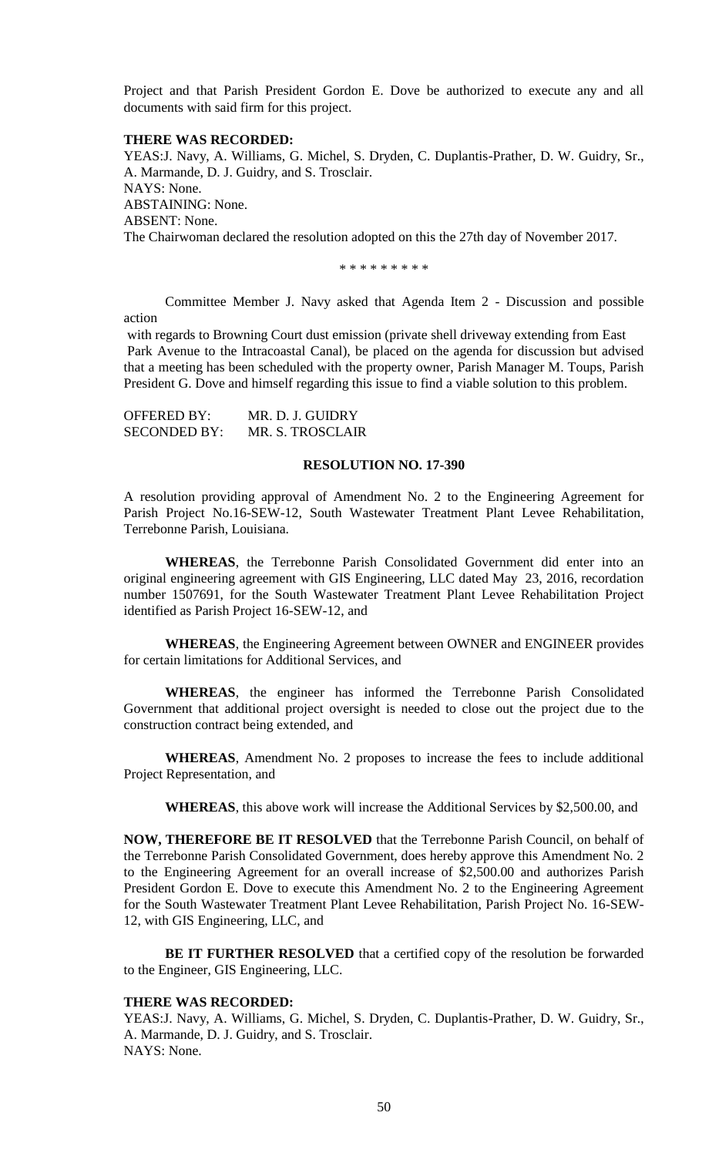Project and that Parish President Gordon E. Dove be authorized to execute any and all documents with said firm for this project.

### **THERE WAS RECORDED:**

YEAS:J. Navy, A. Williams, G. Michel, S. Dryden, C. Duplantis-Prather, D. W. Guidry, Sr., A. Marmande, D. J. Guidry, and S. Trosclair. NAYS: None. ABSTAINING: None. ABSENT: None. The Chairwoman declared the resolution adopted on this the 27th day of November 2017.

\* \* \* \* \* \* \* \* \*

Committee Member J. Navy asked that Agenda Item 2 - Discussion and possible action

with regards to Browning Court dust emission (private shell driveway extending from East Park Avenue to the Intracoastal Canal), be placed on the agenda for discussion but advised that a meeting has been scheduled with the property owner, Parish Manager M. Toups, Parish President G. Dove and himself regarding this issue to find a viable solution to this problem.

OFFERED BY: MR. D. J. GUIDRY SECONDED BY: MR. S. TROSCLAIR

## **RESOLUTION NO. 17-390**

A resolution providing approval of Amendment No. 2 to the Engineering Agreement for Parish Project No.16-SEW-12, South Wastewater Treatment Plant Levee Rehabilitation, Terrebonne Parish, Louisiana.

**WHEREAS**, the Terrebonne Parish Consolidated Government did enter into an original engineering agreement with GIS Engineering, LLC dated May 23, 2016, recordation number 1507691, for the South Wastewater Treatment Plant Levee Rehabilitation Project identified as Parish Project 16-SEW-12, and

**WHEREAS**, the Engineering Agreement between OWNER and ENGINEER provides for certain limitations for Additional Services, and

**WHEREAS**, the engineer has informed the Terrebonne Parish Consolidated Government that additional project oversight is needed to close out the project due to the construction contract being extended, and

**WHEREAS**, Amendment No. 2 proposes to increase the fees to include additional Project Representation, and

**WHEREAS**, this above work will increase the Additional Services by \$2,500.00, and

**NOW, THEREFORE BE IT RESOLVED** that the Terrebonne Parish Council, on behalf of the Terrebonne Parish Consolidated Government, does hereby approve this Amendment No. 2 to the Engineering Agreement for an overall increase of \$2,500.00 and authorizes Parish President Gordon E. Dove to execute this Amendment No. 2 to the Engineering Agreement for the South Wastewater Treatment Plant Levee Rehabilitation, Parish Project No. 16-SEW-12, with GIS Engineering, LLC, and

**BE IT FURTHER RESOLVED** that a certified copy of the resolution be forwarded to the Engineer, GIS Engineering, LLC.

### **THERE WAS RECORDED:**

YEAS:J. Navy, A. Williams, G. Michel, S. Dryden, C. Duplantis-Prather, D. W. Guidry, Sr., A. Marmande, D. J. Guidry, and S. Trosclair. NAYS: None.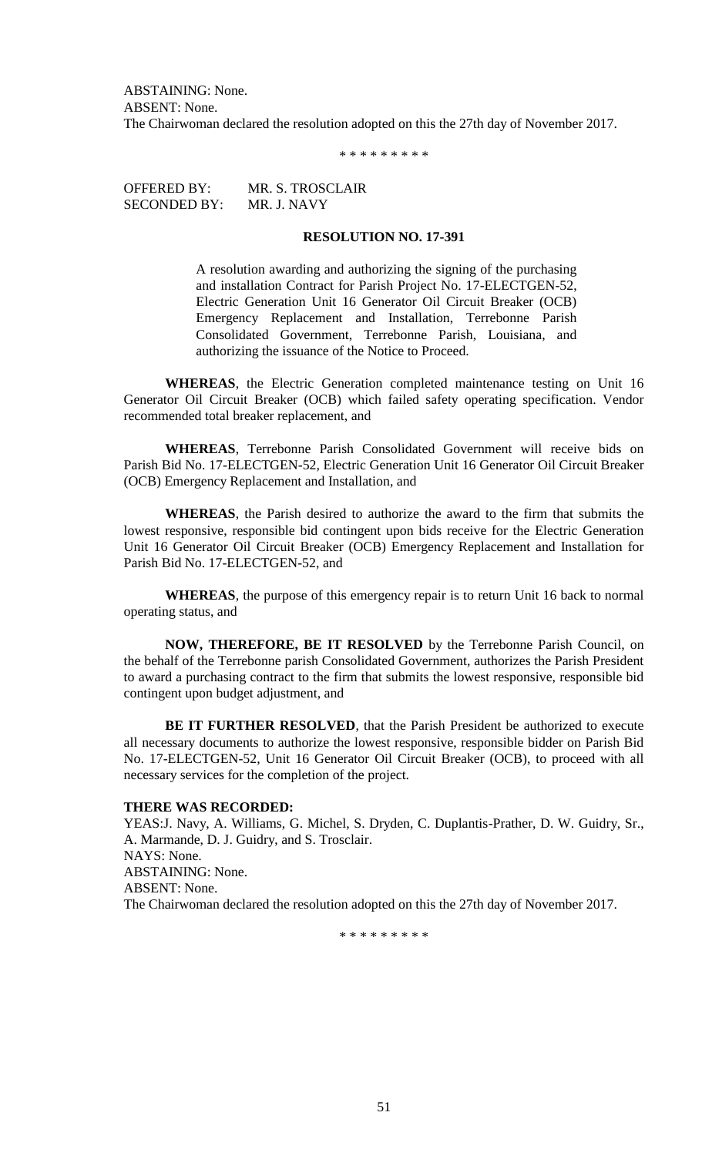ABSTAINING: None. ABSENT: None. The Chairwoman declared the resolution adopted on this the 27th day of November 2017.

\* \* \* \* \* \* \* \* \*

OFFERED BY: MR. S. TROSCLAIR SECONDED BY: MR. J. NAVY

# **RESOLUTION NO. 17-391**

A resolution awarding and authorizing the signing of the purchasing and installation Contract for Parish Project No. 17-ELECTGEN-52, Electric Generation Unit 16 Generator Oil Circuit Breaker (OCB) Emergency Replacement and Installation, Terrebonne Parish Consolidated Government, Terrebonne Parish, Louisiana, and authorizing the issuance of the Notice to Proceed.

**WHEREAS**, the Electric Generation completed maintenance testing on Unit 16 Generator Oil Circuit Breaker (OCB) which failed safety operating specification. Vendor recommended total breaker replacement, and

**WHEREAS**, Terrebonne Parish Consolidated Government will receive bids on Parish Bid No. 17-ELECTGEN-52, Electric Generation Unit 16 Generator Oil Circuit Breaker (OCB) Emergency Replacement and Installation, and

**WHEREAS**, the Parish desired to authorize the award to the firm that submits the lowest responsive, responsible bid contingent upon bids receive for the Electric Generation Unit 16 Generator Oil Circuit Breaker (OCB) Emergency Replacement and Installation for Parish Bid No. 17-ELECTGEN-52, and

**WHEREAS**, the purpose of this emergency repair is to return Unit 16 back to normal operating status, and

**NOW, THEREFORE, BE IT RESOLVED** by the Terrebonne Parish Council, on the behalf of the Terrebonne parish Consolidated Government, authorizes the Parish President to award a purchasing contract to the firm that submits the lowest responsive, responsible bid contingent upon budget adjustment, and

**BE IT FURTHER RESOLVED**, that the Parish President be authorized to execute all necessary documents to authorize the lowest responsive, responsible bidder on Parish Bid No. 17-ELECTGEN-52, Unit 16 Generator Oil Circuit Breaker (OCB), to proceed with all necessary services for the completion of the project.

## **THERE WAS RECORDED:**

YEAS:J. Navy, A. Williams, G. Michel, S. Dryden, C. Duplantis-Prather, D. W. Guidry, Sr., A. Marmande, D. J. Guidry, and S. Trosclair. NAYS: None. ABSTAINING: None. ABSENT: None. The Chairwoman declared the resolution adopted on this the 27th day of November 2017.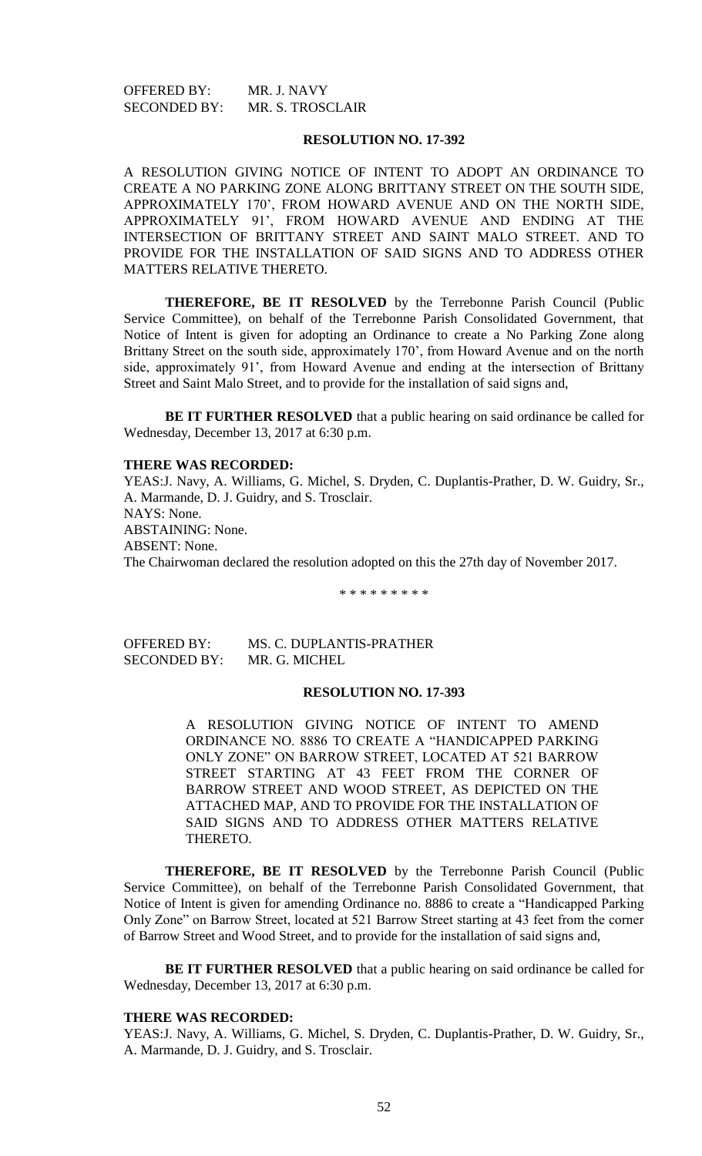OFFERED BY: MR. J. NAVY SECONDED BY: MR. S. TROSCLAIR

# **RESOLUTION NO. 17-392**

A RESOLUTION GIVING NOTICE OF INTENT TO ADOPT AN ORDINANCE TO CREATE A NO PARKING ZONE ALONG BRITTANY STREET ON THE SOUTH SIDE, APPROXIMATELY 170', FROM HOWARD AVENUE AND ON THE NORTH SIDE, APPROXIMATELY 91', FROM HOWARD AVENUE AND ENDING AT THE INTERSECTION OF BRITTANY STREET AND SAINT MALO STREET. AND TO PROVIDE FOR THE INSTALLATION OF SAID SIGNS AND TO ADDRESS OTHER MATTERS RELATIVE THERETO.

**THEREFORE, BE IT RESOLVED** by the Terrebonne Parish Council (Public Service Committee), on behalf of the Terrebonne Parish Consolidated Government, that Notice of Intent is given for adopting an Ordinance to create a No Parking Zone along Brittany Street on the south side, approximately 170', from Howard Avenue and on the north side, approximately 91', from Howard Avenue and ending at the intersection of Brittany Street and Saint Malo Street, and to provide for the installation of said signs and,

**BE IT FURTHER RESOLVED** that a public hearing on said ordinance be called for Wednesday, December 13, 2017 at 6:30 p.m.

#### **THERE WAS RECORDED:**

YEAS:J. Navy, A. Williams, G. Michel, S. Dryden, C. Duplantis-Prather, D. W. Guidry, Sr., A. Marmande, D. J. Guidry, and S. Trosclair. NAYS: None. ABSTAINING: None. ABSENT: None. The Chairwoman declared the resolution adopted on this the 27th day of November 2017.

\* \* \* \* \* \* \* \* \*

OFFERED BY: MS. C. DUPLANTIS-PRATHER SECONDED BY: MR. G. MICHEL

#### **RESOLUTION NO. 17-393**

A RESOLUTION GIVING NOTICE OF INTENT TO AMEND ORDINANCE NO. 8886 TO CREATE A "HANDICAPPED PARKING ONLY ZONE" ON BARROW STREET, LOCATED AT 521 BARROW STREET STARTING AT 43 FEET FROM THE CORNER OF BARROW STREET AND WOOD STREET, AS DEPICTED ON THE ATTACHED MAP, AND TO PROVIDE FOR THE INSTALLATION OF SAID SIGNS AND TO ADDRESS OTHER MATTERS RELATIVE THERETO.

**THEREFORE, BE IT RESOLVED** by the Terrebonne Parish Council (Public Service Committee), on behalf of the Terrebonne Parish Consolidated Government, that Notice of Intent is given for amending Ordinance no. 8886 to create a "Handicapped Parking Only Zone" on Barrow Street, located at 521 Barrow Street starting at 43 feet from the corner of Barrow Street and Wood Street, and to provide for the installation of said signs and,

**BE IT FURTHER RESOLVED** that a public hearing on said ordinance be called for Wednesday, December 13, 2017 at 6:30 p.m.

#### **THERE WAS RECORDED:**

YEAS:J. Navy, A. Williams, G. Michel, S. Dryden, C. Duplantis-Prather, D. W. Guidry, Sr., A. Marmande, D. J. Guidry, and S. Trosclair.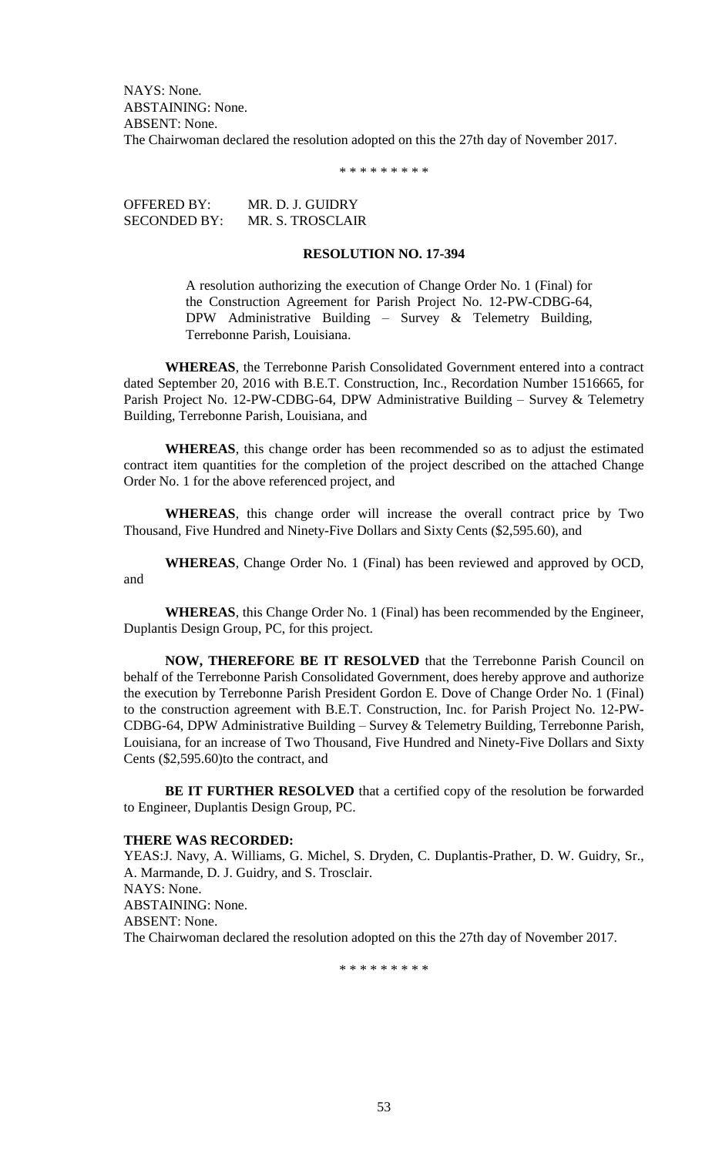NAYS: None. ABSTAINING: None. ABSENT: None. The Chairwoman declared the resolution adopted on this the 27th day of November 2017.

\* \* \* \* \* \* \* \* \*

OFFERED BY: MR. D. J. GUIDRY SECONDED BY: MR. S. TROSCLAIR

## **RESOLUTION NO. 17-394**

A resolution authorizing the execution of Change Order No. 1 (Final) for the Construction Agreement for Parish Project No. 12-PW-CDBG-64, DPW Administrative Building – Survey & Telemetry Building, Terrebonne Parish, Louisiana.

**WHEREAS**, the Terrebonne Parish Consolidated Government entered into a contract dated September 20, 2016 with B.E.T. Construction, Inc., Recordation Number 1516665, for Parish Project No. 12-PW-CDBG-64, DPW Administrative Building – Survey & Telemetry Building, Terrebonne Parish, Louisiana, and

**WHEREAS**, this change order has been recommended so as to adjust the estimated contract item quantities for the completion of the project described on the attached Change Order No. 1 for the above referenced project, and

**WHEREAS**, this change order will increase the overall contract price by Two Thousand, Five Hundred and Ninety-Five Dollars and Sixty Cents (\$2,595.60), and

**WHEREAS**, Change Order No. 1 (Final) has been reviewed and approved by OCD, and

**WHEREAS**, this Change Order No. 1 (Final) has been recommended by the Engineer, Duplantis Design Group, PC, for this project.

**NOW, THEREFORE BE IT RESOLVED** that the Terrebonne Parish Council on behalf of the Terrebonne Parish Consolidated Government, does hereby approve and authorize the execution by Terrebonne Parish President Gordon E. Dove of Change Order No. 1 (Final) to the construction agreement with B.E.T. Construction, Inc. for Parish Project No. 12-PW-CDBG-64, DPW Administrative Building – Survey & Telemetry Building, Terrebonne Parish, Louisiana, for an increase of Two Thousand, Five Hundred and Ninety-Five Dollars and Sixty Cents (\$2,595.60)to the contract, and

**BE IT FURTHER RESOLVED** that a certified copy of the resolution be forwarded to Engineer, Duplantis Design Group, PC.

### **THERE WAS RECORDED:**

YEAS:J. Navy, A. Williams, G. Michel, S. Dryden, C. Duplantis-Prather, D. W. Guidry, Sr., A. Marmande, D. J. Guidry, and S. Trosclair. NAYS: None. ABSTAINING: None. ABSENT: None. The Chairwoman declared the resolution adopted on this the 27th day of November 2017.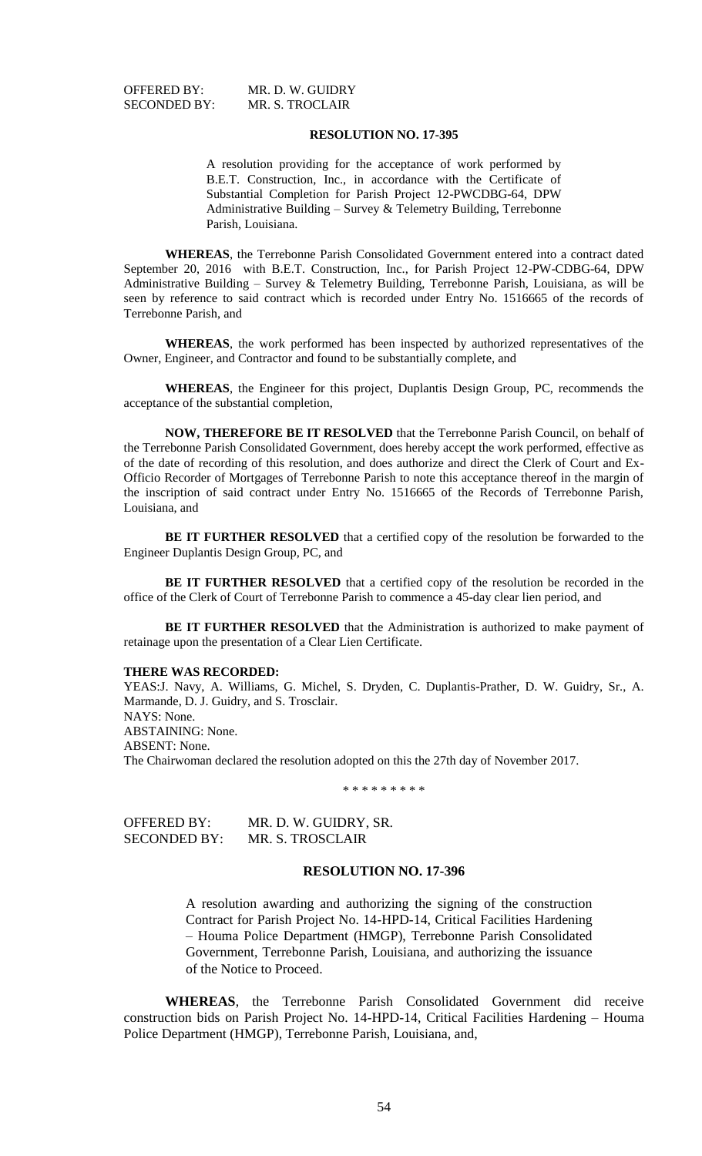OFFERED BY: MR. D. W. GUIDRY SECONDED BY: MR. S. TROCLAIR

#### **RESOLUTION NO. 17-395**

A resolution providing for the acceptance of work performed by B.E.T. Construction, Inc., in accordance with the Certificate of Substantial Completion for Parish Project 12-PWCDBG-64, DPW Administrative Building – Survey & Telemetry Building, Terrebonne Parish, Louisiana.

**WHEREAS**, the Terrebonne Parish Consolidated Government entered into a contract dated September 20, 2016 with B.E.T. Construction, Inc., for Parish Project 12-PW-CDBG-64, DPW Administrative Building – Survey & Telemetry Building, Terrebonne Parish, Louisiana, as will be seen by reference to said contract which is recorded under Entry No. 1516665 of the records of Terrebonne Parish, and

**WHEREAS**, the work performed has been inspected by authorized representatives of the Owner, Engineer, and Contractor and found to be substantially complete, and

**WHEREAS**, the Engineer for this project, Duplantis Design Group, PC, recommends the acceptance of the substantial completion,

**NOW, THEREFORE BE IT RESOLVED** that the Terrebonne Parish Council, on behalf of the Terrebonne Parish Consolidated Government, does hereby accept the work performed, effective as of the date of recording of this resolution, and does authorize and direct the Clerk of Court and Ex-Officio Recorder of Mortgages of Terrebonne Parish to note this acceptance thereof in the margin of the inscription of said contract under Entry No. 1516665 of the Records of Terrebonne Parish, Louisiana, and

**BE IT FURTHER RESOLVED** that a certified copy of the resolution be forwarded to the Engineer Duplantis Design Group, PC, and

**BE IT FURTHER RESOLVED** that a certified copy of the resolution be recorded in the office of the Clerk of Court of Terrebonne Parish to commence a 45-day clear lien period, and

**BE IT FURTHER RESOLVED** that the Administration is authorized to make payment of retainage upon the presentation of a Clear Lien Certificate.

### **THERE WAS RECORDED:**

YEAS:J. Navy, A. Williams, G. Michel, S. Dryden, C. Duplantis-Prather, D. W. Guidry, Sr., A. Marmande, D. J. Guidry, and S. Trosclair. NAYS: None. ABSTAINING: None. ABSENT: None. The Chairwoman declared the resolution adopted on this the 27th day of November 2017.

\* \* \* \* \* \* \* \* \*

| OFFERED BY:         | MR. D. W. GUIDRY, SR. |
|---------------------|-----------------------|
| <b>SECONDED BY:</b> | MR. S. TROSCLAIR      |

## **RESOLUTION NO. 17-396**

A resolution awarding and authorizing the signing of the construction Contract for Parish Project No. 14-HPD-14, Critical Facilities Hardening – Houma Police Department (HMGP), Terrebonne Parish Consolidated Government, Terrebonne Parish, Louisiana, and authorizing the issuance of the Notice to Proceed.

**WHEREAS**, the Terrebonne Parish Consolidated Government did receive construction bids on Parish Project No. 14-HPD-14, Critical Facilities Hardening – Houma Police Department (HMGP), Terrebonne Parish, Louisiana, and,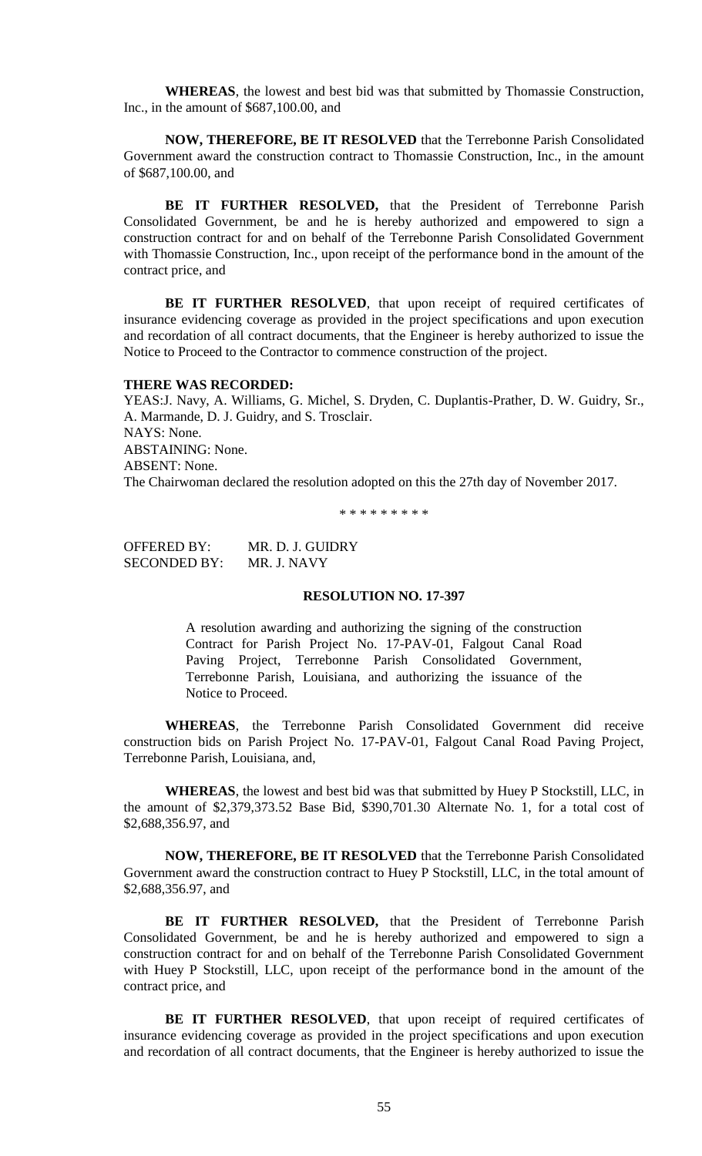**WHEREAS**, the lowest and best bid was that submitted by Thomassie Construction, Inc., in the amount of \$687,100.00, and

**NOW, THEREFORE, BE IT RESOLVED** that the Terrebonne Parish Consolidated Government award the construction contract to Thomassie Construction, Inc., in the amount of \$687,100.00, and

**BE IT FURTHER RESOLVED,** that the President of Terrebonne Parish Consolidated Government, be and he is hereby authorized and empowered to sign a construction contract for and on behalf of the Terrebonne Parish Consolidated Government with Thomassie Construction, Inc., upon receipt of the performance bond in the amount of the contract price, and

**BE IT FURTHER RESOLVED**, that upon receipt of required certificates of insurance evidencing coverage as provided in the project specifications and upon execution and recordation of all contract documents, that the Engineer is hereby authorized to issue the Notice to Proceed to the Contractor to commence construction of the project.

### **THERE WAS RECORDED:**

YEAS:J. Navy, A. Williams, G. Michel, S. Dryden, C. Duplantis-Prather, D. W. Guidry, Sr., A. Marmande, D. J. Guidry, and S. Trosclair. NAYS: None. ABSTAINING: None. ABSENT: None. The Chairwoman declared the resolution adopted on this the 27th day of November 2017.

\* \* \* \* \* \* \* \* \*

OFFERED BY: MR. D. J. GUIDRY SECONDED BY: MR. J. NAVY

## **RESOLUTION NO. 17-397**

A resolution awarding and authorizing the signing of the construction Contract for Parish Project No. 17-PAV-01, Falgout Canal Road Paving Project, Terrebonne Parish Consolidated Government, Terrebonne Parish, Louisiana, and authorizing the issuance of the Notice to Proceed.

**WHEREAS**, the Terrebonne Parish Consolidated Government did receive construction bids on Parish Project No. 17-PAV-01, Falgout Canal Road Paving Project, Terrebonne Parish, Louisiana, and,

**WHEREAS**, the lowest and best bid was that submitted by Huey P Stockstill, LLC, in the amount of \$2,379,373.52 Base Bid, \$390,701.30 Alternate No. 1, for a total cost of \$2,688,356.97, and

**NOW, THEREFORE, BE IT RESOLVED** that the Terrebonne Parish Consolidated Government award the construction contract to Huey P Stockstill, LLC, in the total amount of \$2,688,356.97, and

**BE IT FURTHER RESOLVED,** that the President of Terrebonne Parish Consolidated Government, be and he is hereby authorized and empowered to sign a construction contract for and on behalf of the Terrebonne Parish Consolidated Government with Huey P Stockstill, LLC, upon receipt of the performance bond in the amount of the contract price, and

BE IT FURTHER RESOLVED, that upon receipt of required certificates of insurance evidencing coverage as provided in the project specifications and upon execution and recordation of all contract documents, that the Engineer is hereby authorized to issue the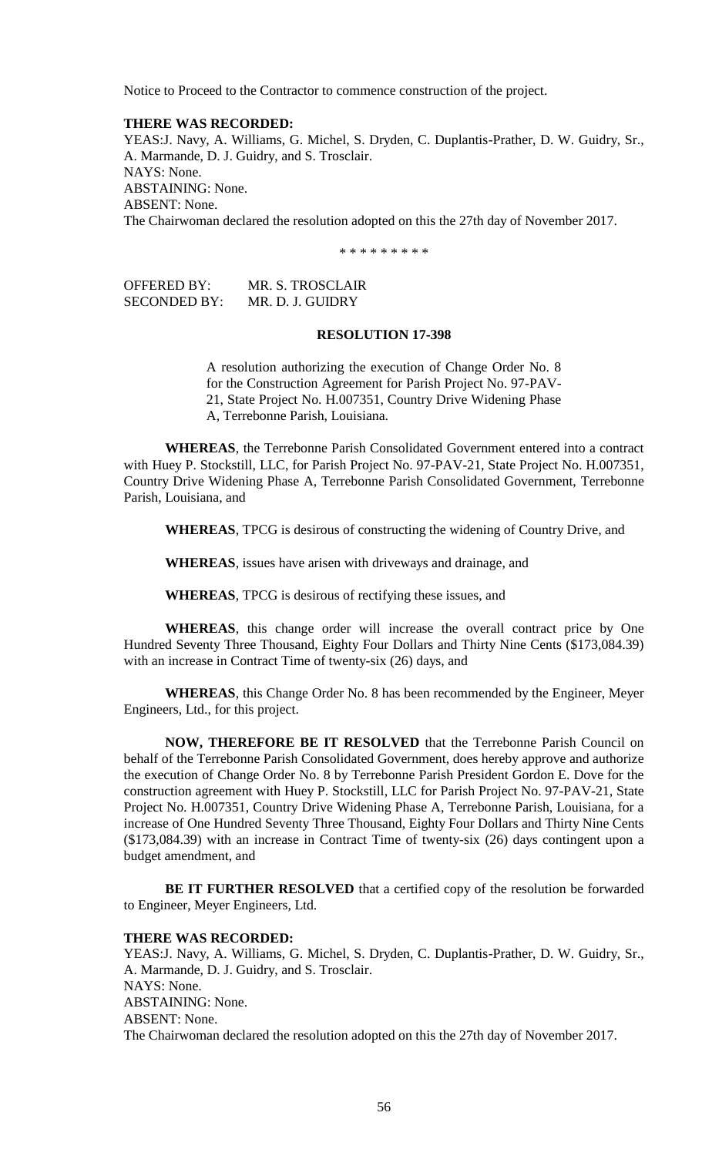Notice to Proceed to the Contractor to commence construction of the project.

# **THERE WAS RECORDED:**

YEAS:J. Navy, A. Williams, G. Michel, S. Dryden, C. Duplantis-Prather, D. W. Guidry, Sr., A. Marmande, D. J. Guidry, and S. Trosclair. NAYS: None. ABSTAINING: None. ABSENT: None. The Chairwoman declared the resolution adopted on this the 27th day of November 2017.

\* \* \* \* \* \* \* \* \*

OFFERED BY: MR. S. TROSCLAIR SECONDED BY: MR. D. J. GUIDRY

## **RESOLUTION 17-398**

A resolution authorizing the execution of Change Order No. 8 for the Construction Agreement for Parish Project No. 97-PAV-21, State Project No. H.007351, Country Drive Widening Phase A, Terrebonne Parish, Louisiana.

**WHEREAS**, the Terrebonne Parish Consolidated Government entered into a contract with Huey P. Stockstill, LLC, for Parish Project No. 97-PAV-21, State Project No. H.007351, Country Drive Widening Phase A, Terrebonne Parish Consolidated Government, Terrebonne Parish, Louisiana, and

**WHEREAS**, TPCG is desirous of constructing the widening of Country Drive, and

**WHEREAS**, issues have arisen with driveways and drainage, and

**WHEREAS**, TPCG is desirous of rectifying these issues, and

**WHEREAS**, this change order will increase the overall contract price by One Hundred Seventy Three Thousand, Eighty Four Dollars and Thirty Nine Cents (\$173,084.39) with an increase in Contract Time of twenty-six (26) days, and

**WHEREAS**, this Change Order No. 8 has been recommended by the Engineer, Meyer Engineers, Ltd., for this project.

**NOW, THEREFORE BE IT RESOLVED** that the Terrebonne Parish Council on behalf of the Terrebonne Parish Consolidated Government, does hereby approve and authorize the execution of Change Order No. 8 by Terrebonne Parish President Gordon E. Dove for the construction agreement with Huey P. Stockstill, LLC for Parish Project No. 97-PAV-21, State Project No. H.007351, Country Drive Widening Phase A, Terrebonne Parish, Louisiana, for a increase of One Hundred Seventy Three Thousand, Eighty Four Dollars and Thirty Nine Cents (\$173,084.39) with an increase in Contract Time of twenty-six (26) days contingent upon a budget amendment, and

**BE IT FURTHER RESOLVED** that a certified copy of the resolution be forwarded to Engineer, Meyer Engineers, Ltd.

## **THERE WAS RECORDED:**

YEAS:J. Navy, A. Williams, G. Michel, S. Dryden, C. Duplantis-Prather, D. W. Guidry, Sr., A. Marmande, D. J. Guidry, and S. Trosclair. NAYS: None. ABSTAINING: None. ABSENT: None. The Chairwoman declared the resolution adopted on this the 27th day of November 2017.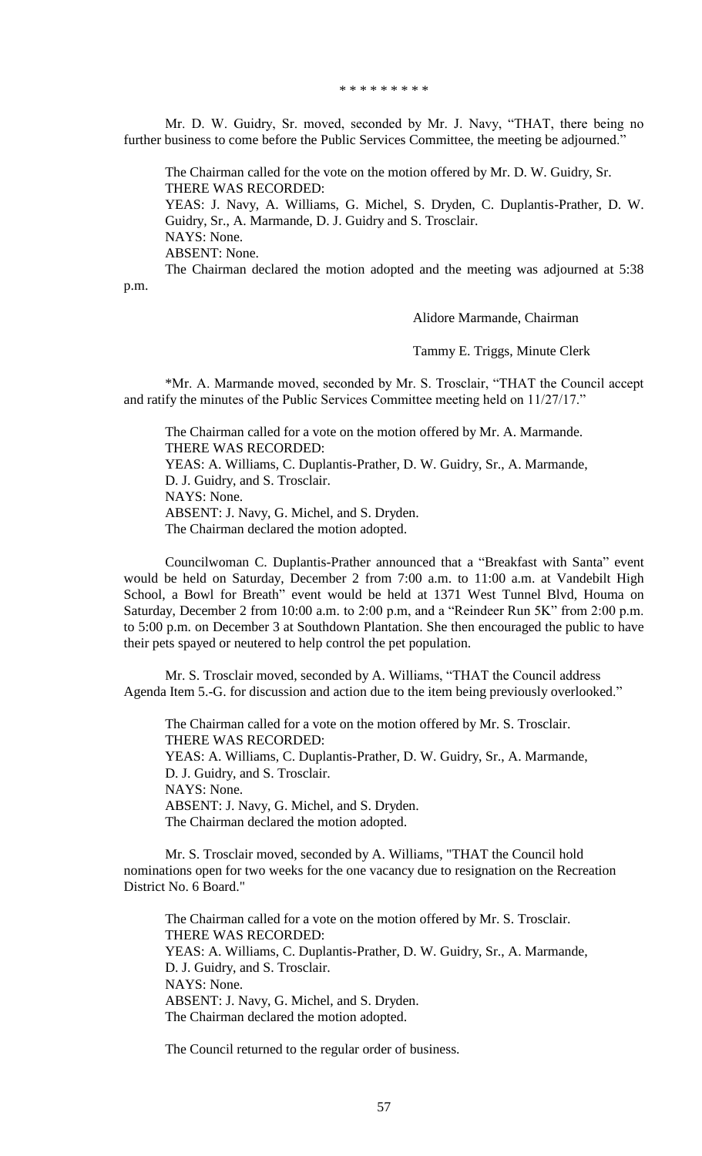\* \* \* \* \* \* \* \* \*

Mr. D. W. Guidry, Sr. moved, seconded by Mr. J. Navy, "THAT, there being no further business to come before the Public Services Committee, the meeting be adjourned."

The Chairman called for the vote on the motion offered by Mr. D. W. Guidry, Sr. THERE WAS RECORDED:

YEAS: J. Navy, A. Williams, G. Michel, S. Dryden, C. Duplantis-Prather, D. W. Guidry, Sr., A. Marmande, D. J. Guidry and S. Trosclair. NAYS: None. ABSENT: None. The Chairman declared the motion adopted and the meeting was adjourned at 5:38

p.m.

Alidore Marmande, Chairman

Tammy E. Triggs, Minute Clerk

\*Mr. A. Marmande moved, seconded by Mr. S. Trosclair, "THAT the Council accept and ratify the minutes of the Public Services Committee meeting held on 11/27/17."

The Chairman called for a vote on the motion offered by Mr. A. Marmande. THERE WAS RECORDED: YEAS: A. Williams, C. Duplantis-Prather, D. W. Guidry, Sr., A. Marmande, D. J. Guidry, and S. Trosclair. NAYS: None. ABSENT: J. Navy, G. Michel, and S. Dryden. The Chairman declared the motion adopted.

Councilwoman C. Duplantis-Prather announced that a "Breakfast with Santa" event would be held on Saturday, December 2 from 7:00 a.m. to 11:00 a.m. at Vandebilt High School, a Bowl for Breath" event would be held at 1371 West Tunnel Blvd, Houma on Saturday, December 2 from 10:00 a.m. to 2:00 p.m, and a "Reindeer Run 5K" from 2:00 p.m. to 5:00 p.m. on December 3 at Southdown Plantation. She then encouraged the public to have their pets spayed or neutered to help control the pet population.

Mr. S. Trosclair moved, seconded by A. Williams, "THAT the Council address Agenda Item 5.-G. for discussion and action due to the item being previously overlooked."

The Chairman called for a vote on the motion offered by Mr. S. Trosclair. THERE WAS RECORDED: YEAS: A. Williams, C. Duplantis-Prather, D. W. Guidry, Sr., A. Marmande, D. J. Guidry, and S. Trosclair. NAYS: None. ABSENT: J. Navy, G. Michel, and S. Dryden. The Chairman declared the motion adopted.

Mr. S. Trosclair moved, seconded by A. Williams, "THAT the Council hold nominations open for two weeks for the one vacancy due to resignation on the Recreation District No. 6 Board."

The Chairman called for a vote on the motion offered by Mr. S. Trosclair. THERE WAS RECORDED: YEAS: A. Williams, C. Duplantis-Prather, D. W. Guidry, Sr., A. Marmande, D. J. Guidry, and S. Trosclair. NAYS: None. ABSENT: J. Navy, G. Michel, and S. Dryden. The Chairman declared the motion adopted.

The Council returned to the regular order of business.